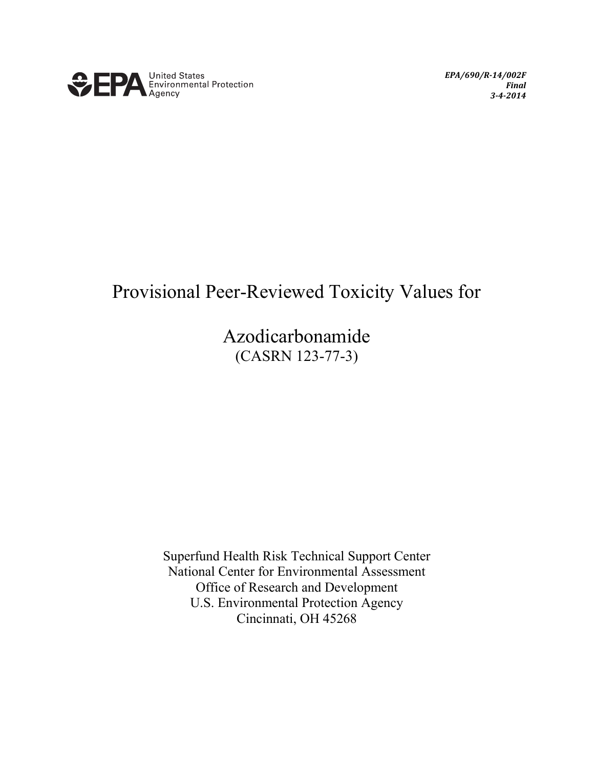

*EPA/690/R-14/002F Final 3-4-2014*

## Provisional Peer-Reviewed Toxicity Values for

Azodicarbonamide (CASRN 123-77-3)

Superfund Health Risk Technical Support Center National Center for Environmental Assessment Office of Research and Development U.S. Environmental Protection Agency Cincinnati, OH 45268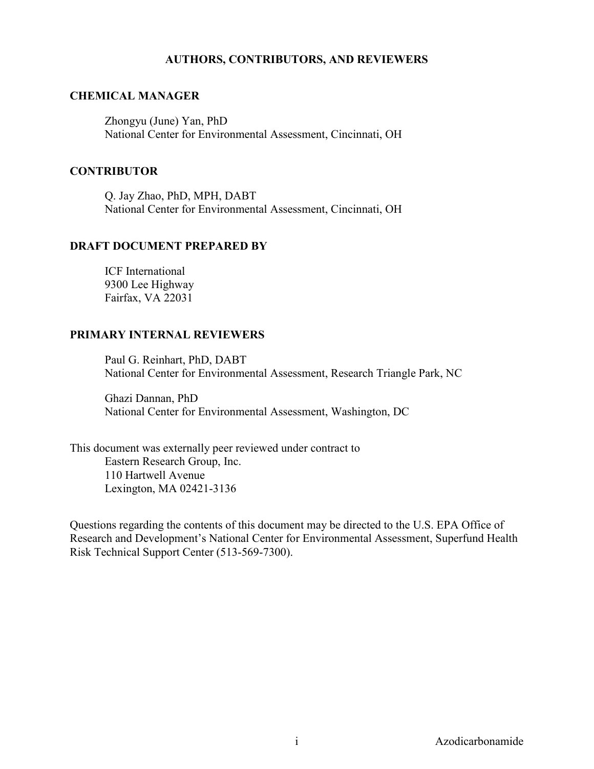#### **AUTHORS, CONTRIBUTORS, AND REVIEWERS**

#### **CHEMICAL MANAGER**

Zhongyu (June) Yan, PhD National Center for Environmental Assessment, Cincinnati, OH

#### **CONTRIBUTOR**

Q. Jay Zhao, PhD, MPH, DABT National Center for Environmental Assessment, Cincinnati, OH

#### **DRAFT DOCUMENT PREPARED BY**

ICF International 9300 Lee Highway Fairfax, VA 22031

#### **PRIMARY INTERNAL REVIEWERS**

Paul G. Reinhart, PhD, DABT National Center for Environmental Assessment, Research Triangle Park, NC

Ghazi Dannan, PhD National Center for Environmental Assessment, Washington, DC

This document was externally peer reviewed under contract to Eastern Research Group, Inc. 110 Hartwell Avenue Lexington, MA 02421-3136

Questions regarding the contents of this document may be directed to the U.S. EPA Office of Research and Development's National Center for Environmental Assessment, Superfund Health Risk Technical Support Center (513-569-7300).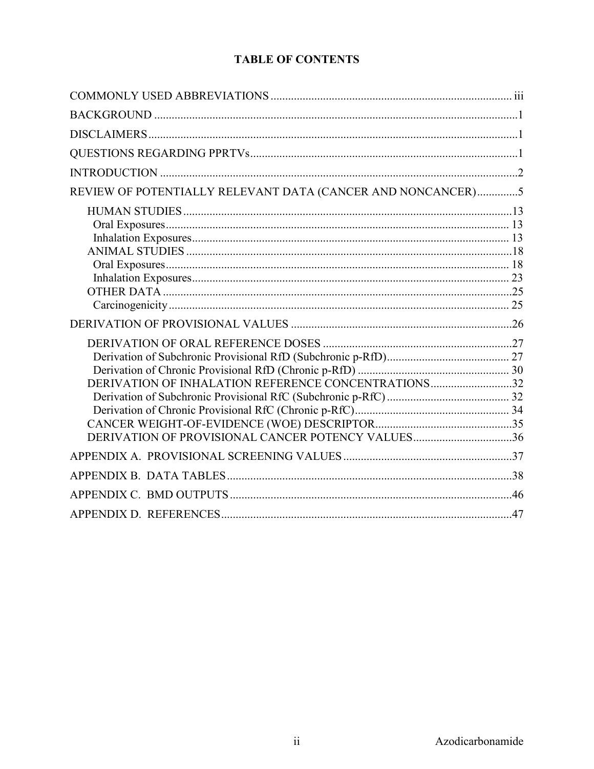## **TABLE OF CONTENTS**

| REVIEW OF POTENTIALLY RELEVANT DATA (CANCER AND NONCANCER)5                                              |  |
|----------------------------------------------------------------------------------------------------------|--|
|                                                                                                          |  |
|                                                                                                          |  |
| DERIVATION OF INHALATION REFERENCE CONCENTRATIONS32<br>DERIVATION OF PROVISIONAL CANCER POTENCY VALUES36 |  |
|                                                                                                          |  |
|                                                                                                          |  |
|                                                                                                          |  |
|                                                                                                          |  |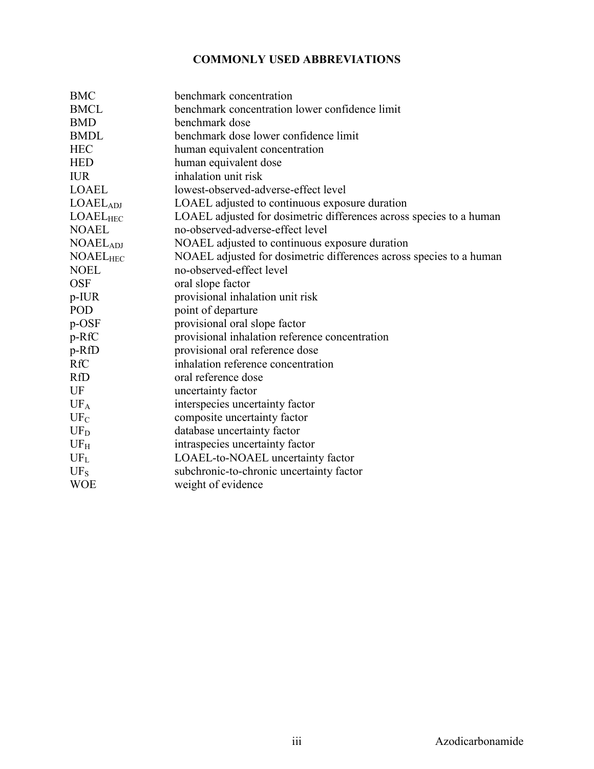### **COMMONLY USED ABBREVIATIONS**

<span id="page-3-0"></span>

| <b>BMC</b>                 | benchmark concentration                                             |
|----------------------------|---------------------------------------------------------------------|
| <b>BMCL</b>                | benchmark concentration lower confidence limit                      |
| <b>BMD</b>                 | benchmark dose                                                      |
| <b>BMDL</b>                | benchmark dose lower confidence limit                               |
| <b>HEC</b>                 | human equivalent concentration                                      |
| <b>HED</b>                 | human equivalent dose                                               |
| <b>IUR</b>                 | inhalation unit risk                                                |
| <b>LOAEL</b>               | lowest-observed-adverse-effect level                                |
| LOAEL <sub>ADI</sub>       | LOAEL adjusted to continuous exposure duration                      |
| $LOAEL_{HEC}$              | LOAEL adjusted for dosimetric differences across species to a human |
| <b>NOAEL</b>               | no-observed-adverse-effect level                                    |
| <b>NOAEL<sub>ADJ</sub></b> | NOAEL adjusted to continuous exposure duration                      |
| <b>NOAELHEC</b>            | NOAEL adjusted for dosimetric differences across species to a human |
| <b>NOEL</b>                | no-observed-effect level                                            |
| <b>OSF</b>                 | oral slope factor                                                   |
| $p$ -IUR                   | provisional inhalation unit risk                                    |
| POD                        | point of departure                                                  |
| p-OSF                      | provisional oral slope factor                                       |
| p-RfC                      | provisional inhalation reference concentration                      |
| p-RfD                      | provisional oral reference dose                                     |
| <b>RfC</b>                 | inhalation reference concentration                                  |
| <b>RfD</b>                 | oral reference dose                                                 |
| UF                         | uncertainty factor                                                  |
| UF <sub>A</sub>            | interspecies uncertainty factor                                     |
| $UF_C$                     | composite uncertainty factor                                        |
| $UF_D$                     | database uncertainty factor                                         |
| UF <sub>H</sub>            | intraspecies uncertainty factor                                     |
| $UF_L$                     | LOAEL-to-NOAEL uncertainty factor                                   |
| $UF_S$                     | subchronic-to-chronic uncertainty factor                            |
| <b>WOE</b>                 | weight of evidence                                                  |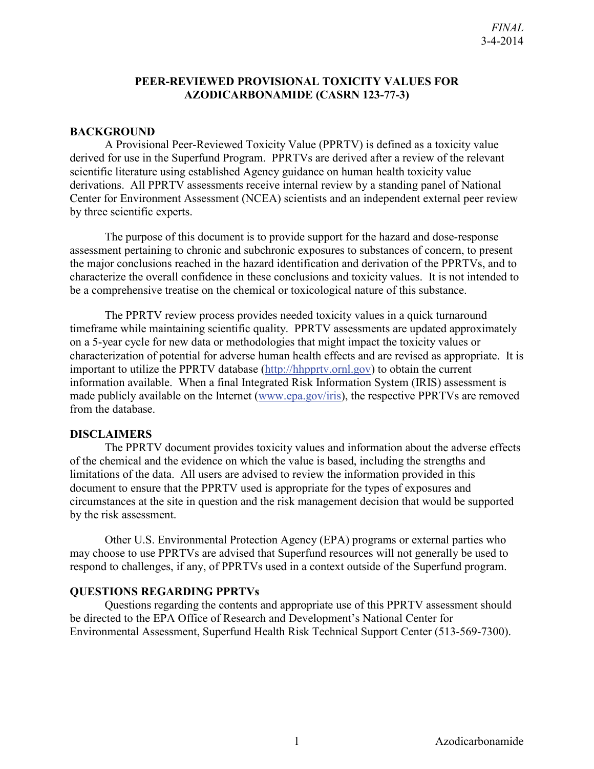#### **PEER-REVIEWED PROVISIONAL TOXICITY VALUES FOR AZODICARBONAMIDE (CASRN 123-77-3)**

#### <span id="page-4-0"></span>**BACKGROUND**

A Provisional Peer-Reviewed Toxicity Value (PPRTV) is defined as a toxicity value derived for use in the Superfund Program. PPRTVs are derived after a review of the relevant scientific literature using established Agency guidance on human health toxicity value derivations. All PPRTV assessments receive internal review by a standing panel of National Center for Environment Assessment (NCEA) scientists and an independent external peer review by three scientific experts.

The purpose of this document is to provide support for the hazard and dose-response assessment pertaining to chronic and subchronic exposures to substances of concern, to present the major conclusions reached in the hazard identification and derivation of the PPRTVs, and to characterize the overall confidence in these conclusions and toxicity values. It is not intended to be a comprehensive treatise on the chemical or toxicological nature of this substance.

The PPRTV review process provides needed toxicity values in a quick turnaround timeframe while maintaining scientific quality. PPRTV assessments are updated approximately on a 5-year cycle for new data or methodologies that might impact the toxicity values or characterization of potential for adverse human health effects and are revised as appropriate. It is important to utilize the PPRTV database [\(http://hhpprtv.ornl.gov\)](http://hhpprtv.ornl.gov/) to obtain the current information available. When a final Integrated Risk Information System (IRIS) assessment is made publicly available on the Internet [\(www.epa.gov/iris\)](http://www.epa.gov/iris), the respective PPRTVs are removed from the database.

#### <span id="page-4-1"></span>**DISCLAIMERS**

The PPRTV document provides toxicity values and information about the adverse effects of the chemical and the evidence on which the value is based, including the strengths and limitations of the data. All users are advised to review the information provided in this document to ensure that the PPRTV used is appropriate for the types of exposures and circumstances at the site in question and the risk management decision that would be supported by the risk assessment.

Other U.S. Environmental Protection Agency (EPA) programs or external parties who may choose to use PPRTVs are advised that Superfund resources will not generally be used to respond to challenges, if any, of PPRTVs used in a context outside of the Superfund program.

#### <span id="page-4-2"></span>**QUESTIONS REGARDING PPRTVs**

Questions regarding the contents and appropriate use of this PPRTV assessment should be directed to the EPA Office of Research and Development's National Center for Environmental Assessment, Superfund Health Risk Technical Support Center (513-569-7300).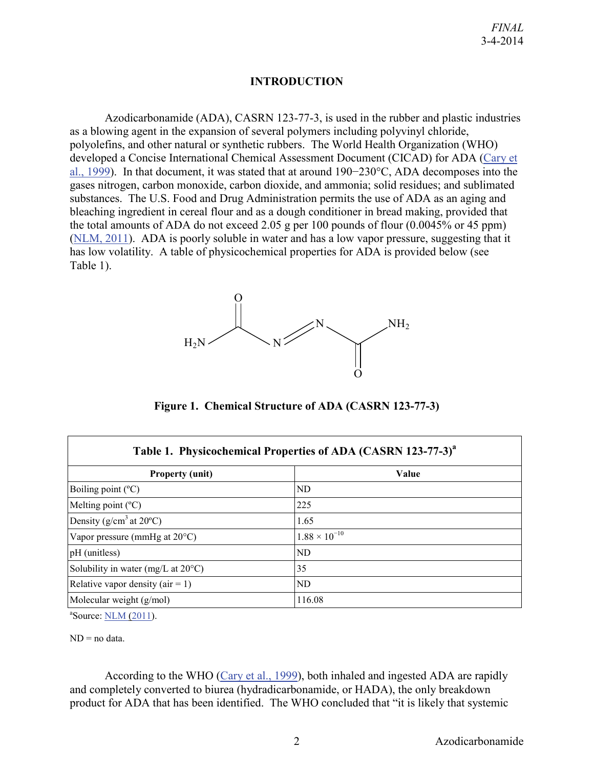#### **INTRODUCTION**

<span id="page-5-0"></span>Azodicarbonamide (ADA), CASRN 123-77-3, is used in the rubber and plastic industries as a blowing agent in the expansion of several polymers including polyvinyl chloride, polyolefins, and other natural or synthetic rubbers. The World Health Organization (WHO) developed a Concise International Chemical Assessment Document (CICAD) for ADA [\(Cary et](http://hero.epa.gov/index.cfm?action=search.view&reference_id=786169)  [al., 1999\)](http://hero.epa.gov/index.cfm?action=search.view&reference_id=786169). In that document, it was stated that at around 190−230°C, ADA decomposes into the gases nitrogen, carbon monoxide, carbon dioxide, and ammonia; solid residues; and sublimated substances. The U.S. Food and Drug Administration permits the use of ADA as an aging and bleaching ingredient in cereal flour and as a dough conditioner in bread making, provided that the total amounts of ADA do not exceed 2.05 g per 100 pounds of flour  $(0.0045\%$  or 45 ppm) [\(NLM, 2011\)](http://hero.epa.gov/index.cfm?action=search.view&reference_id=783990). ADA is poorly soluble in water and has a low vapor pressure, suggesting that it has low volatility. A table of physicochemical properties for ADA is provided below (see Table 1).



**Figure 1. Chemical Structure of ADA (CASRN 123-77-3)**

| Table 1. Physicochemical Properties of ADA (CASRN 123-77-3) <sup>a</sup> |                        |  |  |  |  |  |  |  |  |
|--------------------------------------------------------------------------|------------------------|--|--|--|--|--|--|--|--|
| <b>Property (unit)</b>                                                   | Value                  |  |  |  |  |  |  |  |  |
| Boiling point $(^{\circ}C)$                                              | ND                     |  |  |  |  |  |  |  |  |
| Melting point $(^{\circ}C)$                                              | 225                    |  |  |  |  |  |  |  |  |
| Density ( $g/cm3$ at 20 <sup>o</sup> C)                                  | 1.65                   |  |  |  |  |  |  |  |  |
| Vapor pressure (mmHg at $20^{\circ}$ C)                                  | $1.88 \times 10^{-10}$ |  |  |  |  |  |  |  |  |
| pH (unitless)                                                            | ND                     |  |  |  |  |  |  |  |  |
| Solubility in water (mg/L at $20^{\circ}$ C)                             | 35                     |  |  |  |  |  |  |  |  |
| Relative vapor density ( $air = 1$ )                                     | ND                     |  |  |  |  |  |  |  |  |
| Molecular weight $(g/mol)$                                               | 116.08                 |  |  |  |  |  |  |  |  |

<sup>a</sup>Source: <u>NLM (2011</u>).

 $ND = no data$ .

According to the WHO [\(Cary et al., 1999\)](http://hero.epa.gov/index.cfm?action=search.view&reference_id=786169), both inhaled and ingested ADA are rapidly and completely converted to biurea (hydradicarbonamide, or HADA), the only breakdown product for ADA that has been identified. The WHO concluded that "it is likely that systemic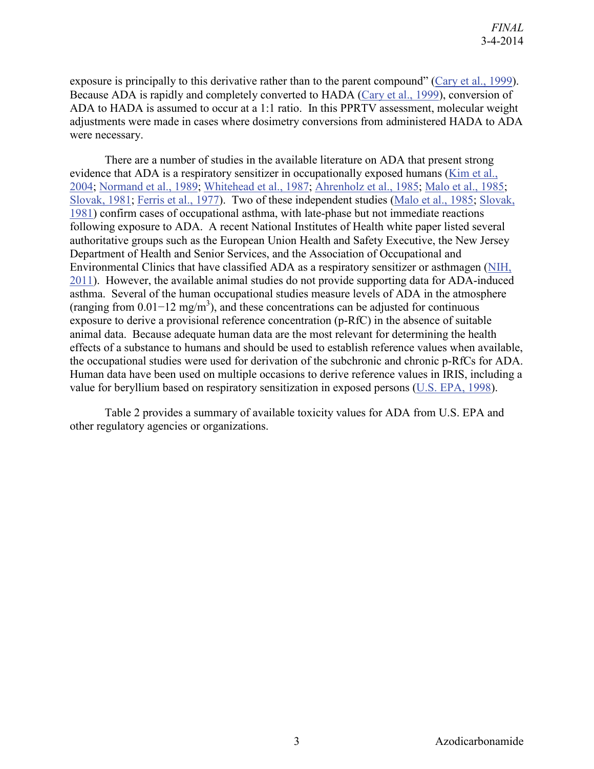exposure is principally to this derivative rather than to the parent compound" [\(Cary et al., 1999\)](http://hero.epa.gov/index.cfm?action=search.view&reference_id=786169). Because ADA is rapidly and completely converted to HADA [\(Cary et al., 1999\)](http://hero.epa.gov/index.cfm?action=search.view&reference_id=786169), conversion of ADA to HADA is assumed to occur at a 1:1 ratio. In this PPRTV assessment, molecular weight adjustments were made in cases where dosimetry conversions from administered HADA to ADA were necessary.

There are a number of studies in the available literature on ADA that present strong evidence that ADA is a respiratory sensitizer in occupationally exposed humans [\(Kim et al.,](http://hero.epa.gov/index.cfm?action=search.view&reference_id=786164)  [2004;](http://hero.epa.gov/index.cfm?action=search.view&reference_id=786164) [Normand et al., 1989;](http://hero.epa.gov/index.cfm?action=search.view&reference_id=786273) [Whitehead et al., 1987;](http://hero.epa.gov/index.cfm?action=search.view&reference_id=786276) [Ahrenholz et al., 1985;](http://hero.epa.gov/index.cfm?action=search.view&reference_id=786154) [Malo et al., 1985;](http://hero.epa.gov/index.cfm?action=search.view&reference_id=786275) [Slovak, 1981;](http://hero.epa.gov/index.cfm?action=search.view&reference_id=786274) [Ferris et al., 1977\)](http://hero.epa.gov/index.cfm?action=search.view&reference_id=786266). Two of these independent studies [\(Malo et al., 1985;](http://hero.epa.gov/index.cfm?action=search.view&reference_id=786275) [Slovak,](http://hero.epa.gov/index.cfm?action=search.view&reference_id=786274)  [1981\)](http://hero.epa.gov/index.cfm?action=search.view&reference_id=786274) confirm cases of occupational asthma, with late-phase but not immediate reactions following exposure to ADA. A recent National Institutes of Health white paper listed several authoritative groups such as the European Union Health and Safety Executive, the New Jersey Department of Health and Senior Services, and the Association of Occupational and Environmental Clinics that have classified ADA as a respiratory sensitizer or asthmagen [\(NIH,](http://hero.epa.gov/index.cfm?action=search.view&reference_id=1577212)  [2011\)](http://hero.epa.gov/index.cfm?action=search.view&reference_id=1577212). However, the available animal studies do not provide supporting data for ADA-induced asthma. Several of the human occupational studies measure levels of ADA in the atmosphere (ranging from  $0.01-12$  mg/m<sup>3</sup>), and these concentrations can be adjusted for continuous exposure to derive a provisional reference concentration (p-RfC) in the absence of suitable animal data. Because adequate human data are the most relevant for determining the health effects of a substance to humans and should be used to establish reference values when available, the occupational studies were used for derivation of the subchronic and chronic p-RfCs for ADA. Human data have been used on multiple occasions to derive reference values in IRIS, including a value for beryllium based on respiratory sensitization in exposed persons [\(U.S. EPA, 1998\)](http://hero.epa.gov/index.cfm?action=search.view&reference_id=999207).

Table 2 provides a summary of available toxicity values for ADA from U.S. EPA and other regulatory agencies or organizations.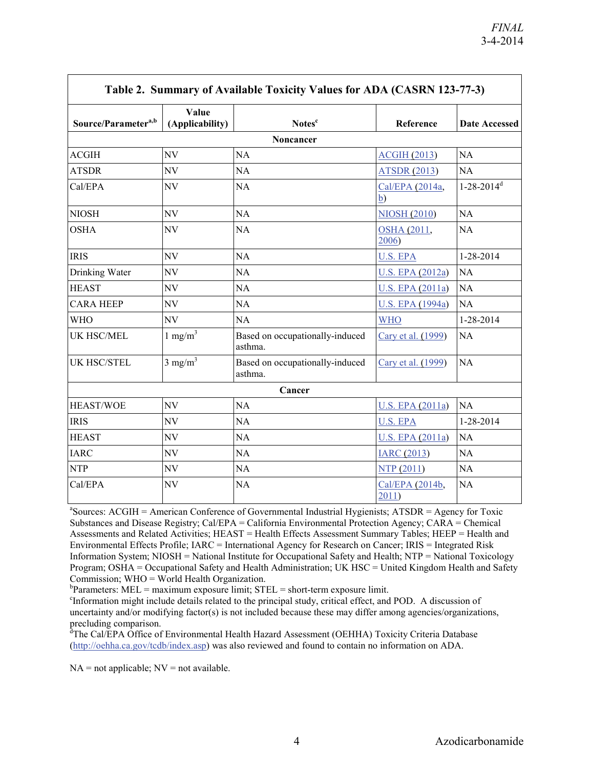| Source/Parameter <sup>a,b</sup> | Value<br>(Applicability) | Notes <sup>c</sup>                         | Reference                | <b>Date Accessed</b>     |
|---------------------------------|--------------------------|--------------------------------------------|--------------------------|--------------------------|
|                                 |                          | Noncancer                                  |                          |                          |
| <b>ACGIH</b>                    | NV                       | <b>NA</b>                                  | <b>ACGIH (2013)</b>      | <b>NA</b>                |
| <b>ATSDR</b>                    | NV                       | NA                                         | <b>ATSDR (2013)</b>      | NA                       |
| Cal/EPA                         | NV                       | <b>NA</b>                                  | Cal/EPA (2014a,<br>b)    | $1-28-2014$ <sup>d</sup> |
| <b>NIOSH</b>                    | NV                       | NA                                         | <b>NIOSH (2010)</b>      | NA                       |
| <b>OSHA</b>                     | NV                       | <b>NA</b>                                  | OSHA (2011,<br>2006)     | NA                       |
| <b>IRIS</b>                     | NV                       | NA                                         | <b>U.S. EPA</b>          | 1-28-2014                |
| Drinking Water                  | NV                       | <b>NA</b>                                  | <b>U.S. EPA (2012a)</b>  | NA                       |
| <b>HEAST</b>                    | NV                       | NA                                         | U.S. EPA (2011a)         | NA                       |
| <b>CARA HEEP</b>                | NV                       | NA                                         | <b>U.S. EPA (1994a)</b>  | NA                       |
| <b>WHO</b>                      | NV                       | NA                                         | <b>WHO</b>               | 1-28-2014                |
| UK HSC/MEL                      | $1 \text{ mg/m}^3$       | Based on occupationally-induced<br>asthma. | Cary et al. (1999)       | NA                       |
| <b>UK HSC/STEL</b>              | $3$ mg/m <sup>3</sup>    | Based on occupationally-induced<br>asthma. | Cary et al. (1999)       | <b>NA</b>                |
|                                 |                          | Cancer                                     |                          |                          |
| <b>HEAST/WOE</b>                | NV                       | NA                                         | <b>U.S. EPA (2011a)</b>  | <b>NA</b>                |
| <b>IRIS</b>                     | NV                       | <b>NA</b>                                  | <b>U.S. EPA</b>          | 1-28-2014                |
| <b>HEAST</b>                    | NV                       | NA                                         | U.S. EPA (2011a)         | NA                       |
| <b>IARC</b>                     | NV                       | NA                                         | <b>IARC</b> (2013)       | NA                       |
| <b>NTP</b>                      | NV                       | NA                                         | NTP(2011)                | <b>NA</b>                |
| Cal/EPA                         | NV                       | <b>NA</b>                                  | Cal/EPA (2014b,<br>2011) | NA                       |

<sup>a</sup> Sources: ACGIH = American Conference of Governmental Industrial Hygienists; ATSDR = Agency for Toxic Substances and Disease Registry; Cal/EPA = California Environmental Protection Agency; CARA = Chemical Assessments and Related Activities; HEAST = Health Effects Assessment Summary Tables; HEEP = Health and Environmental Effects Profile; IARC = International Agency for Research on Cancer; IRIS = Integrated Risk Information System; NIOSH = National Institute for Occupational Safety and Health; NTP = National Toxicology Program; OSHA = Occupational Safety and Health Administration; UK HSC = United Kingdom Health and Safety Commission; WHO = World Health Organization.

 $b$ Parameters: MEL = maximum exposure limit; STEL = short-term exposure limit.

<sup>c</sup>Information might include details related to the principal study, critical effect, and POD. A discussion of uncertainty and/or modifying factor(s) is not included because these may differ among agencies/organizations, precluding comparison.

<sup>a</sup>The Cal/EPA Office of Environmental Health Hazard Assessment (OEHHA) Toxicity Criteria Database [\(http://oehha.ca.gov/tcdb/index.asp\)](http://oehha.ca.gov/tcdb/index.asp) was also reviewed and found to contain no information on ADA.

 $NA = not applicable; NV = not available.$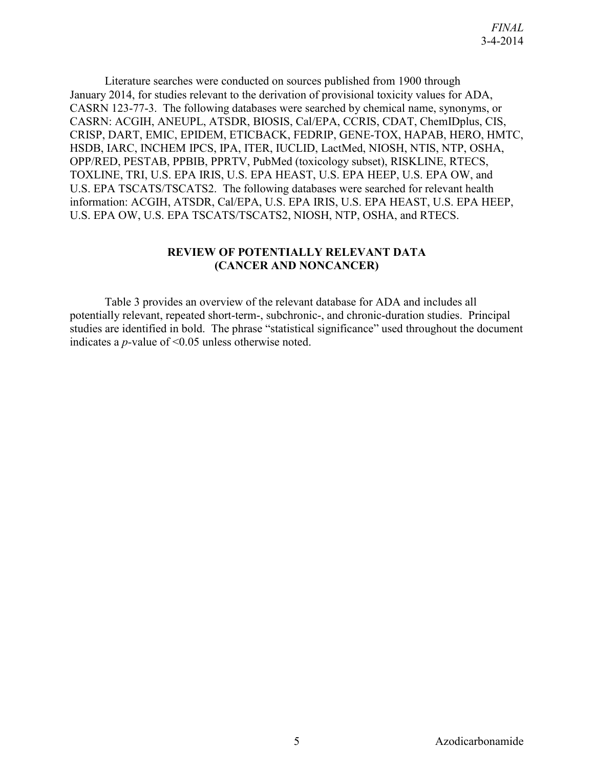Literature searches were conducted on sources published from 1900 through January 2014, for studies relevant to the derivation of provisional toxicity values for ADA, CASRN 123-77-3. The following databases were searched by chemical name, synonyms, or CASRN: ACGIH, ANEUPL, ATSDR, BIOSIS, Cal/EPA, CCRIS, CDAT, ChemIDplus, CIS, CRISP, DART, EMIC, EPIDEM, ETICBACK, FEDRIP, GENE-TOX, HAPAB, HERO, HMTC, HSDB, IARC, INCHEM IPCS, IPA, ITER, IUCLID, LactMed, NIOSH, NTIS, NTP, OSHA, OPP/RED, PESTAB, PPBIB, PPRTV, PubMed (toxicology subset), RISKLINE, RTECS, TOXLINE, TRI, U.S. EPA IRIS, U.S. EPA HEAST, U.S. EPA HEEP, U.S. EPA OW, and U.S. EPA TSCATS/TSCATS2. The following databases were searched for relevant health information: ACGIH, ATSDR, Cal/EPA, U.S. EPA IRIS, U.S. EPA HEAST, U.S. EPA HEEP, U.S. EPA OW, U.S. EPA TSCATS/TSCATS2, NIOSH, NTP, OSHA, and RTECS.

#### **REVIEW OF POTENTIALLY RELEVANT DATA (CANCER AND NONCANCER)**

<span id="page-8-0"></span>Table 3 provides an overview of the relevant database for ADA and includes all potentially relevant, repeated short-term-, subchronic-, and chronic-duration studies. Principal studies are identified in bold. The phrase "statistical significance" used throughout the document indicates a *p-*value of <0.05 unless otherwise noted.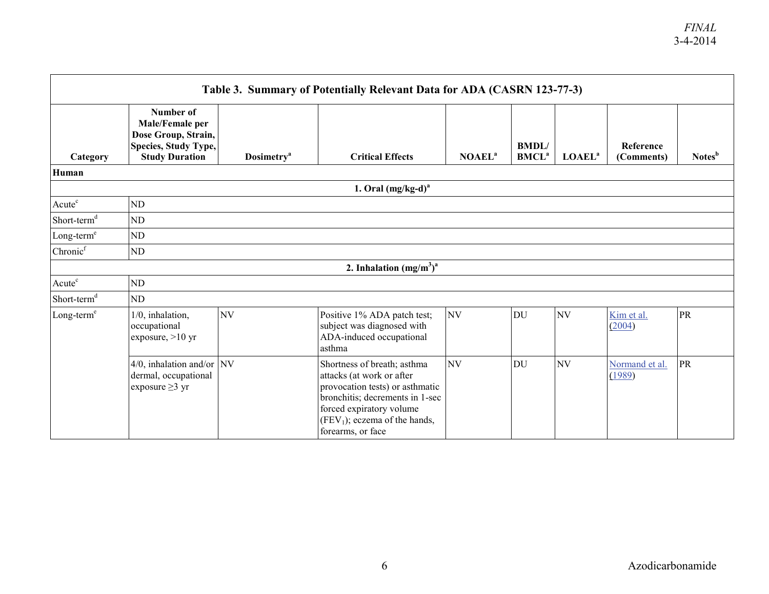| Table 3. Summary of Potentially Relevant Data for ADA (CASRN 123-77-3) |                                                                                                      |                               |                                                                                                                                                                                                                    |                    |                            |                    |                          |                    |  |
|------------------------------------------------------------------------|------------------------------------------------------------------------------------------------------|-------------------------------|--------------------------------------------------------------------------------------------------------------------------------------------------------------------------------------------------------------------|--------------------|----------------------------|--------------------|--------------------------|--------------------|--|
| Category                                                               | Number of<br>Male/Female per<br>Dose Group, Strain,<br>Species, Study Type,<br><b>Study Duration</b> | <b>Dosimetry</b> <sup>a</sup> | <b>Critical Effects</b>                                                                                                                                                                                            | NOAEL <sup>a</sup> | BMDL/<br>BMCL <sup>a</sup> | LOAEL <sup>a</sup> | Reference<br>(Comments)  | Notes <sup>b</sup> |  |
| Human                                                                  |                                                                                                      |                               |                                                                                                                                                                                                                    |                    |                            |                    |                          |                    |  |
|                                                                        |                                                                                                      |                               | 1. Oral $(mg/kg-d)^a$                                                                                                                                                                                              |                    |                            |                    |                          |                    |  |
| Acute <sup>c</sup>                                                     | ND                                                                                                   |                               |                                                                                                                                                                                                                    |                    |                            |                    |                          |                    |  |
| Short-term <sup>d</sup>                                                | ND                                                                                                   |                               |                                                                                                                                                                                                                    |                    |                            |                    |                          |                    |  |
| Long-term <sup>e</sup>                                                 | ND                                                                                                   |                               |                                                                                                                                                                                                                    |                    |                            |                    |                          |                    |  |
| Chronic <sup>f</sup>                                                   | ND                                                                                                   |                               |                                                                                                                                                                                                                    |                    |                            |                    |                          |                    |  |
|                                                                        |                                                                                                      |                               | 2. Inhalation $(mg/m^3)^a$                                                                                                                                                                                         |                    |                            |                    |                          |                    |  |
| Acute <sup>c</sup>                                                     | ND                                                                                                   |                               |                                                                                                                                                                                                                    |                    |                            |                    |                          |                    |  |
| Short-term <sup>d</sup>                                                | ND                                                                                                   |                               |                                                                                                                                                                                                                    |                    |                            |                    |                          |                    |  |
| $Long-terme$                                                           | 1/0, inhalation,<br>occupational<br>exposure, $>10$ yr                                               | NV                            | Positive 1% ADA patch test;<br>subject was diagnosed with<br>ADA-induced occupational<br>asthma                                                                                                                    | NV                 | DU                         | NV                 | Kim et al.<br>(2004)     | PR                 |  |
|                                                                        | $4/0$ , inhalation and/or NV<br>dermal, occupational<br>exposure $\geq$ 3 yr                         |                               | Shortness of breath; asthma<br>attacks (at work or after<br>provocation tests) or asthmatic<br>bronchitis; decrements in 1-sec<br>forced expiratory volume<br>$(FEV1)$ ; eczema of the hands,<br>forearms, or face | NV                 | DU                         | NV                 | Normand et al.<br>(1989) | PR                 |  |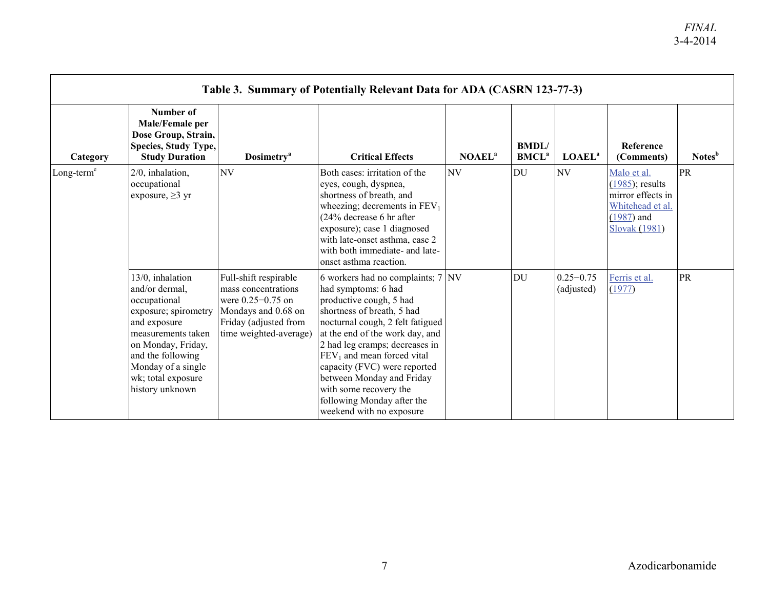| Table 3. Summary of Potentially Relevant Data for ADA (CASRN 123-77-3) |                                                                                                                                                                                                                            |                                                                                                                                                 |                                                                                                                                                                                                                                                                                                                                                                                                          |                           |                                  |                             |                                                                                                             |                    |  |
|------------------------------------------------------------------------|----------------------------------------------------------------------------------------------------------------------------------------------------------------------------------------------------------------------------|-------------------------------------------------------------------------------------------------------------------------------------------------|----------------------------------------------------------------------------------------------------------------------------------------------------------------------------------------------------------------------------------------------------------------------------------------------------------------------------------------------------------------------------------------------------------|---------------------------|----------------------------------|-----------------------------|-------------------------------------------------------------------------------------------------------------|--------------------|--|
| Category                                                               | Number of<br>Male/Female per<br>Dose Group, Strain,<br>Species, Study Type,<br><b>Study Duration</b>                                                                                                                       | <b>Dosimetry</b> <sup>a</sup>                                                                                                                   | <b>Critical Effects</b>                                                                                                                                                                                                                                                                                                                                                                                  | <b>NOAEL</b> <sup>a</sup> | <b>BMDL</b><br>BMCL <sup>a</sup> | <b>LOAEL</b> <sup>a</sup>   | Reference<br>(Comments)                                                                                     | Notes <sup>b</sup> |  |
| Long-term <sup>e</sup>                                                 | 2/0, inhalation,<br>occupational<br>exposure, $\geq$ 3 yr                                                                                                                                                                  | <b>NV</b>                                                                                                                                       | Both cases: irritation of the<br>eyes, cough, dyspnea,<br>shortness of breath, and<br>wheezing; decrements in $FEV1$<br>$(24\%$ decrease 6 hr after<br>exposure); case 1 diagnosed<br>with late-onset asthma, case 2<br>with both immediate- and late-<br>onset asthma reaction.                                                                                                                         | NV                        | DU                               | N <sub>V</sub>              | Malo et al.<br>$(1985)$ ; results<br>mirror effects in<br>Whitehead et al.<br>$(1987)$ and<br>Slovak (1981) | <b>PR</b>          |  |
|                                                                        | 13/0, inhalation<br>and/or dermal,<br>occupational<br>exposure; spirometry<br>and exposure<br>measurements taken<br>on Monday, Friday,<br>and the following<br>Monday of a single<br>wk; total exposure<br>history unknown | Full-shift respirable<br>mass concentrations<br>were $0.25 - 0.75$ on<br>Mondays and 0.68 on<br>Friday (adjusted from<br>time weighted-average) | 6 workers had no complaints; 7<br>had symptoms: 6 had<br>productive cough, 5 had<br>shortness of breath, 5 had<br>nocturnal cough, 2 felt fatigued<br>at the end of the work day, and<br>2 had leg cramps; decreases in<br>$FEV1$ and mean forced vital<br>capacity (FVC) were reported<br>between Monday and Friday<br>with some recovery the<br>following Monday after the<br>weekend with no exposure | NV                        | <b>DU</b>                        | $0.25 - 0.75$<br>(adjusted) | Ferris et al.<br>(1977)                                                                                     | <b>PR</b>          |  |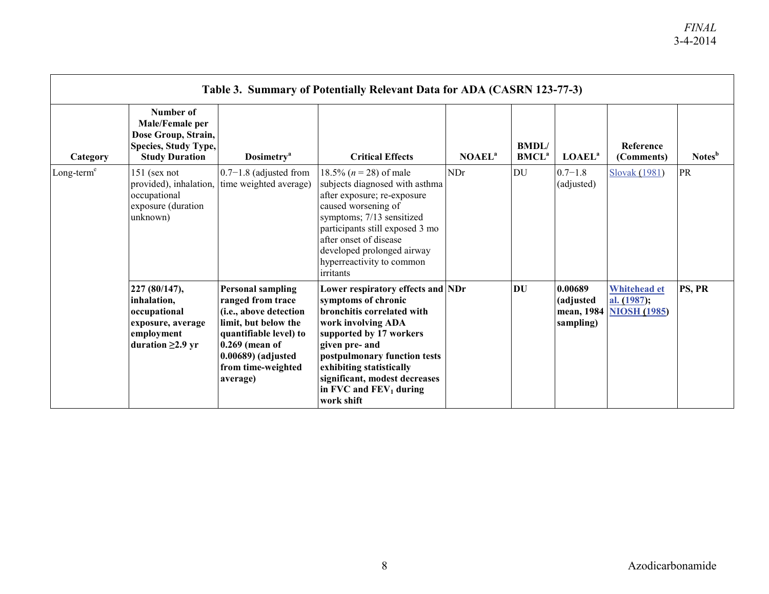| Table 3. Summary of Potentially Relevant Data for ADA (CASRN 123-77-3) |                                                                                                           |                                                                                                                                                                                                          |                                                                                                                                                                                                                                                                                                   |                    |                                   |                                   |                                                                 |                    |
|------------------------------------------------------------------------|-----------------------------------------------------------------------------------------------------------|----------------------------------------------------------------------------------------------------------------------------------------------------------------------------------------------------------|---------------------------------------------------------------------------------------------------------------------------------------------------------------------------------------------------------------------------------------------------------------------------------------------------|--------------------|-----------------------------------|-----------------------------------|-----------------------------------------------------------------|--------------------|
| Category                                                               | Number of<br>Male/Female per<br>Dose Group, Strain,<br>Species, Study Type,<br><b>Study Duration</b>      | <b>Dosimetry</b> <sup>a</sup>                                                                                                                                                                            | <b>Critical Effects</b>                                                                                                                                                                                                                                                                           | NOAEL <sup>a</sup> | <b>BMDL/</b><br>BMCL <sup>a</sup> | <b>LOAEL</b> <sup>a</sup>         | Reference<br>(Comments)                                         | Notes <sup>b</sup> |
| $Long-terme$                                                           | $151$ (sex not<br>provided), inhalation,<br>occupational<br>exposure (duration<br>unknown)                | $0.7-1.8$ (adjusted from<br>time weighted average)                                                                                                                                                       | 18.5% ( $n = 28$ ) of male<br>subjects diagnosed with asthma<br>after exposure; re-exposure<br>caused worsening of<br>symptoms; 7/13 sensitized<br>participants still exposed 3 mo<br>after onset of disease<br>developed prolonged airway<br>hyperreactivity to common<br><i>irritants</i>       | NDr                | DU                                | $0.7 - 1.8$<br>(adjusted)         | Slovak (1981)                                                   | PR                 |
|                                                                        | 227 (80/147),<br>inhalation,<br>occupational<br>exposure, average<br>employment<br>duration $\geq$ 2.9 yr | <b>Personal sampling</b><br>ranged from trace<br>(i.e., above detection<br>limit, but below the<br>quantifiable level) to<br>$0.269$ (mean of<br>$0.00689$ ) (adjusted<br>from time-weighted<br>average) | Lower respiratory effects and NDr<br>symptoms of chronic<br>bronchitis correlated with<br>work involving ADA<br>supported by 17 workers<br>given pre- and<br>postpulmonary function tests<br>exhibiting statistically<br>significant, modest decreases<br>in FVC and $FEV_1$ during<br>work shift |                    | DU                                | 0.00689<br>(adjusted<br>sampling) | <b>Whitehead et</b><br>al. $(1987);$<br>mean, 1984 NIOSH (1985) | PS, PR             |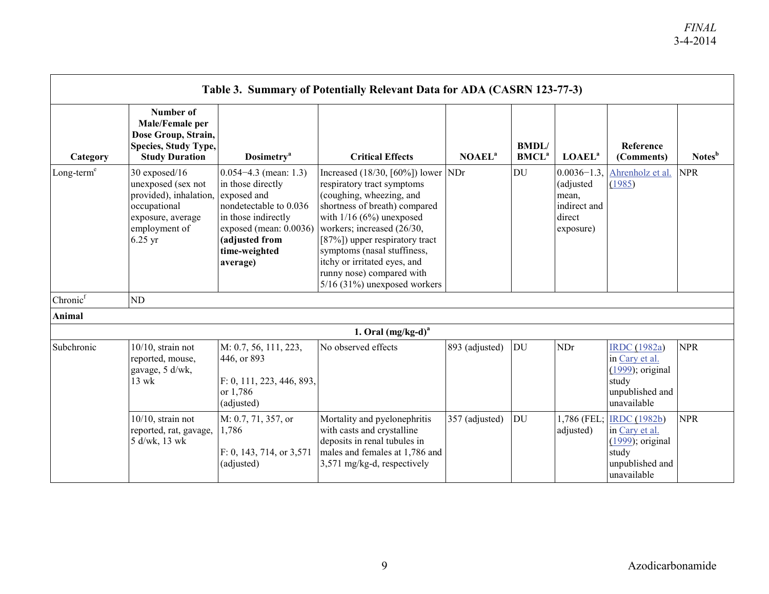| Table 3. Summary of Potentially Relevant Data for ADA (CASRN 123-77-3) |                                                                                                                                        |                                                                                                                                                                                         |                                                                                                                                                                                                                                                                                                                                                              |                    |                                  |                                                                             |                                                                                                         |                    |  |
|------------------------------------------------------------------------|----------------------------------------------------------------------------------------------------------------------------------------|-----------------------------------------------------------------------------------------------------------------------------------------------------------------------------------------|--------------------------------------------------------------------------------------------------------------------------------------------------------------------------------------------------------------------------------------------------------------------------------------------------------------------------------------------------------------|--------------------|----------------------------------|-----------------------------------------------------------------------------|---------------------------------------------------------------------------------------------------------|--------------------|--|
| Category                                                               | Number of<br>Male/Female per<br>Dose Group, Strain,<br><b>Species, Study Type,</b><br><b>Study Duration</b>                            | <b>Dosimetry</b> <sup>a</sup>                                                                                                                                                           | <b>Critical Effects</b>                                                                                                                                                                                                                                                                                                                                      | NOAEL <sup>a</sup> | <b>BMDL</b><br>BMCL <sup>a</sup> | LOAEL <sup>a</sup>                                                          | Reference<br>(Comments)                                                                                 | Notes <sup>b</sup> |  |
| Long-term <sup>e</sup><br>Chronic <sup>f</sup>                         | 30 exposed/16<br>unexposed (sex not<br>provided), inhalation,<br>occupational<br>exposure, average<br>employment of<br>$6.25$ yr<br>ND | $0.054 - 4.3$ (mean: 1.3)<br>in those directly<br>exposed and<br>nondetectable to 0.036<br>in those indirectly<br>exposed (mean: 0.0036)<br>(adjusted from<br>time-weighted<br>average) | Increased $(18/30, [60\%])$ lower NDr<br>respiratory tract symptoms<br>(coughing, wheezing, and<br>shortness of breath) compared<br>with $1/16$ (6%) unexposed<br>workers; increased (26/30,<br>[87%]) upper respiratory tract<br>symptoms (nasal stuffiness,<br>itchy or irritated eyes, and<br>runny nose) compared with<br>$5/16$ (31%) unexposed workers |                    | DU                               | $0.0036 - 1.3$<br>(adjusted<br>mean,<br>indirect and<br>direct<br>exposure) | Ahrenholz et al.<br>(1985)                                                                              | <b>NPR</b>         |  |
| Animal                                                                 |                                                                                                                                        |                                                                                                                                                                                         | 1. Oral $(mg/kg-d)^a$                                                                                                                                                                                                                                                                                                                                        |                    |                                  |                                                                             |                                                                                                         |                    |  |
| Subchronic                                                             | $10/10$ , strain not<br>reported, mouse,<br>gavage, 5 d/wk,<br>$13 \text{ wk}$                                                         | M: 0.7, 56, 111, 223,<br>446, or 893<br>F: 0, 111, 223, 446, 893.<br>or 1,786<br>(adjusted)                                                                                             | No observed effects                                                                                                                                                                                                                                                                                                                                          | 893 (adjusted)     | DU                               | <b>NDr</b>                                                                  | <b>IRDC</b> (1982a)<br>in Cary et al.<br>$(1999)$ ; original<br>study<br>unpublished and<br>unavailable | <b>NPR</b>         |  |
|                                                                        | $10/10$ , strain not<br>reported, rat, gavage,<br>5 d/wk, 13 wk                                                                        | M: 0.7, 71, 357, or<br>1,786<br>F: 0, 143, 714, or 3,571<br>(adjusted)                                                                                                                  | Mortality and pyelonephritis<br>with casts and crystalline<br>deposits in renal tubules in<br>males and females at 1,786 and<br>3,571 mg/kg-d, respectively                                                                                                                                                                                                  | 357 (adjusted)     | DU                               | 1,786 (FEL:<br>adjusted)                                                    | <b>IRDC</b> (1982b)<br>in Cary et al.<br>$(1999)$ ; original<br>study<br>unpublished and<br>unavailable | <b>NPR</b>         |  |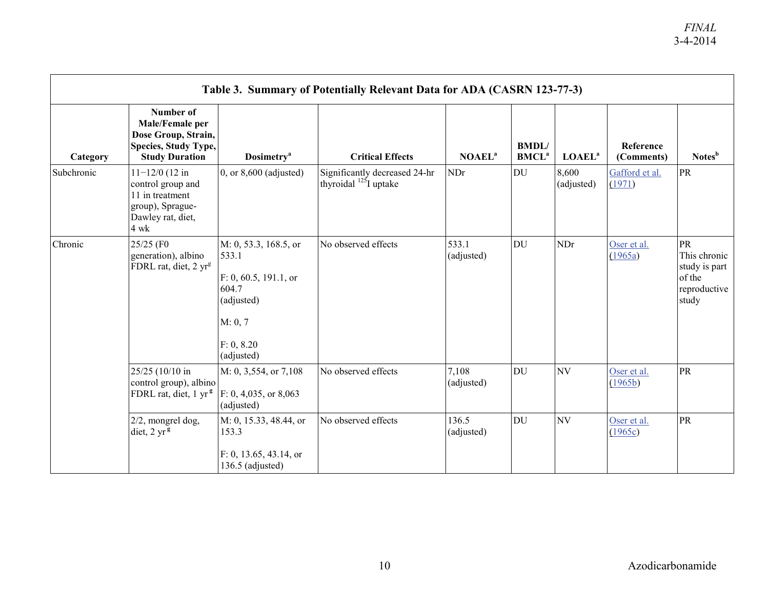| Table 3. Summary of Potentially Relevant Data for ADA (CASRN 123-77-3) |                                                                                                             |                                                                                                                       |                                                              |                     |                                         |                           |                          |                                                                        |  |  |
|------------------------------------------------------------------------|-------------------------------------------------------------------------------------------------------------|-----------------------------------------------------------------------------------------------------------------------|--------------------------------------------------------------|---------------------|-----------------------------------------|---------------------------|--------------------------|------------------------------------------------------------------------|--|--|
| Category                                                               | Number of<br>Male/Female per<br>Dose Group, Strain,<br>Species, Study Type,<br><b>Study Duration</b>        | <b>Dosimetry</b> <sup>a</sup>                                                                                         | <b>Critical Effects</b>                                      | NOAEL <sup>a</sup>  | <b>BMDL</b><br><b>BMCL</b> <sup>a</sup> | <b>LOAEL</b> <sup>a</sup> | Reference<br>(Comments)  | Notes <sup>b</sup>                                                     |  |  |
| Subchronic                                                             | $11 - 12/0$ (12 in<br>control group and<br>11 in treatment<br>group), Sprague-<br>Dawley rat, diet,<br>4 wk | $0$ , or $8,600$ (adjusted)                                                                                           | Significantly decreased 24-hr<br>thyroidal $^{125}$ I uptake | NDr                 | DU                                      | 8,600<br>(adjusted)       | Gafford et al.<br>(1971) | PR                                                                     |  |  |
| Chronic                                                                | 25/25 (F0<br>generation), albino<br>FDRL rat, diet, 2 yr <sup>g</sup>                                       | M: 0, 53.3, 168.5, or<br>533.1<br>F: 0, 60.5, 191.1, or<br>604.7<br>(adjusted)<br>M: 0, 7<br>F: 0, 8.20<br>(adjusted) | No observed effects                                          | 533.1<br>(adjusted) | <b>DU</b>                               | NDr                       | Oser et al.<br>(1965a)   | PR<br>This chronic<br>study is part<br>of the<br>reproductive<br>study |  |  |
|                                                                        | 25/25 (10/10 in<br>control group), albino<br>FDRL rat, diet, 1 yr <sup>g</sup>                              | M: 0, 3,554, or 7,108<br>F: 0, 4,035, or 8,063<br>(adjusted)                                                          | No observed effects                                          | 7,108<br>(adjusted) | DU                                      | NV                        | Oser et al.<br>(1965b)   | PR                                                                     |  |  |
|                                                                        | 2/2, mongrel dog,<br>diet, $2 \text{ yr}^{\frac{3}{5}}$                                                     | M: 0, 15.33, 48.44, or<br>153.3<br>F: 0, 13.65, 43.14, or<br>136.5 (adjusted)                                         | No observed effects                                          | 136.5<br>(adjusted) | DU                                      | NV                        | Oser et al.<br>(1965c)   | <b>PR</b>                                                              |  |  |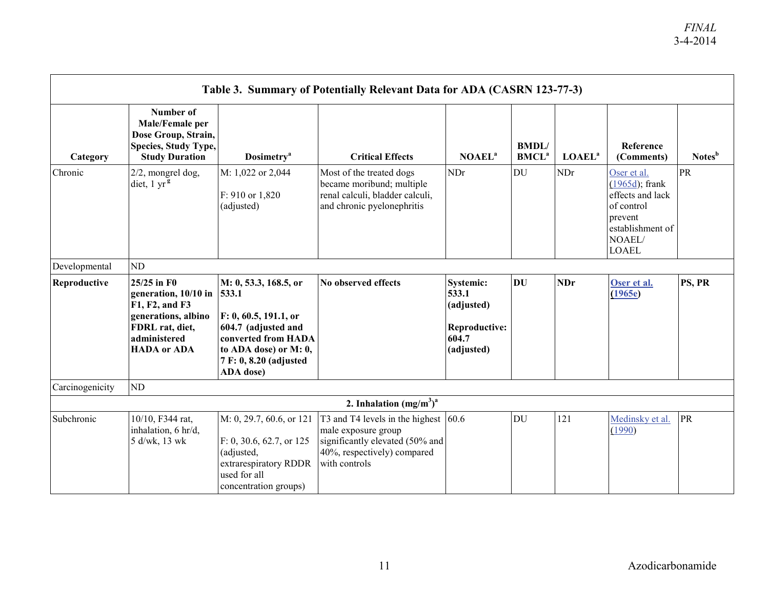| Table 3. Summary of Potentially Relevant Data for ADA (CASRN 123-77-3) |                                                                                                                                       |                                                                                                                                                                       |                                                                                                                                                    |                                                                                 |                                   |                    |                                                                                                                             |                    |  |
|------------------------------------------------------------------------|---------------------------------------------------------------------------------------------------------------------------------------|-----------------------------------------------------------------------------------------------------------------------------------------------------------------------|----------------------------------------------------------------------------------------------------------------------------------------------------|---------------------------------------------------------------------------------|-----------------------------------|--------------------|-----------------------------------------------------------------------------------------------------------------------------|--------------------|--|
| Category                                                               | Number of<br>Male/Female per<br>Dose Group, Strain,<br>Species, Study Type,<br><b>Study Duration</b>                                  | <b>Dosimetry</b> <sup>a</sup>                                                                                                                                         | <b>Critical Effects</b>                                                                                                                            | NOAEL <sup>a</sup>                                                              | BMDL/<br><b>BMCL</b> <sup>a</sup> | LOAEL <sup>a</sup> | Reference<br>(Comments)                                                                                                     | Notes <sup>b</sup> |  |
| Chronic                                                                | $2/2$ , mongrel dog,<br>diet, $1 \text{ yr}$ <sup>g</sup>                                                                             | M: 1,022 or 2,044<br>F: 910 or 1,820<br>(adjusted)                                                                                                                    | Most of the treated dogs<br>became moribund; multiple<br>renal calculi, bladder calculi,<br>and chronic pyelonephritis                             | NDr                                                                             | DU                                | <b>NDr</b>         | Oser et al.<br>$(1965d)$ ; frank<br>effects and lack<br>of control<br>prevent<br>establishment of<br>NOAEL/<br><b>LOAEL</b> | PR                 |  |
| Developmental                                                          | ND                                                                                                                                    |                                                                                                                                                                       |                                                                                                                                                    |                                                                                 |                                   |                    |                                                                                                                             |                    |  |
| Reproductive                                                           | 25/25 in F0<br>generation, 10/10 in<br>F1, F2, and F3<br>generations, albino<br>FDRL rat, diet,<br>administered<br><b>HADA</b> or ADA | M: 0, 53.3, 168.5, or<br>533.1<br>F: 0, 60.5, 191.1, or<br>604.7 (adjusted and<br>converted from HADA<br>to ADA dose) or M: 0,<br>7 F: 0, 8.20 (adjusted<br>ADA dose) | No observed effects                                                                                                                                | Systemic:<br>533.1<br>(adjusted)<br><b>Reproductive:</b><br>604.7<br>(adjusted) | <b>DU</b>                         | <b>NDr</b>         | Oser et al.<br>(1965e)                                                                                                      | PS, PR             |  |
| Carcinogenicity                                                        | N <sub>D</sub>                                                                                                                        |                                                                                                                                                                       |                                                                                                                                                    |                                                                                 |                                   |                    |                                                                                                                             |                    |  |
|                                                                        |                                                                                                                                       |                                                                                                                                                                       | 2. Inhalation $(mg/m3)a$                                                                                                                           |                                                                                 |                                   |                    |                                                                                                                             |                    |  |
| Subchronic                                                             | 10/10, F344 rat,<br>inhalation, 6 hr/d,<br>5 d/wk, 13 wk                                                                              | M: 0, 29.7, 60.6, or 121<br>F: 0, 30.6, 62.7, or 125<br>(adjusted,<br>extrarespiratory RDDR<br>used for all<br>concentration groups)                                  | T3 and T4 levels in the highest $ 60.6 $<br>male exposure group<br>significantly elevated (50% and<br>40%, respectively) compared<br>with controls |                                                                                 | DU                                | 121                | Medinsky et al.<br>(1990)                                                                                                   | PR                 |  |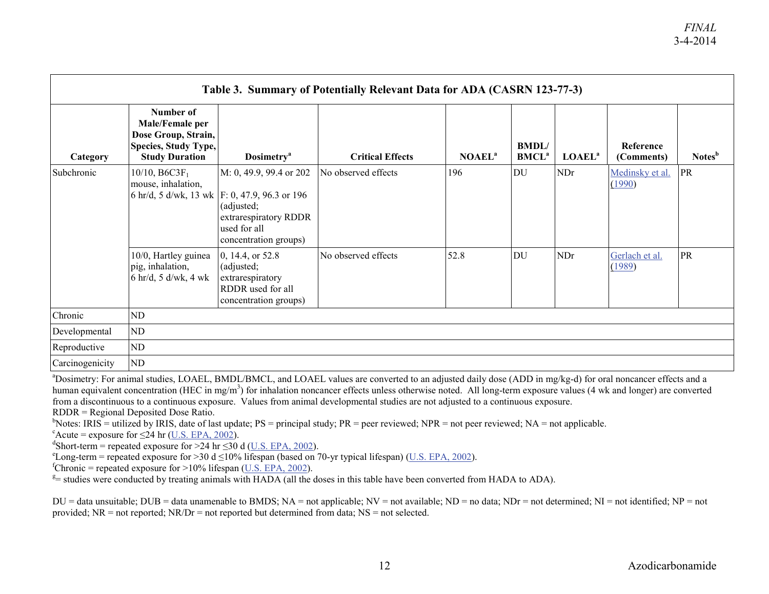| Table 3. Summary of Potentially Relevant Data for ADA (CASRN 123-77-3) |                                                                                                      |                                                                                                                                                          |                         |                           |                                         |                    |                           |                    |  |
|------------------------------------------------------------------------|------------------------------------------------------------------------------------------------------|----------------------------------------------------------------------------------------------------------------------------------------------------------|-------------------------|---------------------------|-----------------------------------------|--------------------|---------------------------|--------------------|--|
| Category                                                               | Number of<br>Male/Female per<br>Dose Group, Strain,<br>Species, Study Type,<br><b>Study Duration</b> | <b>Dosimetry</b> <sup>a</sup>                                                                                                                            | <b>Critical Effects</b> | <b>NOAEL</b> <sup>a</sup> | <b>BMDL</b><br><b>BMCL</b> <sup>a</sup> | LOAEL <sup>a</sup> | Reference<br>(Comments)   | Notes <sup>b</sup> |  |
| Subchronic                                                             | $10/10, B6C3F_1$<br>mouse, inhalation,                                                               | M: 0, 49.9, 99.4 or 202<br>6 hr/d, 5 d/wk, 13 wk F: 0, 47.9, 96.3 or 196<br>(adjusted;<br>extrarespiratory RDDR<br>used for all<br>concentration groups) | No observed effects     | 196                       | DU                                      | <b>NDr</b>         | Medinsky et al.<br>(1990) | <b>PR</b>          |  |
|                                                                        | 10/0, Hartley guinea<br>pig, inhalation,<br>6 hr/d, 5 d/wk, 4 wk                                     | 0, 14.4, or 52.8<br>(adjusted;<br>extrarespiratory<br>RDDR used for all<br>concentration groups)                                                         | No observed effects     | 52.8                      | <b>DU</b>                               | <b>NDr</b>         | Gerlach et al.<br>(1989)  | PR                 |  |
| Chronic                                                                | ND                                                                                                   |                                                                                                                                                          |                         |                           |                                         |                    |                           |                    |  |
| Developmental                                                          | ND                                                                                                   |                                                                                                                                                          |                         |                           |                                         |                    |                           |                    |  |
| Reproductive                                                           | ND                                                                                                   |                                                                                                                                                          |                         |                           |                                         |                    |                           |                    |  |
| Carcinogenicity                                                        | ND                                                                                                   |                                                                                                                                                          |                         |                           |                                         |                    |                           |                    |  |

<sup>a</sup>Dosimetry: For animal studies, LOAEL, BMDL/BMCL, and LOAEL values are converted to an adjusted daily dose (ADD in mg/kg-d) for oral noncancer effects and a human equivalent concentration (HEC in mg/m<sup>3</sup>) for inhalation noncancer effects unless otherwise noted. All long-term exposure values (4 wk and longer) are converted from a discontinuous to a continuous exposure. Values from animal developmental studies are not adjusted to a continuous exposure.

 $RDDR = Regional Deposited Does Ratio.$ 

 $b$ Notes: IRIS = utilized by IRIS, date of last update; PS = principal study; PR = peer reviewed; NPR = not peer reviewed; NA = not applicable.

 $c^2$ Acute = exposure for  $\leq$ 24 hr [\(U.S. EPA, 2002\)](http://hero.epa.gov/index.cfm?action=search.view&reference_id=88824).

 $^{\text{d}}$ Short-term = repeated exposure for >24 hr  $\leq$ 30 d [\(U.S. EPA, 2002\)](http://hero.epa.gov/index.cfm?action=search.view&reference_id=88824).

<sup>e</sup>Long-term = repeated exposure for >30 d ≤10% lifespan (based on 70-yr typical lifespan) [\(U.S. EPA, 2002\)](http://hero.epa.gov/index.cfm?action=search.view&reference_id=88824).

 ${}^{\text{f}}$ Chronic = repeated exposure for >10% lifespan [\(U.S. EPA, 2002\)](http://hero.epa.gov/index.cfm?action=search.view&reference_id=88824).

 $E =$  studies were conducted by treating animals with HADA (all the doses in this table have been converted from HADA to ADA).

 $DU =$  data unsuitable;  $DUB =$  data unamenable to BMDS;  $NA =$  not applicable;  $NV =$  not available;  $ND =$  no data;  $ND =$  not determined;  $NI =$  not identified;  $NP =$  not provided;  $NR = not$  reported;  $NR/Dr = not$  reported but determined from data;  $NS = not$  selected.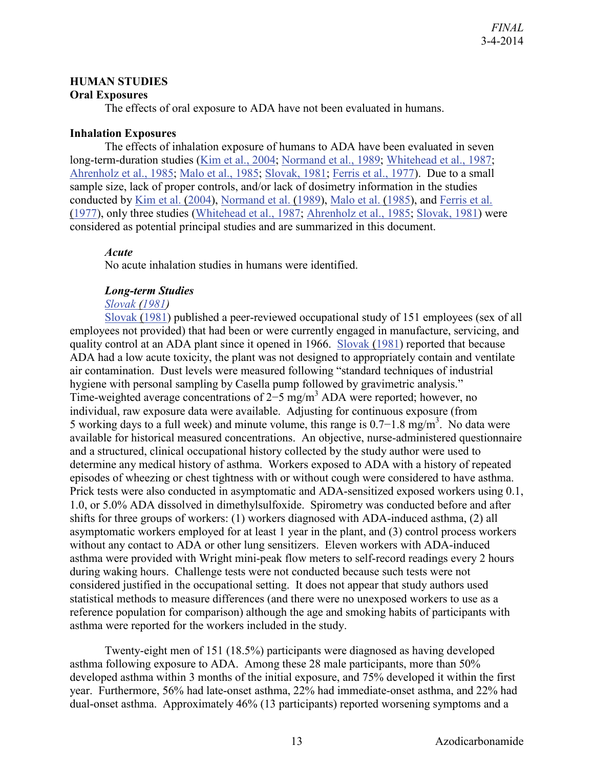#### <span id="page-16-0"></span>**HUMAN STUDIES**

#### <span id="page-16-1"></span>**Oral Exposures**

The effects of oral exposure to ADA have not been evaluated in humans.

#### <span id="page-16-2"></span>**Inhalation Exposures**

The effects of inhalation exposure of humans to ADA have been evaluated in seven long-term-duration studies [\(Kim et al., 2004;](http://hero.epa.gov/index.cfm?action=search.view&reference_id=786164) [Normand et al., 1989;](http://hero.epa.gov/index.cfm?action=search.view&reference_id=786273) [Whitehead et al., 1987;](http://hero.epa.gov/index.cfm?action=search.view&reference_id=786276) [Ahrenholz et al., 1985;](http://hero.epa.gov/index.cfm?action=search.view&reference_id=786154) [Malo et al., 1985;](http://hero.epa.gov/index.cfm?action=search.view&reference_id=786275) [Slovak, 1981;](http://hero.epa.gov/index.cfm?action=search.view&reference_id=786274) [Ferris et al., 1977\)](http://hero.epa.gov/index.cfm?action=search.view&reference_id=786266). Due to a small sample size, lack of proper controls, and/or lack of dosimetry information in the studies conducted by [Kim et al. \(2004\)](http://hero.epa.gov/index.cfm?action=search.view&reference_id=786164), [Normand et al. \(1989\)](http://hero.epa.gov/index.cfm?action=search.view&reference_id=786273), [Malo et al. \(1985\)](http://hero.epa.gov/index.cfm?action=search.view&reference_id=786275), and [Ferris et al.](http://hero.epa.gov/index.cfm?action=search.view&reference_id=786266)  [\(1977\)](http://hero.epa.gov/index.cfm?action=search.view&reference_id=786266), only three studies [\(Whitehead et al., 1987;](http://hero.epa.gov/index.cfm?action=search.view&reference_id=786276) [Ahrenholz et al., 1985;](http://hero.epa.gov/index.cfm?action=search.view&reference_id=786154) [Slovak, 1981\)](http://hero.epa.gov/index.cfm?action=search.view&reference_id=786274) were considered as potential principal studies and are summarized in this document.

#### *Acute*

No acute inhalation studies in humans were identified.

#### *Long-term Studies*

#### *[Slovak \(1981\)](http://hero.epa.gov/index.cfm?action=search.view&reference_id=786274)*

[Slovak \(1981\)](http://hero.epa.gov/index.cfm?action=search.view&reference_id=786274) published a peer-reviewed occupational study of 151 employees (sex of all employees not provided) that had been or were currently engaged in manufacture, servicing, and quality control at an ADA plant since it opened in 1966. [Slovak \(1981\)](http://hero.epa.gov/index.cfm?action=search.view&reference_id=786274) reported that because ADA had a low acute toxicity, the plant was not designed to appropriately contain and ventilate air contamination. Dust levels were measured following "standard techniques of industrial hygiene with personal sampling by Casella pump followed by gravimetric analysis." Time-weighted average concentrations of 2–5 mg/m<sup>3</sup> ADA were reported; however, no individual, raw exposure data were available. Adjusting for continuous exposure (from 5 working days to a full week) and minute volume, this range is  $0.7-1.8$  mg/m<sup>3</sup>. No data were available for historical measured concentrations. An objective, nurse-administered questionnaire and a structured, clinical occupational history collected by the study author were used to determine any medical history of asthma. Workers exposed to ADA with a history of repeated episodes of wheezing or chest tightness with or without cough were considered to have asthma. Prick tests were also conducted in asymptomatic and ADA-sensitized exposed workers using 0.1, 1.0, or 5.0% ADA dissolved in dimethylsulfoxide. Spirometry was conducted before and after shifts for three groups of workers: (1) workers diagnosed with ADA-induced asthma, (2) all asymptomatic workers employed for at least 1 year in the plant, and (3) control process workers without any contact to ADA or other lung sensitizers. Eleven workers with ADA-induced asthma were provided with Wright mini-peak flow meters to self-record readings every 2 hours during waking hours. Challenge tests were not conducted because such tests were not considered justified in the occupational setting. It does not appear that study authors used statistical methods to measure differences (and there were no unexposed workers to use as a reference population for comparison) although the age and smoking habits of participants with asthma were reported for the workers included in the study.

Twenty-eight men of 151 (18.5%) participants were diagnosed as having developed asthma following exposure to ADA. Among these 28 male participants, more than 50% developed asthma within 3 months of the initial exposure, and 75% developed it within the first year. Furthermore, 56% had late-onset asthma, 22% had immediate-onset asthma, and 22% had dual-onset asthma. Approximately 46% (13 participants) reported worsening symptoms and a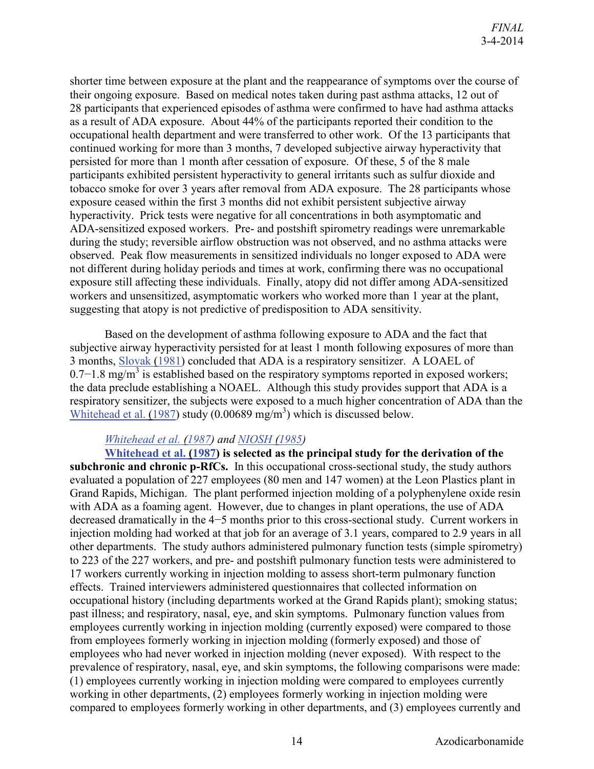shorter time between exposure at the plant and the reappearance of symptoms over the course of their ongoing exposure. Based on medical notes taken during past asthma attacks, 12 out of 28 participants that experienced episodes of asthma were confirmed to have had asthma attacks as a result of ADA exposure. About 44% of the participants reported their condition to the occupational health department and were transferred to other work. Of the 13 participants that continued working for more than 3 months, 7 developed subjective airway hyperactivity that persisted for more than 1 month after cessation of exposure. Of these, 5 of the 8 male participants exhibited persistent hyperactivity to general irritants such as sulfur dioxide and tobacco smoke for over 3 years after removal from ADA exposure. The 28 participants whose exposure ceased within the first 3 months did not exhibit persistent subjective airway hyperactivity. Prick tests were negative for all concentrations in both asymptomatic and ADA-sensitized exposed workers. Pre- and postshift spirometry readings were unremarkable during the study; reversible airflow obstruction was not observed, and no asthma attacks were observed. Peak flow measurements in sensitized individuals no longer exposed to ADA were not different during holiday periods and times at work, confirming there was no occupational exposure still affecting these individuals. Finally, atopy did not differ among ADA-sensitized workers and unsensitized, asymptomatic workers who worked more than 1 year at the plant, suggesting that atopy is not predictive of predisposition to ADA sensitivity.

Based on the development of asthma following exposure to ADA and the fact that subjective airway hyperactivity persisted for at least 1 month following exposures of more than 3 months, [Slovak \(1981\)](http://hero.epa.gov/index.cfm?action=search.view&reference_id=786274) concluded that ADA is a respiratory sensitizer. A LOAEL of  $0.7-1.8$  mg/m<sup>3</sup> is established based on the respiratory symptoms reported in exposed workers; the data preclude establishing a NOAEL. Although this study provides support that ADA is a respiratory sensitizer, the subjects were exposed to a much higher concentration of ADA than the Whitehead et al.  $(1987)$  study  $(0.00689 \text{ mg/m}^3)$  which is discussed below.

#### *[Whitehead et al. \(1987\)](http://hero.epa.gov/index.cfm?action=search.view&reference_id=786276) and [NIOSH \(1985\)](http://hero.epa.gov/index.cfm?action=search.view&reference_id=786537)*

**[Whitehead et al. \(1987\)](http://hero.epa.gov/index.cfm?action=search.view&reference_id=786276) is selected as the principal study for the derivation of the subchronic and chronic p-RfCs.** In this occupational cross-sectional study, the study authors evaluated a population of 227 employees (80 men and 147 women) at the Leon Plastics plant in Grand Rapids, Michigan. The plant performed injection molding of a polyphenylene oxide resin with ADA as a foaming agent. However, due to changes in plant operations, the use of ADA decreased dramatically in the 4−5 months prior to this cross-sectional study. Current workers in injection molding had worked at that job for an average of 3.1 years, compared to 2.9 years in all other departments. The study authors administered pulmonary function tests (simple spirometry) to 223 of the 227 workers, and pre- and postshift pulmonary function tests were administered to 17 workers currently working in injection molding to assess short-term pulmonary function effects. Trained interviewers administered questionnaires that collected information on occupational history (including departments worked at the Grand Rapids plant); smoking status; past illness; and respiratory, nasal, eye, and skin symptoms. Pulmonary function values from employees currently working in injection molding (currently exposed) were compared to those from employees formerly working in injection molding (formerly exposed) and those of employees who had never worked in injection molding (never exposed). With respect to the prevalence of respiratory, nasal, eye, and skin symptoms, the following comparisons were made: (1) employees currently working in injection molding were compared to employees currently working in other departments, (2) employees formerly working in injection molding were compared to employees formerly working in other departments, and (3) employees currently and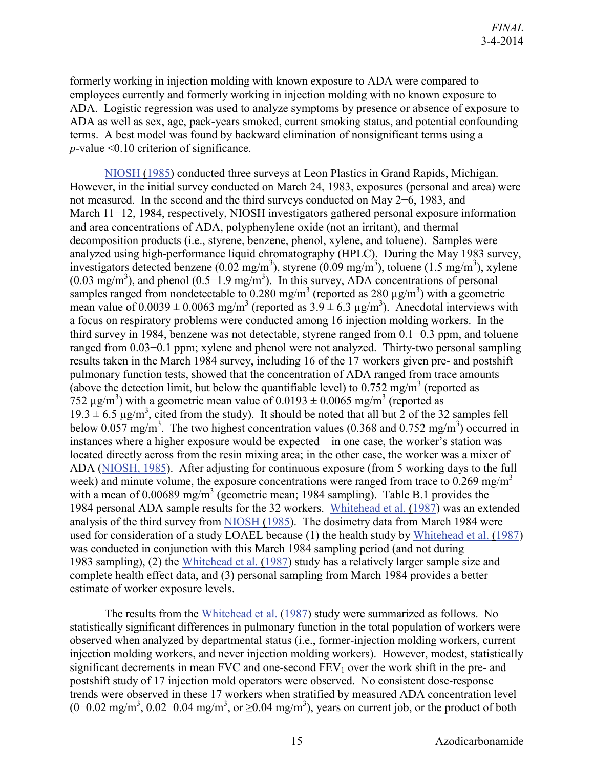formerly working in injection molding with known exposure to ADA were compared to employees currently and formerly working in injection molding with no known exposure to ADA. Logistic regression was used to analyze symptoms by presence or absence of exposure to ADA as well as sex, age, pack-years smoked, current smoking status, and potential confounding terms. A best model was found by backward elimination of nonsignificant terms using a *p*-value <0.10 criterion of significance.

[NIOSH \(1985\)](http://hero.epa.gov/index.cfm?action=search.view&reference_id=786537) conducted three surveys at Leon Plastics in Grand Rapids, Michigan. However, in the initial survey conducted on March 24, 1983, exposures (personal and area) were not measured. In the second and the third surveys conducted on May 2−6, 1983, and March 11−12, 1984, respectively, NIOSH investigators gathered personal exposure information and area concentrations of ADA, polyphenylene oxide (not an irritant), and thermal decomposition products (i.e., styrene, benzene, phenol, xylene, and toluene). Samples were analyzed using high-performance liquid chromatography (HPLC). During the May 1983 survey, investigators detected benzene (0.02 mg/m<sup>3</sup>), styrene (0.09 mg/m<sup>3</sup>), toluene (1.5 mg/m<sup>3</sup>), xylene  $(0.03 \text{ mg/m}^3)$ , and phenol  $(0.5-1.9 \text{ mg/m}^3)$ . In this survey, ADA concentrations of personal samples ranged from nondetectable to 0.280 mg/m<sup>3</sup> (reported as 280  $\mu$ g/m<sup>3</sup>) with a geometric mean value of  $0.0039 \pm 0.0063$  mg/m<sup>3</sup> (reported as  $3.9 \pm 6.3$  µg/m<sup>3</sup>). Anecdotal interviews with a focus on respiratory problems were conducted among 16 injection molding workers. In the third survey in 1984, benzene was not detectable, styrene ranged from 0.1−0.3 ppm, and toluene ranged from 0.03−0.1 ppm; xylene and phenol were not analyzed. Thirty-two personal sampling results taken in the March 1984 survey, including 16 of the 17 workers given pre- and postshift pulmonary function tests, showed that the concentration of ADA ranged from trace amounts (above the detection limit, but below the quantifiable level) to  $0.752 \text{ mg/m}^3$  (reported as 752  $\mu$ g/m<sup>3</sup>) with a geometric mean value of 0.0193 ± 0.0065 mg/m<sup>3</sup> (reported as  $19.3 \pm 6.5 \,\mu$ g/m<sup>3</sup>, cited from the study). It should be noted that all but 2 of the 32 samples fell below 0.057 mg/m<sup>3</sup>. The two highest concentration values (0.368 and 0.752 mg/m<sup>3</sup>) occurred in instances where a higher exposure would be expected—in one case, the worker's station was located directly across from the resin mixing area; in the other case, the worker was a mixer of ADA [\(NIOSH, 1985\)](http://hero.epa.gov/index.cfm?action=search.view&reference_id=786537). After adjusting for continuous exposure (from 5 working days to the full week) and minute volume, the exposure concentrations were ranged from trace to  $0.269 \text{ mg/m}^3$ with a mean of 0.00689 mg/m<sup>3</sup> (geometric mean; 1984 sampling). Table B.1 provides the 1984 personal ADA sample results for the 32 workers. [Whitehead et al. \(1987\)](http://hero.epa.gov/index.cfm?action=search.view&reference_id=786276) was an extended analysis of the third survey from [NIOSH \(1985\)](http://hero.epa.gov/index.cfm?action=search.view&reference_id=786537). The dosimetry data from March 1984 were used for consideration of a study LOAEL because (1) the health study by [Whitehead et al. \(1987\)](http://hero.epa.gov/index.cfm?action=search.view&reference_id=786276) was conducted in conjunction with this March 1984 sampling period (and not during 1983 sampling), (2) the [Whitehead et al. \(1987\)](http://hero.epa.gov/index.cfm?action=search.view&reference_id=786276) study has a relatively larger sample size and complete health effect data, and (3) personal sampling from March 1984 provides a better estimate of worker exposure levels.

The results from the [Whitehead et al. \(1987\)](http://hero.epa.gov/index.cfm?action=search.view&reference_id=786276) study were summarized as follows. No statistically significant differences in pulmonary function in the total population of workers were observed when analyzed by departmental status (i.e., former-injection molding workers, current injection molding workers, and never injection molding workers). However, modest, statistically significant decrements in mean FVC and one-second  $FEV<sub>1</sub>$  over the work shift in the pre- and postshift study of 17 injection mold operators were observed. No consistent dose-response trends were observed in these 17 workers when stratified by measured ADA concentration level  $(0-0.02 \text{ mg/m}^3, 0.02-0.04 \text{ mg/m}^3, \text{ or } \ge 0.04 \text{ mg/m}^3)$ , years on current job, or the product of both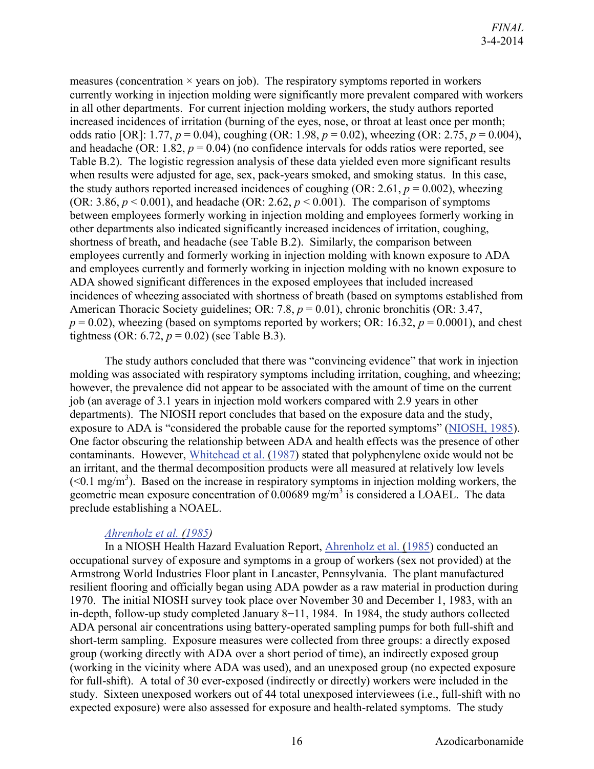measures (concentration  $\times$  years on job). The respiratory symptoms reported in workers currently working in injection molding were significantly more prevalent compared with workers in all other departments. For current injection molding workers, the study authors reported increased incidences of irritation (burning of the eyes, nose, or throat at least once per month; odds ratio [OR]: 1.77, *p* = 0.04), coughing (OR: 1.98, *p* = 0.02), wheezing (OR: 2.75, *p* = 0.004), and headache (OR: 1.82,  $p = 0.04$ ) (no confidence intervals for odds ratios were reported, see Table B.2). The logistic regression analysis of these data yielded even more significant results when results were adjusted for age, sex, pack-years smoked, and smoking status. In this case, the study authors reported increased incidences of coughing (OR: 2.61,  $p = 0.002$ ), wheezing (OR: 3.86,  $p < 0.001$ ), and headache (OR: 2.62,  $p < 0.001$ ). The comparison of symptoms between employees formerly working in injection molding and employees formerly working in other departments also indicated significantly increased incidences of irritation, coughing, shortness of breath, and headache (see Table B.2). Similarly, the comparison between employees currently and formerly working in injection molding with known exposure to ADA and employees currently and formerly working in injection molding with no known exposure to ADA showed significant differences in the exposed employees that included increased incidences of wheezing associated with shortness of breath (based on symptoms established from American Thoracic Society guidelines; OR: 7.8,  $p = 0.01$ ), chronic bronchitis (OR: 3.47,  $p = 0.02$ ), wheezing (based on symptoms reported by workers; OR: 16.32,  $p = 0.0001$ ), and chest tightness (OR: 6.72,  $p = 0.02$ ) (see Table B.3).

The study authors concluded that there was "convincing evidence" that work in injection molding was associated with respiratory symptoms including irritation, coughing, and wheezing; however, the prevalence did not appear to be associated with the amount of time on the current job (an average of 3.1 years in injection mold workers compared with 2.9 years in other departments). The NIOSH report concludes that based on the exposure data and the study, exposure to ADA is "considered the probable cause for the reported symptoms" [\(NIOSH, 1985\)](http://hero.epa.gov/index.cfm?action=search.view&reference_id=786537). One factor obscuring the relationship between ADA and health effects was the presence of other contaminants. However, [Whitehead et al. \(1987\)](http://hero.epa.gov/index.cfm?action=search.view&reference_id=786276) stated that polyphenylene oxide would not be an irritant, and the thermal decomposition products were all measured at relatively low levels  $(< 0.1$  mg/m<sup>3</sup>). Based on the increase in respiratory symptoms in injection molding workers, the geometric mean exposure concentration of  $0.00689$  mg/m<sup>3</sup> is considered a LOAEL. The data preclude establishing a NOAEL.

#### *[Ahrenholz et al. \(1985\)](http://hero.epa.gov/index.cfm?action=search.view&reference_id=786154)*

In a NIOSH Health Hazard Evaluation Report, [Ahrenholz et al. \(1985\)](http://hero.epa.gov/index.cfm?action=search.view&reference_id=786154) conducted an occupational survey of exposure and symptoms in a group of workers (sex not provided) at the Armstrong World Industries Floor plant in Lancaster, Pennsylvania. The plant manufactured resilient flooring and officially began using ADA powder as a raw material in production during 1970. The initial NIOSH survey took place over November 30 and December 1, 1983, with an in-depth, follow-up study completed January 8−11, 1984. In 1984, the study authors collected ADA personal air concentrations using battery-operated sampling pumps for both full-shift and short-term sampling. Exposure measures were collected from three groups: a directly exposed group (working directly with ADA over a short period of time), an indirectly exposed group (working in the vicinity where ADA was used), and an unexposed group (no expected exposure for full-shift). A total of 30 ever-exposed (indirectly or directly) workers were included in the study. Sixteen unexposed workers out of 44 total unexposed interviewees (i.e., full-shift with no expected exposure) were also assessed for exposure and health-related symptoms. The study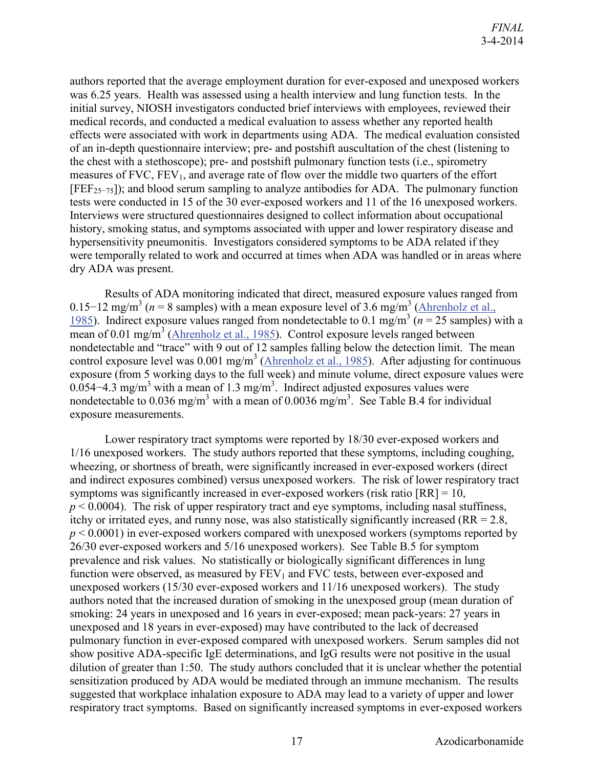authors reported that the average employment duration for ever-exposed and unexposed workers was 6.25 years. Health was assessed using a health interview and lung function tests. In the initial survey, NIOSH investigators conducted brief interviews with employees, reviewed their medical records, and conducted a medical evaluation to assess whether any reported health effects were associated with work in departments using ADA. The medical evaluation consisted of an in-depth questionnaire interview; pre- and postshift auscultation of the chest (listening to the chest with a stethoscope); pre- and postshift pulmonary function tests (i.e., spirometry measures of  $FVC$ ,  $FEV_1$ , and average rate of flow over the middle two quarters of the effort [FEF25−75]); and blood serum sampling to analyze antibodies for ADA. The pulmonary function tests were conducted in 15 of the 30 ever-exposed workers and 11 of the 16 unexposed workers. Interviews were structured questionnaires designed to collect information about occupational history, smoking status, and symptoms associated with upper and lower respiratory disease and hypersensitivity pneumonitis. Investigators considered symptoms to be ADA related if they were temporally related to work and occurred at times when ADA was handled or in areas where dry ADA was present.

Results of ADA monitoring indicated that direct, measured exposure values ranged from 0.15−12 mg/m<sup>3</sup> ( $n = 8$  samples) with a mean exposure level of 3.6 mg/m<sup>3</sup> (Ahrenholz et al., [1985\)](http://hero.epa.gov/index.cfm?action=search.view&reference_id=786154). Indirect exposure values ranged from nondetectable to 0.1 mg/m<sup>3</sup> ( $n = 25$  samples) with a mean of 0.01 mg/m<sup>3</sup> [\(Ahrenholz et al., 1985\)](http://hero.epa.gov/index.cfm?action=search.view&reference_id=786154). Control exposure levels ranged between nondetectable and "trace" with 9 out of 12 samples falling below the detection limit. The mean control exposure level was  $0.001$  mg/m<sup>3</sup> [\(Ahrenholz et al., 1985\)](http://hero.epa.gov/index.cfm?action=search.view&reference_id=786154). After adjusting for continuous exposure (from 5 working days to the full week) and minute volume, direct exposure values were 0.054–4.3 mg/m<sup>3</sup> with a mean of 1.3 mg/m<sup>3</sup>. Indirect adjusted exposures values were nondetectable to 0.036 mg/m<sup>3</sup> with a mean of 0.0036 mg/m<sup>3</sup>. See Table B.4 for individual exposure measurements.

Lower respiratory tract symptoms were reported by 18/30 ever-exposed workers and 1/16 unexposed workers. The study authors reported that these symptoms, including coughing, wheezing, or shortness of breath, were significantly increased in ever-exposed workers (direct and indirect exposures combined) versus unexposed workers. The risk of lower respiratory tract symptoms was significantly increased in ever-exposed workers (risk ratio  $[RR] = 10$ ,  $p < 0.0004$ ). The risk of upper respiratory tract and eye symptoms, including nasal stuffiness, itchy or irritated eyes, and runny nose, was also statistically significantly increased  $(RR = 2.8$ , *p* < 0.0001) in ever-exposed workers compared with unexposed workers (symptoms reported by 26/30 ever-exposed workers and 5/16 unexposed workers). See Table B.5 for symptom prevalence and risk values. No statistically or biologically significant differences in lung function were observed, as measured by  $FEV<sub>1</sub>$  and  $FVC$  tests, between ever-exposed and unexposed workers (15/30 ever-exposed workers and 11/16 unexposed workers). The study authors noted that the increased duration of smoking in the unexposed group (mean duration of smoking: 24 years in unexposed and 16 years in ever-exposed; mean pack-years: 27 years in unexposed and 18 years in ever-exposed) may have contributed to the lack of decreased pulmonary function in ever-exposed compared with unexposed workers. Serum samples did not show positive ADA-specific IgE determinations, and IgG results were not positive in the usual dilution of greater than 1:50. The study authors concluded that it is unclear whether the potential sensitization produced by ADA would be mediated through an immune mechanism. The results suggested that workplace inhalation exposure to ADA may lead to a variety of upper and lower respiratory tract symptoms. Based on significantly increased symptoms in ever-exposed workers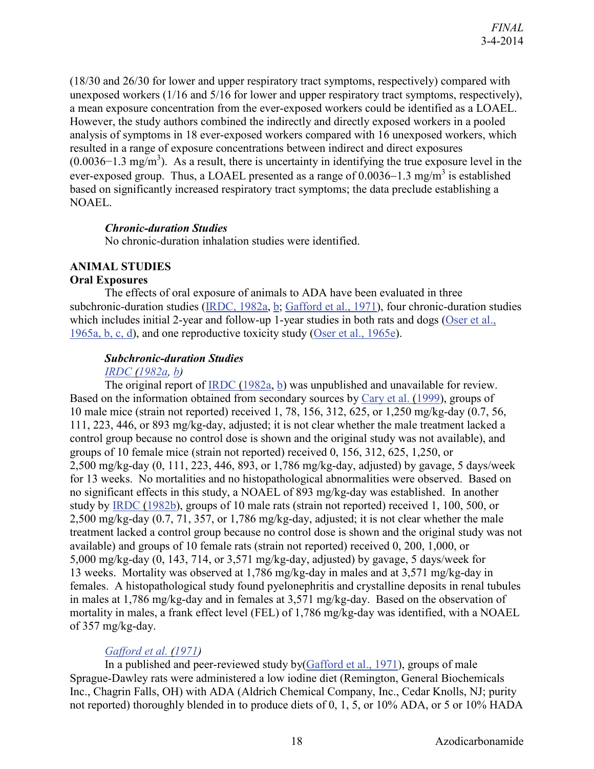(18/30 and 26/30 for lower and upper respiratory tract symptoms, respectively) compared with unexposed workers (1/16 and 5/16 for lower and upper respiratory tract symptoms, respectively), a mean exposure concentration from the ever-exposed workers could be identified as a LOAEL. However, the study authors combined the indirectly and directly exposed workers in a pooled analysis of symptoms in 18 ever-exposed workers compared with 16 unexposed workers, which resulted in a range of exposure concentrations between indirect and direct exposures  $(0.0036-1.3 \text{ mg/m}^3)$ . As a result, there is uncertainty in identifying the true exposure level in the ever-exposed group. Thus, a LOAEL presented as a range of  $0.0036-1.3$  mg/m<sup>3</sup> is established based on significantly increased respiratory tract symptoms; the data preclude establishing a NOAEL.

#### *Chronic-duration Studies*

No chronic-duration inhalation studies were identified.

## <span id="page-21-0"></span>**ANIMAL STUDIES**

#### <span id="page-21-1"></span>**Oral Exposures**

The effects of oral exposure of animals to ADA have been evaluated in three subchronic-duration studies [\(IRDC, 1982a,](http://hero.epa.gov/index.cfm?action=search.view&reference_id=807171) [b;](http://hero.epa.gov/index.cfm?action=search.view&reference_id=807167) [Gafford et al., 1971\)](http://hero.epa.gov/index.cfm?action=search.view&reference_id=786163), four chronic-duration studies which includes initial 2-year and follow-up 1-year studies in both rats and dogs (Oser et al., [1965a, b, c, d\)](http://hero.epa.gov/index.cfm?action=search.view&reference_id=786166), and one reproductive toxicity study [\(Oser et al., 1965e\)](http://hero.epa.gov/index.cfm?action=search.view&reference_id=786166).

#### *Subchronic-duration Studies*

#### *[IRDC \(1982a,](http://hero.epa.gov/index.cfm?action=search.view&reference_id=807171) [b\)](http://hero.epa.gov/index.cfm?action=search.view&reference_id=807167)*

The original report of [IRDC \(1982a,](http://hero.epa.gov/index.cfm?action=search.view&reference_id=807171) [b\)](http://hero.epa.gov/index.cfm?action=search.view&reference_id=807167) was unpublished and unavailable for review. Based on the information obtained from secondary sources by [Cary et al. \(1999\)](http://hero.epa.gov/index.cfm?action=search.view&reference_id=786169), groups of 10 male mice (strain not reported) received 1, 78, 156, 312, 625, or 1,250 mg/kg-day (0.7, 56, 111, 223, 446, or 893 mg/kg-day, adjusted; it is not clear whether the male treatment lacked a control group because no control dose is shown and the original study was not available), and groups of 10 female mice (strain not reported) received 0, 156, 312, 625, 1,250, or 2,500 mg/kg-day (0, 111, 223, 446, 893, or 1,786 mg/kg-day, adjusted) by gavage, 5 days/week for 13 weeks. No mortalities and no histopathological abnormalities were observed. Based on no significant effects in this study, a NOAEL of 893 mg/kg-day was established. In another study by [IRDC \(1982b\)](http://hero.epa.gov/index.cfm?action=search.view&reference_id=807167), groups of 10 male rats (strain not reported) received 1, 100, 500, or 2,500 mg/kg-day (0.7, 71, 357, or 1,786 mg/kg-day, adjusted; it is not clear whether the male treatment lacked a control group because no control dose is shown and the original study was not available) and groups of 10 female rats (strain not reported) received 0, 200, 1,000, or 5,000 mg/kg-day (0, 143, 714, or 3,571 mg/kg-day, adjusted) by gavage, 5 days/week for 13 weeks. Mortality was observed at 1,786 mg/kg-day in males and at 3,571 mg/kg-day in females. A histopathological study found pyelonephritis and crystalline deposits in renal tubules in males at 1,786 mg/kg-day and in females at 3,571 mg/kg-day. Based on the observation of mortality in males, a frank effect level (FEL) of 1,786 mg/kg-day was identified, with a NOAEL of 357 mg/kg-day.

#### *[Gafford et al. \(1971\)](http://hero.epa.gov/index.cfm?action=search.view&reference_id=786163)*

In a published and peer-reviewed study by[\(Gafford et al., 1971\)](http://hero.epa.gov/index.cfm?action=search.view&reference_id=786163), groups of male Sprague-Dawley rats were administered a low iodine diet (Remington, General Biochemicals Inc., Chagrin Falls, OH) with ADA (Aldrich Chemical Company, Inc., Cedar Knolls, NJ; purity not reported) thoroughly blended in to produce diets of 0, 1, 5, or 10% ADA, or 5 or 10% HADA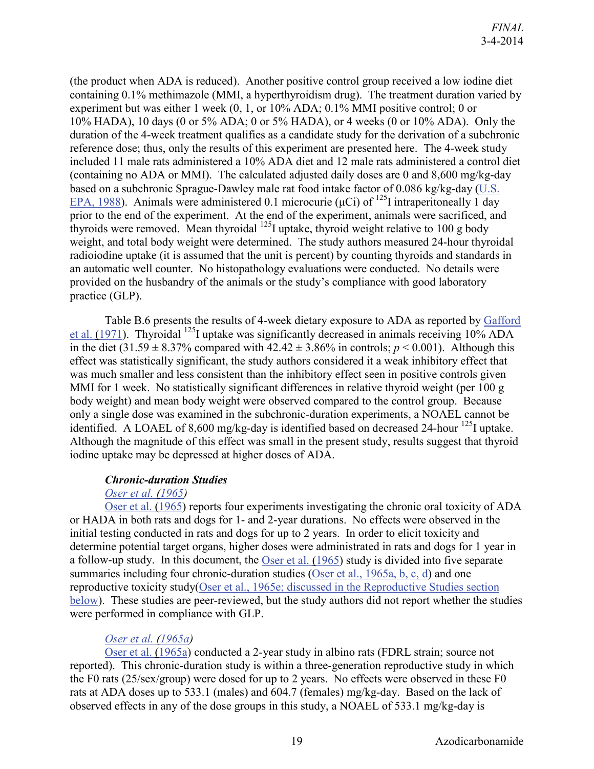(the product when ADA is reduced). Another positive control group received a low iodine diet containing 0.1% methimazole (MMI, a hyperthyroidism drug). The treatment duration varied by experiment but was either 1 week (0, 1, or 10% ADA; 0.1% MMI positive control; 0 or 10% HADA), 10 days (0 or 5% ADA; 0 or 5% HADA), or 4 weeks (0 or 10% ADA). Only the duration of the 4-week treatment qualifies as a candidate study for the derivation of a subchronic reference dose; thus, only the results of this experiment are presented here. The 4-week study included 11 male rats administered a 10% ADA diet and 12 male rats administered a control diet (containing no ADA or MMI). The calculated adjusted daily doses are 0 and 8,600 mg/kg-day based on a subchronic Sprague-Dawley male rat food intake factor of 0.086 kg/kg-day [\(U.S.](http://hero.epa.gov/index.cfm?action=search.view&reference_id=64560)  [EPA, 1988\)](http://hero.epa.gov/index.cfm?action=search.view&reference_id=64560). Animals were administered 0.1 microcurie ( $\mu$ Ci) of <sup>125</sup>I intraperitoneally 1 day prior to the end of the experiment. At the end of the experiment, animals were sacrificed, and thyroids were removed. Mean thyroidal  $^{125}$ I uptake, thyroid weight relative to 100 g body weight, and total body weight were determined. The study authors measured 24-hour thyroidal radioiodine uptake (it is assumed that the unit is percent) by counting thyroids and standards in an automatic well counter. No histopathology evaluations were conducted. No details were provided on the husbandry of the animals or the study's compliance with good laboratory practice (GLP).

Table B.6 presents the results of 4-week dietary exposure to ADA as reported by [Gafford](http://hero.epa.gov/index.cfm?action=search.view&reference_id=786163)  et al.  $(1971)$ . Thyroidal <sup>125</sup>I uptake was significantly decreased in animals receiving 10% ADA in the diet  $(31.59 \pm 8.37\%$  compared with  $42.42 \pm 3.86\%$  in controls;  $p < 0.001$ ). Although this effect was statistically significant, the study authors considered it a weak inhibitory effect that was much smaller and less consistent than the inhibitory effect seen in positive controls given MMI for 1 week. No statistically significant differences in relative thyroid weight (per 100 g body weight) and mean body weight were observed compared to the control group. Because only a single dose was examined in the subchronic-duration experiments, a NOAEL cannot be identified. A LOAEL of 8,600 mg/kg-day is identified based on decreased 24-hour  $^{125}$ I uptake. Although the magnitude of this effect was small in the present study, results suggest that thyroid iodine uptake may be depressed at higher doses of ADA.

#### *Chronic-duration Studies*

#### *[Oser et al. \(1965\)](http://hero.epa.gov/index.cfm?action=search.view&reference_id=786166)*

[Oser et al. \(1965\)](http://hero.epa.gov/index.cfm?action=search.view&reference_id=786166) reports four experiments investigating the chronic oral toxicity of ADA or HADA in both rats and dogs for 1- and 2-year durations. No effects were observed in the initial testing conducted in rats and dogs for up to 2 years. In order to elicit toxicity and determine potential target organs, higher doses were administrated in rats and dogs for 1 year in a follow-up study. In this document, the [Oser et al. \(1965\)](http://hero.epa.gov/index.cfm?action=search.view&reference_id=786166) study is divided into five separate summaries including four chronic-duration studies [\(Oser et al., 1965a, b, c, d\)](http://hero.epa.gov/index.cfm?action=search.view&reference_id=786166) and one reproductive toxicity study[\(Oser et al., 1965e; discussed in the Reproductive Studies section](http://hero.epa.gov/index.cfm?action=search.view&reference_id=786166)  [below\)](http://hero.epa.gov/index.cfm?action=search.view&reference_id=786166). These studies are peer-reviewed, but the study authors did not report whether the studies were performed in compliance with GLP.

## *[Oser et al. \(1965a\)](http://hero.epa.gov/index.cfm?action=search.view&reference_id=786166)*

[Oser et al. \(1965a\)](http://hero.epa.gov/index.cfm?action=search.view&reference_id=786166) conducted a 2-year study in albino rats (FDRL strain; source not reported). This chronic-duration study is within a three-generation reproductive study in which the F0 rats (25/sex/group) were dosed for up to 2 years. No effects were observed in these F0 rats at ADA doses up to 533.1 (males) and 604.7 (females) mg/kg-day. Based on the lack of observed effects in any of the dose groups in this study, a NOAEL of 533.1 mg/kg-day is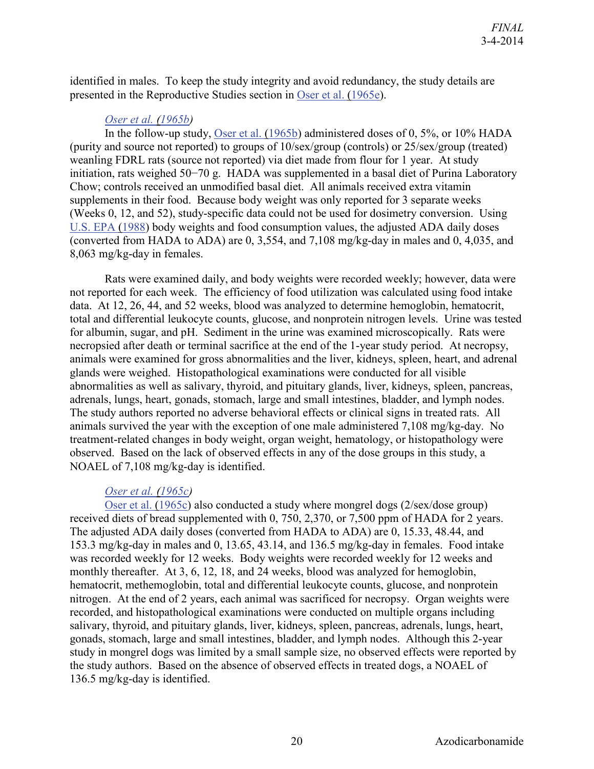identified in males. To keep the study integrity and avoid redundancy, the study details are presented in the Reproductive Studies section in [Oser et al. \(1965e\)](http://hero.epa.gov/index.cfm?action=search.view&reference_id=786166).

#### *[Oser et al. \(1965b\)](http://hero.epa.gov/index.cfm?action=search.view&reference_id=786166)*

In the follow-up study, [Oser et al. \(1965b\)](http://hero.epa.gov/index.cfm?action=search.view&reference_id=786166) administered doses of 0, 5%, or 10% HADA (purity and source not reported) to groups of 10/sex/group (controls) or 25/sex/group (treated) weanling FDRL rats (source not reported) via diet made from flour for 1 year. At study initiation, rats weighed 50−70 g. HADA was supplemented in a basal diet of Purina Laboratory Chow; controls received an unmodified basal diet. All animals received extra vitamin supplements in their food. Because body weight was only reported for 3 separate weeks (Weeks 0, 12, and 52), study-specific data could not be used for dosimetry conversion. Using [U.S. EPA \(1988\)](http://hero.epa.gov/index.cfm?action=search.view&reference_id=64560) body weights and food consumption values, the adjusted ADA daily doses (converted from HADA to ADA) are 0, 3,554, and 7,108 mg/kg-day in males and 0, 4,035, and 8,063 mg/kg-day in females.

Rats were examined daily, and body weights were recorded weekly; however, data were not reported for each week. The efficiency of food utilization was calculated using food intake data. At 12, 26, 44, and 52 weeks, blood was analyzed to determine hemoglobin, hematocrit, total and differential leukocyte counts, glucose, and nonprotein nitrogen levels. Urine was tested for albumin, sugar, and pH. Sediment in the urine was examined microscopically. Rats were necropsied after death or terminal sacrifice at the end of the 1-year study period. At necropsy, animals were examined for gross abnormalities and the liver, kidneys, spleen, heart, and adrenal glands were weighed. Histopathological examinations were conducted for all visible abnormalities as well as salivary, thyroid, and pituitary glands, liver, kidneys, spleen, pancreas, adrenals, lungs, heart, gonads, stomach, large and small intestines, bladder, and lymph nodes. The study authors reported no adverse behavioral effects or clinical signs in treated rats. All animals survived the year with the exception of one male administered 7,108 mg/kg-day. No treatment-related changes in body weight, organ weight, hematology, or histopathology were observed. Based on the lack of observed effects in any of the dose groups in this study, a NOAEL of 7,108 mg/kg-day is identified.

#### *[Oser et al. \(1965c\)](http://hero.epa.gov/index.cfm?action=search.view&reference_id=786166)*

[Oser et al. \(1965c\)](http://hero.epa.gov/index.cfm?action=search.view&reference_id=786166) also conducted a study where mongrel dogs (2/sex/dose group) received diets of bread supplemented with 0, 750, 2,370, or 7,500 ppm of HADA for 2 years. The adjusted ADA daily doses (converted from HADA to ADA) are 0, 15.33, 48.44, and 153.3 mg/kg-day in males and 0, 13.65, 43.14, and 136.5 mg/kg-day in females. Food intake was recorded weekly for 12 weeks. Body weights were recorded weekly for 12 weeks and monthly thereafter. At 3, 6, 12, 18, and 24 weeks, blood was analyzed for hemoglobin, hematocrit, methemoglobin, total and differential leukocyte counts, glucose, and nonprotein nitrogen. At the end of 2 years, each animal was sacrificed for necropsy. Organ weights were recorded, and histopathological examinations were conducted on multiple organs including salivary, thyroid, and pituitary glands, liver, kidneys, spleen, pancreas, adrenals, lungs, heart, gonads, stomach, large and small intestines, bladder, and lymph nodes. Although this 2-year study in mongrel dogs was limited by a small sample size, no observed effects were reported by the study authors. Based on the absence of observed effects in treated dogs, a NOAEL of 136.5 mg/kg-day is identified.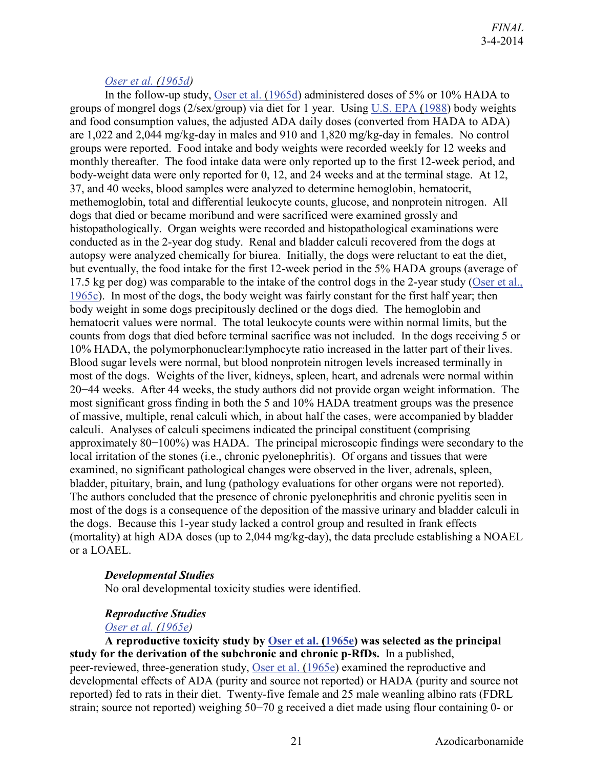#### *[Oser et al. \(1965d\)](http://hero.epa.gov/index.cfm?action=search.view&reference_id=786166)*

In the follow-up study, [Oser et al. \(1965d\)](http://hero.epa.gov/index.cfm?action=search.view&reference_id=786166) administered doses of 5% or 10% HADA to groups of mongrel dogs (2/sex/group) via diet for 1 year. Using [U.S. EPA \(1988\)](http://hero.epa.gov/index.cfm?action=search.view&reference_id=64560) body weights and food consumption values, the adjusted ADA daily doses (converted from HADA to ADA) are 1,022 and 2,044 mg/kg-day in males and 910 and 1,820 mg/kg-day in females. No control groups were reported. Food intake and body weights were recorded weekly for 12 weeks and monthly thereafter. The food intake data were only reported up to the first 12-week period, and body-weight data were only reported for 0, 12, and 24 weeks and at the terminal stage. At 12, 37, and 40 weeks, blood samples were analyzed to determine hemoglobin, hematocrit, methemoglobin, total and differential leukocyte counts, glucose, and nonprotein nitrogen. All dogs that died or became moribund and were sacrificed were examined grossly and histopathologically. Organ weights were recorded and histopathological examinations were conducted as in the 2-year dog study. Renal and bladder calculi recovered from the dogs at autopsy were analyzed chemically for biurea. Initially, the dogs were reluctant to eat the diet, but eventually, the food intake for the first 12-week period in the 5% HADA groups (average of 17.5 kg per dog) was comparable to the intake of the control dogs in the 2-year study [\(Oser et al.,](http://hero.epa.gov/index.cfm?action=search.view&reference_id=786166)  [1965c\)](http://hero.epa.gov/index.cfm?action=search.view&reference_id=786166). In most of the dogs, the body weight was fairly constant for the first half year; then body weight in some dogs precipitously declined or the dogs died. The hemoglobin and hematocrit values were normal. The total leukocyte counts were within normal limits, but the counts from dogs that died before terminal sacrifice was not included. In the dogs receiving 5 or 10% HADA, the polymorphonuclear:lymphocyte ratio increased in the latter part of their lives. Blood sugar levels were normal, but blood nonprotein nitrogen levels increased terminally in most of the dogs. Weights of the liver, kidneys, spleen, heart, and adrenals were normal within 20−44 weeks. After 44 weeks, the study authors did not provide organ weight information. The most significant gross finding in both the 5 and 10% HADA treatment groups was the presence of massive, multiple, renal calculi which, in about half the cases, were accompanied by bladder calculi. Analyses of calculi specimens indicated the principal constituent (comprising approximately 80−100%) was HADA. The principal microscopic findings were secondary to the local irritation of the stones (i.e., chronic pyelonephritis). Of organs and tissues that were examined, no significant pathological changes were observed in the liver, adrenals, spleen, bladder, pituitary, brain, and lung (pathology evaluations for other organs were not reported). The authors concluded that the presence of chronic pyelonephritis and chronic pyelitis seen in most of the dogs is a consequence of the deposition of the massive urinary and bladder calculi in the dogs. Because this 1-year study lacked a control group and resulted in frank effects (mortality) at high ADA doses (up to 2,044 mg/kg-day), the data preclude establishing a NOAEL or a LOAEL.

#### *Developmental Studies*

No oral developmental toxicity studies were identified.

#### *Reproductive Studies*

#### *[Oser et al. \(1965e\)](http://hero.epa.gov/index.cfm?action=search.view&reference_id=786166)*

**A reproductive toxicity study by [Oser et al. \(1965e\)](http://hero.epa.gov/index.cfm?action=search.view&reference_id=786166) was selected as the principal study for the derivation of the subchronic and chronic p-RfDs.** In a published, peer-reviewed, three-generation study, [Oser et al. \(1965e\)](http://hero.epa.gov/index.cfm?action=search.view&reference_id=786166) examined the reproductive and developmental effects of ADA (purity and source not reported) or HADA (purity and source not reported) fed to rats in their diet. Twenty-five female and 25 male weanling albino rats (FDRL strain; source not reported) weighing 50−70 g received a diet made using flour containing 0- or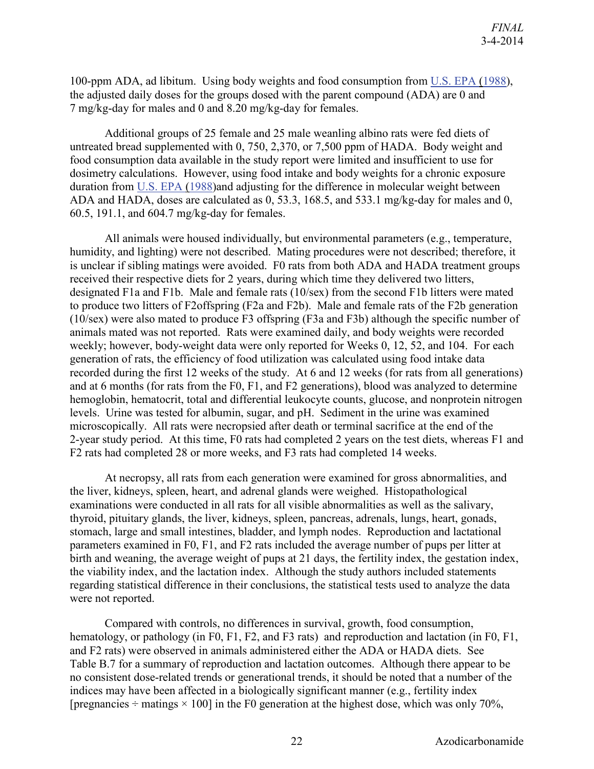100-ppm ADA, ad libitum. Using body weights and food consumption from [U.S. EPA \(1988\)](http://hero.epa.gov/index.cfm?action=search.view&reference_id=64560), the adjusted daily doses for the groups dosed with the parent compound (ADA) are 0 and 7 mg/kg-day for males and 0 and 8.20 mg/kg-day for females.

Additional groups of 25 female and 25 male weanling albino rats were fed diets of untreated bread supplemented with 0, 750, 2,370, or 7,500 ppm of HADA. Body weight and food consumption data available in the study report were limited and insufficient to use for dosimetry calculations. However, using food intake and body weights for a chronic exposure duration from [U.S. EPA \(1988\)](http://hero.epa.gov/index.cfm?action=search.view&reference_id=64560)and adjusting for the difference in molecular weight between ADA and HADA, doses are calculated as 0, 53.3, 168.5, and 533.1 mg/kg-day for males and 0, 60.5, 191.1, and 604.7 mg/kg-day for females.

All animals were housed individually, but environmental parameters (e.g., temperature, humidity, and lighting) were not described. Mating procedures were not described; therefore, it is unclear if sibling matings were avoided. F0 rats from both ADA and HADA treatment groups received their respective diets for 2 years, during which time they delivered two litters, designated F1a and F1b. Male and female rats (10/sex) from the second F1b litters were mated to produce two litters of F2offspring (F2a and F2b). Male and female rats of the F2b generation (10/sex) were also mated to produce F3 offspring (F3a and F3b) although the specific number of animals mated was not reported. Rats were examined daily, and body weights were recorded weekly; however, body-weight data were only reported for Weeks 0, 12, 52, and 104. For each generation of rats, the efficiency of food utilization was calculated using food intake data recorded during the first 12 weeks of the study. At 6 and 12 weeks (for rats from all generations) and at 6 months (for rats from the F0, F1, and F2 generations), blood was analyzed to determine hemoglobin, hematocrit, total and differential leukocyte counts, glucose, and nonprotein nitrogen levels. Urine was tested for albumin, sugar, and pH. Sediment in the urine was examined microscopically. All rats were necropsied after death or terminal sacrifice at the end of the 2-year study period. At this time, F0 rats had completed 2 years on the test diets, whereas F1 and F2 rats had completed 28 or more weeks, and F3 rats had completed 14 weeks.

At necropsy, all rats from each generation were examined for gross abnormalities, and the liver, kidneys, spleen, heart, and adrenal glands were weighed. Histopathological examinations were conducted in all rats for all visible abnormalities as well as the salivary, thyroid, pituitary glands, the liver, kidneys, spleen, pancreas, adrenals, lungs, heart, gonads, stomach, large and small intestines, bladder, and lymph nodes. Reproduction and lactational parameters examined in F0, F1, and F2 rats included the average number of pups per litter at birth and weaning, the average weight of pups at 21 days, the fertility index, the gestation index, the viability index, and the lactation index. Although the study authors included statements regarding statistical difference in their conclusions, the statistical tests used to analyze the data were not reported.

Compared with controls, no differences in survival, growth, food consumption, hematology, or pathology (in F0, F1, F2, and F3 rats) and reproduction and lactation (in F0, F1, and F2 rats) were observed in animals administered either the ADA or HADA diets. See Table B.7 for a summary of reproduction and lactation outcomes. Although there appear to be no consistent dose-related trends or generational trends, it should be noted that a number of the indices may have been affected in a biologically significant manner (e.g., fertility index [pregnancies  $\div$  matings  $\times$  100] in the F0 generation at the highest dose, which was only 70%,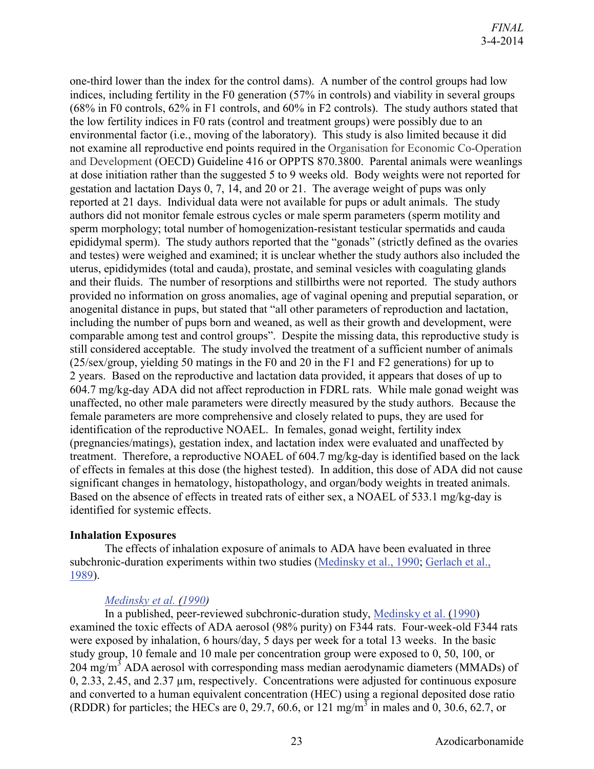one-third lower than the index for the control dams). A number of the control groups had low indices, including fertility in the F0 generation (57% in controls) and viability in several groups (68% in F0 controls, 62% in F1 controls, and 60% in F2 controls). The study authors stated that the low fertility indices in F0 rats (control and treatment groups) were possibly due to an environmental factor (i.e., moving of the laboratory). This study is also limited because it did not examine all reproductive end points required in the Organisation for Economic Co-Operation and Development (OECD) Guideline 416 or OPPTS 870.3800. Parental animals were weanlings at dose initiation rather than the suggested 5 to 9 weeks old. Body weights were not reported for gestation and lactation Days 0, 7, 14, and 20 or 21. The average weight of pups was only reported at 21 days. Individual data were not available for pups or adult animals. The study authors did not monitor female estrous cycles or male sperm parameters (sperm motility and sperm morphology; total number of homogenization-resistant testicular spermatids and cauda epididymal sperm). The study authors reported that the "gonads" (strictly defined as the ovaries and testes) were weighed and examined; it is unclear whether the study authors also included the uterus, epididymides (total and cauda), prostate, and seminal vesicles with coagulating glands and their fluids. The number of resorptions and stillbirths were not reported. The study authors provided no information on gross anomalies, age of vaginal opening and preputial separation, or anogenital distance in pups, but stated that "all other parameters of reproduction and lactation, including the number of pups born and weaned, as well as their growth and development, were comparable among test and control groups". Despite the missing data, this reproductive study is still considered acceptable. The study involved the treatment of a sufficient number of animals (25/sex/group, yielding 50 matings in the F0 and 20 in the F1 and F2 generations) for up to 2 years. Based on the reproductive and lactation data provided, it appears that doses of up to 604.7 mg/kg-day ADA did not affect reproduction in FDRL rats. While male gonad weight was unaffected, no other male parameters were directly measured by the study authors. Because the female parameters are more comprehensive and closely related to pups, they are used for identification of the reproductive NOAEL. In females, gonad weight, fertility index (pregnancies/matings), gestation index, and lactation index were evaluated and unaffected by treatment. Therefore, a reproductive NOAEL of 604.7 mg/kg-day is identified based on the lack of effects in females at this dose (the highest tested). In addition, this dose of ADA did not cause significant changes in hematology, histopathology, and organ/body weights in treated animals. Based on the absence of effects in treated rats of either sex, a NOAEL of 533.1 mg/kg-day is identified for systemic effects.

#### <span id="page-26-0"></span>**Inhalation Exposures**

The effects of inhalation exposure of animals to ADA have been evaluated in three subchronic-duration experiments within two studies [\(Medinsky et al., 1990;](http://hero.epa.gov/index.cfm?action=search.view&reference_id=786271) [Gerlach et al.,](http://hero.epa.gov/index.cfm?action=search.view&reference_id=786270)  [1989\)](http://hero.epa.gov/index.cfm?action=search.view&reference_id=786270).

#### *[Medinsky et al. \(1990\)](http://hero.epa.gov/index.cfm?action=search.view&reference_id=786271)*

In a published, peer-reviewed subchronic-duration study, [Medinsky et al. \(1990\)](http://hero.epa.gov/index.cfm?action=search.view&reference_id=786271) examined the toxic effects of ADA aerosol (98% purity) on F344 rats. Four-week-old F344 rats were exposed by inhalation, 6 hours/day, 5 days per week for a total 13 weeks. In the basic study group, 10 female and 10 male per concentration group were exposed to 0, 50, 100, or 204 mg/m<sup>3</sup> ADA aerosol with corresponding mass median aerodynamic diameters (MMADs) of 0, 2.33, 2.45, and 2.37 µm, respectively. Concentrations were adjusted for continuous exposure and converted to a human equivalent concentration (HEC) using a regional deposited dose ratio (RDDR) for particles; the HECs are 0, 29.7, 60.6, or 121 mg/m<sup>3</sup> in males and 0, 30.6, 62.7, or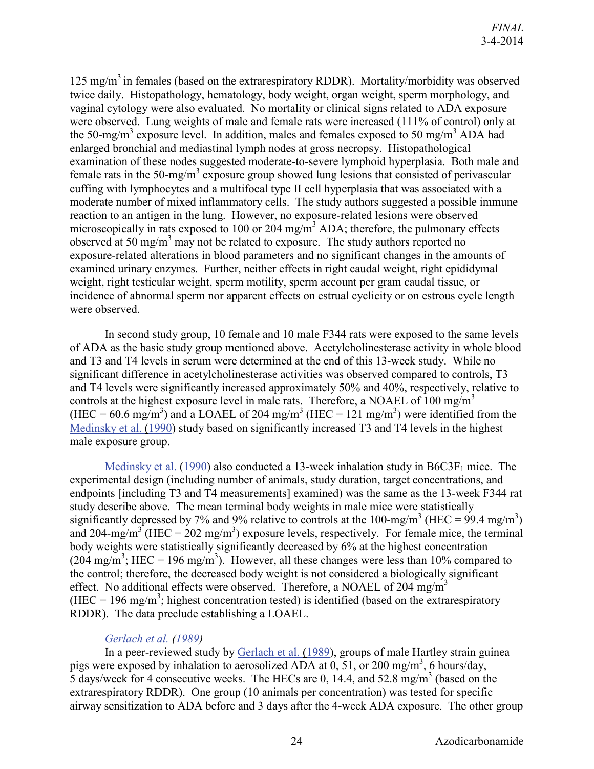125 mg/m<sup>3</sup> in females (based on the extrarespiratory RDDR). Mortality/morbidity was observed twice daily. Histopathology, hematology, body weight, organ weight, sperm morphology, and vaginal cytology were also evaluated. No mortality or clinical signs related to ADA exposure were observed. Lung weights of male and female rats were increased (111% of control) only at the 50-mg/m<sup>3</sup> exposure level. In addition, males and females exposed to 50 mg/m<sup>3</sup> ADA had enlarged bronchial and mediastinal lymph nodes at gross necropsy. Histopathological examination of these nodes suggested moderate-to-severe lymphoid hyperplasia. Both male and female rats in the 50-mg/m<sup>3</sup> exposure group showed lung lesions that consisted of perivascular cuffing with lymphocytes and a multifocal type II cell hyperplasia that was associated with a moderate number of mixed inflammatory cells. The study authors suggested a possible immune reaction to an antigen in the lung. However, no exposure-related lesions were observed microscopically in rats exposed to 100 or 204 mg/m<sup>3</sup> ADA; therefore, the pulmonary effects observed at 50 mg/m<sup>3</sup> may not be related to exposure. The study authors reported no exposure-related alterations in blood parameters and no significant changes in the amounts of examined urinary enzymes. Further, neither effects in right caudal weight, right epididymal weight, right testicular weight, sperm motility, sperm account per gram caudal tissue, or incidence of abnormal sperm nor apparent effects on estrual cyclicity or on estrous cycle length were observed.

In second study group, 10 female and 10 male F344 rats were exposed to the same levels of ADA as the basic study group mentioned above. Acetylcholinesterase activity in whole blood and T3 and T4 levels in serum were determined at the end of this 13-week study. While no significant difference in acetylcholinesterase activities was observed compared to controls, T3 and T4 levels were significantly increased approximately 50% and 40%, respectively, relative to controls at the highest exposure level in male rats. Therefore, a NOAEL of 100 mg/m<sup>3</sup> (HEC = 60.6 mg/m<sup>3</sup>) and a LOAEL of 204 mg/m<sup>3</sup> (HEC = 121 mg/m<sup>3</sup>) were identified from the [Medinsky et al. \(1990\)](http://hero.epa.gov/index.cfm?action=search.view&reference_id=786271) study based on significantly increased T3 and T4 levels in the highest male exposure group.

[Medinsky et al. \(1990\)](http://hero.epa.gov/index.cfm?action=search.view&reference_id=786271) also conducted a 13-week inhalation study in  $B6C3F<sub>1</sub>$  mice. The experimental design (including number of animals, study duration, target concentrations, and endpoints [including T3 and T4 measurements] examined) was the same as the 13-week F344 rat study describe above. The mean terminal body weights in male mice were statistically significantly depressed by 7% and 9% relative to controls at the 100-mg/m<sup>3</sup> (HEC = 99.4 mg/m<sup>3</sup>) and 204-mg/m<sup>3</sup> (HEC = 202 mg/m<sup>3</sup>) exposure levels, respectively. For female mice, the terminal body weights were statistically significantly decreased by 6% at the highest concentration  $(204 \text{ mg/m}^3)$ ; HEC = 196 mg/m<sup>3</sup>). However, all these changes were less than 10% compared to the control; therefore, the decreased body weight is not considered a biologically significant effect. No additional effects were observed. Therefore, a NOAEL of 204 mg/m<sup>3</sup> (HEC = 196 mg/m<sup>3</sup>; highest concentration tested) is identified (based on the extrarespiratory RDDR). The data preclude establishing a LOAEL.

#### *[Gerlach et al. \(1989\)](http://hero.epa.gov/index.cfm?action=search.view&reference_id=786270)*

In a peer-reviewed study by [Gerlach et al. \(1989\)](http://hero.epa.gov/index.cfm?action=search.view&reference_id=786270), groups of male Hartley strain guinea pigs were exposed by inhalation to aerosolized ADA at  $0$ , 51, or 200 mg/m<sup>3</sup>, 6 hours/day, 5 days/week for 4 consecutive weeks. The HECs are 0, 14.4, and 52.8 mg/m<sup>3</sup> (based on the extrarespiratory RDDR). One group (10 animals per concentration) was tested for specific airway sensitization to ADA before and 3 days after the 4-week ADA exposure. The other group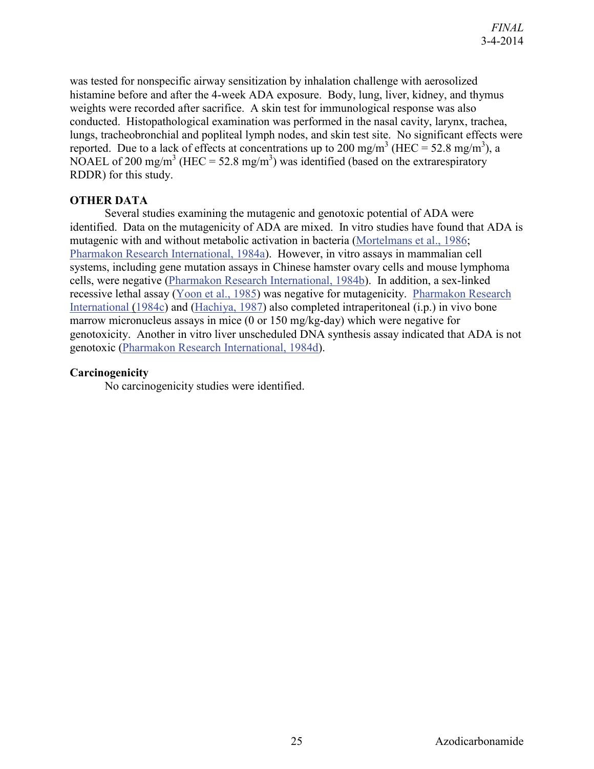was tested for nonspecific airway sensitization by inhalation challenge with aerosolized histamine before and after the 4-week ADA exposure. Body, lung, liver, kidney, and thymus weights were recorded after sacrifice. A skin test for immunological response was also conducted. Histopathological examination was performed in the nasal cavity, larynx, trachea, lungs, tracheobronchial and popliteal lymph nodes, and skin test site. No significant effects were reported. Due to a lack of effects at concentrations up to 200 mg/m<sup>3</sup> (HEC = 52.8 mg/m<sup>3</sup>), a NOAEL of 200 mg/m<sup>3</sup> (HEC = 52.8 mg/m<sup>3</sup>) was identified (based on the extrarespiratory RDDR) for this study.

#### <span id="page-28-0"></span>**OTHER DATA**

Several studies examining the mutagenic and genotoxic potential of ADA were identified. Data on the mutagenicity of ADA are mixed. In vitro studies have found that ADA is mutagenic with and without metabolic activation in bacteria [\(Mortelmans et al., 1986;](http://hero.epa.gov/index.cfm?action=search.view&reference_id=7315) [Pharmakon Research International, 1984a\)](http://hero.epa.gov/index.cfm?action=search.view&reference_id=999182). However, in vitro assays in mammalian cell systems, including gene mutation assays in Chinese hamster ovary cells and mouse lymphoma cells, were negative [\(Pharmakon Research International, 1984b\)](http://hero.epa.gov/index.cfm?action=search.view&reference_id=999194). In addition, a sex-linked recessive lethal assay [\(Yoon et al., 1985\)](http://hero.epa.gov/index.cfm?action=search.view&reference_id=194373) was negative for mutagenicity. [Pharmakon Research](http://hero.epa.gov/index.cfm?action=search.view&reference_id=999204)  [International \(1984c\)](http://hero.epa.gov/index.cfm?action=search.view&reference_id=999204) and [\(Hachiya, 1987\)](http://hero.epa.gov/index.cfm?action=search.view&reference_id=1576915) also completed intraperitoneal (i.p.) in vivo bone marrow micronucleus assays in mice (0 or 150 mg/kg-day) which were negative for genotoxicity. Another in vitro liver unscheduled DNA synthesis assay indicated that ADA is not genotoxic [\(Pharmakon Research International, 1984d\)](http://hero.epa.gov/index.cfm?action=search.view&reference_id=999197).

#### <span id="page-28-1"></span>**Carcinogenicity**

No carcinogenicity studies were identified.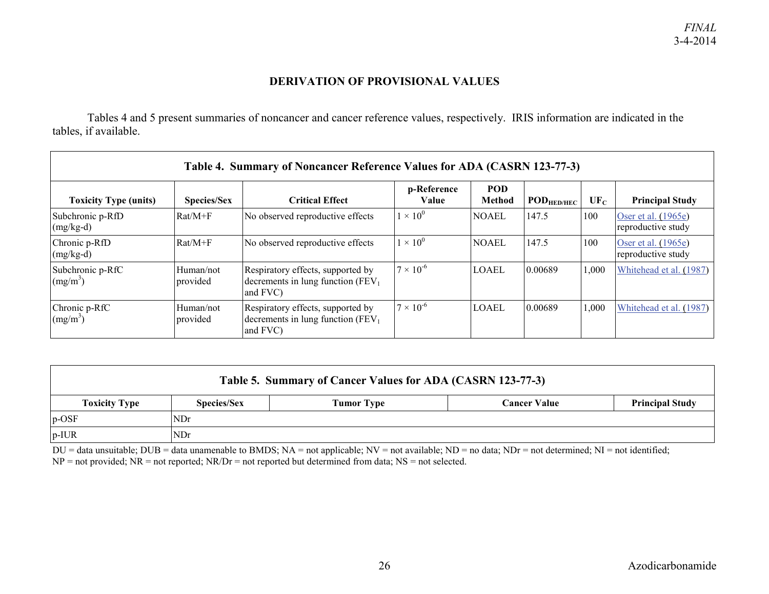#### **DERIVATION OF PROVISIONAL VALUES**

Tables 4 and 5 present summaries of noncancer and cancer reference values, respectively. IRIS information are indicated in the tables, if available.

<span id="page-29-0"></span>

| Table 4. Summary of Noncancer Reference Values for ADA (CASRN 123-77-3) |                       |                                                                                         |                      |                      |                 |        |                                           |  |  |
|-------------------------------------------------------------------------|-----------------------|-----------------------------------------------------------------------------------------|----------------------|----------------------|-----------------|--------|-------------------------------------------|--|--|
| <b>Toxicity Type (units)</b>                                            | <b>Species/Sex</b>    | <b>Critical Effect</b>                                                                  | p-Reference<br>Value | POD<br><b>Method</b> | $POD_{HED/HEC}$ | $UF_C$ | <b>Principal Study</b>                    |  |  |
| Subchronic p-RfD<br>$(mg/kg-d)$                                         | $Rat/M+F$             | No observed reproductive effects                                                        | $1 \times 10^0$      | <b>NOAEL</b>         | 147.5           | 100    | Oser et al. (1965e)<br>reproductive study |  |  |
| Chronic p-RfD<br>$(mg/kg-d)$                                            | $Rat/M+F$             | No observed reproductive effects                                                        | $1 \times 10^{0}$    | <b>NOAEL</b>         | 147.5           | 100    | Oser et al. (1965e)<br>reproductive study |  |  |
| Subchronic p-RfC<br>(mg/m <sup>3</sup> )                                | Human/not<br>provided | Respiratory effects, supported by<br>decrements in lung function ( $FEV1$ )<br>and FVC) | $7 \times 10^{-6}$   | <b>LOAEL</b>         | 0.00689         | 1,000  | Whitehead et al. (1987)                   |  |  |
| Chronic p-RfC<br>(mg/m <sup>3</sup> )                                   | Human/not<br>provided | Respiratory effects, supported by<br>decrements in lung function $(FEV1)$<br>and FVC)   | $7 \times 10^{-6}$   | LOAEL                | 0.00689         | 1,000  | Whitehead et al. (1987)                   |  |  |

| Table 5. Summary of Cancer Values for ADA (CASRN 123-77-3) |                                                                                   |  |  |  |  |  |
|------------------------------------------------------------|-----------------------------------------------------------------------------------|--|--|--|--|--|
| <b>Toxicity Type</b>                                       | <b>Species/Sex</b><br><b>Principal Study</b><br>Tumor Type<br><b>Cancer Value</b> |  |  |  |  |  |
| $p$ -OSF                                                   | <b>NDr</b>                                                                        |  |  |  |  |  |
| $p$ -IUR                                                   | <b>NDr</b>                                                                        |  |  |  |  |  |

 $DU =$  data unsuitable;  $DUB =$  data unamenable to BMDS;  $NA =$  not applicable;  $NV =$  not available;  $ND =$  no data;  $NDr =$  not determined;  $NI =$  not identified; NP = not provided; NR = not reported; NR/Dr = not reported but determined from data; NS = not selected.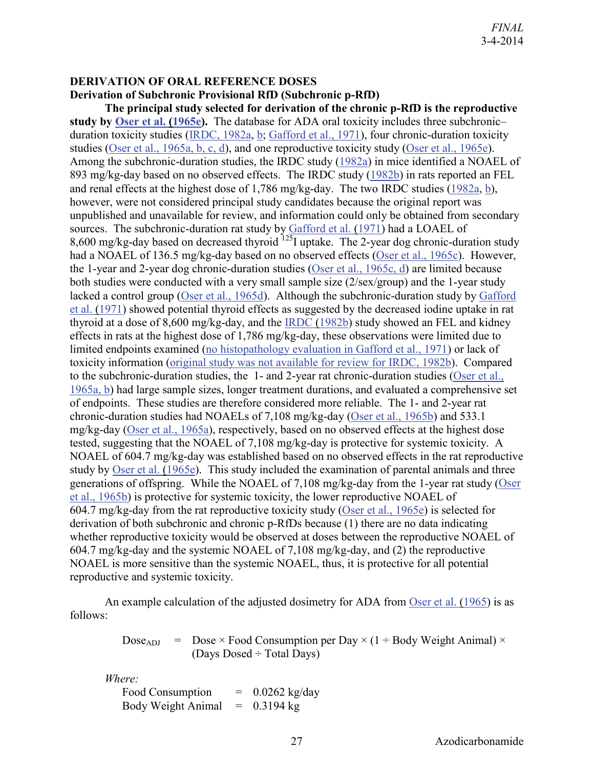#### <span id="page-30-0"></span>**DERIVATION OF ORAL REFERENCE DOSES**

#### <span id="page-30-1"></span>**Derivation of Subchronic Provisional RfD (Subchronic p-RfD)**

**The principal study selected for derivation of the chronic p-RfD is the reproductive study by [Oser et al. \(1965e\)](http://hero.epa.gov/index.cfm?action=search.view&reference_id=786166).** The database for ADA oral toxicity includes three subchronic– duration toxicity studies [\(IRDC, 1982a,](http://hero.epa.gov/index.cfm?action=search.view&reference_id=807171) [b;](http://hero.epa.gov/index.cfm?action=search.view&reference_id=807167) [Gafford et al., 1971\)](http://hero.epa.gov/index.cfm?action=search.view&reference_id=786163), four chronic-duration toxicity studies [\(Oser et al., 1965a, b, c, d\)](http://hero.epa.gov/index.cfm?action=search.view&reference_id=786166), and one reproductive toxicity study [\(Oser et al., 1965e\)](http://hero.epa.gov/index.cfm?action=search.view&reference_id=786166). Among the subchronic-duration studies, the IRDC study [\(1982a\)](http://hero.epa.gov/index.cfm?action=search.view&reference_id=807171) in mice identified a NOAEL of 893 mg/kg-day based on no observed effects. The IRDC study [\(1982b\)](http://hero.epa.gov/index.cfm?action=search.view&reference_id=807167) in rats reported an FEL and renal effects at the highest dose of 1,786 mg/kg-day. The two IRDC studies [\(1982a,](http://hero.epa.gov/index.cfm?action=search.view&reference_id=807171) [b\)](http://hero.epa.gov/index.cfm?action=search.view&reference_id=807167), however, were not considered principal study candidates because the original report was unpublished and unavailable for review, and information could only be obtained from secondary sources. The subchronic-duration rat study by [Gafford et al. \(1971\)](http://hero.epa.gov/index.cfm?action=search.view&reference_id=786163) had a LOAEL of 8,600 mg/kg-day based on decreased thyroid <sup>125</sup>I uptake. The 2-year dog chronic-duration study had a NOAEL of 136.5 mg/kg-day based on no observed effects [\(Oser et al., 1965c\)](http://hero.epa.gov/index.cfm?action=search.view&reference_id=786166). However, the 1-year and 2-year dog chronic-duration studies [\(Oser et al., 1965c, d\)](http://hero.epa.gov/index.cfm?action=search.view&reference_id=786166) are limited because both studies were conducted with a very small sample size (2/sex/group) and the 1-year study lacked a control group [\(Oser et al., 1965d\)](http://hero.epa.gov/index.cfm?action=search.view&reference_id=786166). Although the subchronic-duration study by [Gafford](http://hero.epa.gov/index.cfm?action=search.view&reference_id=786163)  [et al. \(1971\)](http://hero.epa.gov/index.cfm?action=search.view&reference_id=786163) showed potential thyroid effects as suggested by the decreased iodine uptake in rat thyroid at a dose of 8,600 mg/kg-day, and the [IRDC \(1982b\)](http://hero.epa.gov/index.cfm?action=search.view&reference_id=807167) study showed an FEL and kidney effects in rats at the highest dose of 1,786 mg/kg-day, these observations were limited due to limited endpoints examined [\(no histopathology evaluation in Gafford et al., 1971\)](http://hero.epa.gov/index.cfm?action=search.view&reference_id=786163) or lack of toxicity information [\(original study was not available for review for IRDC, 1982b\)](http://hero.epa.gov/index.cfm?action=search.view&reference_id=807167). Compared to the subchronic-duration studies, the 1- and 2-year rat chronic-duration studies [\(Oser et al.,](http://hero.epa.gov/index.cfm?action=search.view&reference_id=786166)  [1965a, b\)](http://hero.epa.gov/index.cfm?action=search.view&reference_id=786166) had large sample sizes, longer treatment durations, and evaluated a comprehensive set of endpoints. These studies are therefore considered more reliable. The 1- and 2-year rat chronic-duration studies had NOAELs of 7,108 mg/kg-day [\(Oser et al., 1965b\)](http://hero.epa.gov/index.cfm?action=search.view&reference_id=786166) and 533.1 mg/kg-day [\(Oser et al., 1965a\)](http://hero.epa.gov/index.cfm?action=search.view&reference_id=786166), respectively, based on no observed effects at the highest dose tested, suggesting that the NOAEL of 7,108 mg/kg-day is protective for systemic toxicity. A NOAEL of 604.7 mg/kg-day was established based on no observed effects in the rat reproductive study by [Oser et al. \(1965e\)](http://hero.epa.gov/index.cfm?action=search.view&reference_id=786166). This study included the examination of parental animals and three generations of offspring. While the NOAEL of 7,108 mg/kg-day from the 1-year rat study [\(Oser](http://hero.epa.gov/index.cfm?action=search.view&reference_id=786166)  [et al., 1965b\)](http://hero.epa.gov/index.cfm?action=search.view&reference_id=786166) is protective for systemic toxicity, the lower reproductive NOAEL of 604.7 mg/kg-day from the rat reproductive toxicity study [\(Oser et al., 1965e\)](http://hero.epa.gov/index.cfm?action=search.view&reference_id=786166) is selected for derivation of both subchronic and chronic p-RfDs because (1) there are no data indicating whether reproductive toxicity would be observed at doses between the reproductive NOAEL of 604.7 mg/kg-day and the systemic NOAEL of 7,108 mg/kg-day, and (2) the reproductive NOAEL is more sensitive than the systemic NOAEL, thus, it is protective for all potential reproductive and systemic toxicity.

An example calculation of the adjusted dosimetry for ADA from [Oser et al. \(1965\)](http://hero.epa.gov/index.cfm?action=search.view&reference_id=786166) is as follows:

> $Dose_{ADJ}$  =  $Dose \times Food Consumption$  per Day  $\times (1 \div Body Weight Animal) \times$ (Days Dosed  $\div$  Total Days)

*Where:*

Food Consumption  $= 0.0262 \text{ kg/day}$ Body Weight Animal  $= 0.3194$  kg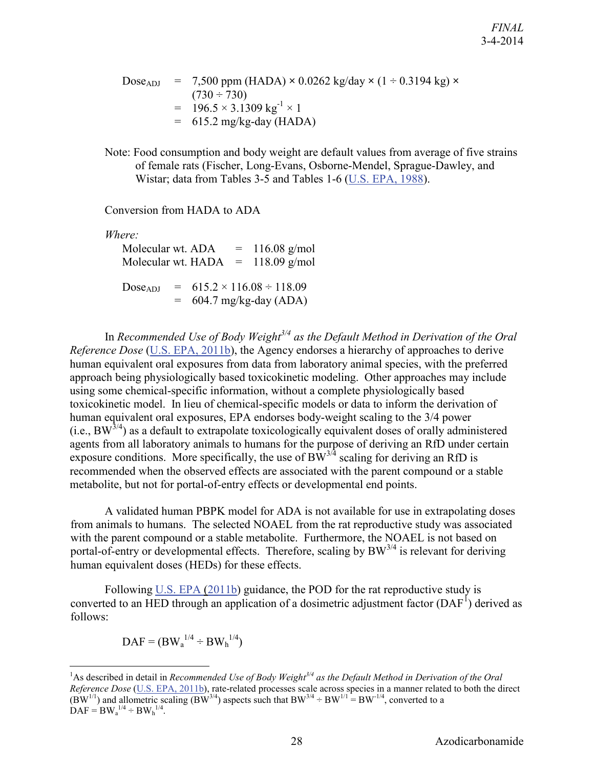$\text{Dose}_{ADI}$  = 7,500 ppm (HADA)  $\times$  0.0262 kg/day  $\times$  (1 ÷ 0.3194 kg)  $\times$  $(730 \div 730)$  $= 196.5 \times 3.1309 \text{ kg}^{-1} \times 1$  $= 615.2$  mg/kg-day (HADA)

Note: Food consumption and body weight are default values from average of five strains of female rats (Fischer, Long-Evans, Osborne-Mendel, Sprague-Dawley, and Wistar; data from Tables 3-5 and Tables 1-6 [\(U.S. EPA, 1988\)](http://hero.epa.gov/index.cfm?action=search.view&reference_id=64560).

Conversion from HADA to ADA

*Where:*

Molecular wt.  $ADA = 116.08$  g/mol Molecular wt.  $HADA = 118.09$  g/mol  $Dose_{ADI} = 615.2 \times 116.08 \div 118.09$  $=$  604.7 mg/kg-day (ADA)

In *Recommended Use of Body Weight3/4 as the Default Method in Derivation of the Oral Reference Dose* [\(U.S. EPA, 2011b\)](http://hero.epa.gov/index.cfm?action=search.view&reference_id=752972), the Agency endorses a hierarchy of approaches to derive human equivalent oral exposures from data from laboratory animal species, with the preferred approach being physiologically based toxicokinetic modeling. Other approaches may include using some chemical-specific information, without a complete physiologically based toxicokinetic model. In lieu of chemical-specific models or data to inform the derivation of human equivalent oral exposures, EPA endorses body-weight scaling to the 3/4 power  $(i.e., BW<sup>3/4</sup>)$  as a default to extrapolate toxicologically equivalent doses of orally administered agents from all laboratory animals to humans for the purpose of deriving an RfD under certain exposure conditions. More specifically, the use of  $BW^{3/4}$  scaling for deriving an RfD is recommended when the observed effects are associated with the parent compound or a stable metabolite, but not for portal-of-entry effects or developmental end points.

A validated human PBPK model for ADA is not available for use in extrapolating doses from animals to humans. The selected NOAEL from the rat reproductive study was associated with the parent compound or a stable metabolite. Furthermore, the NOAEL is not based on portal-of-entry or developmental effects. Therefore, scaling by  $BW^{3/4}$  is relevant for deriving human equivalent doses (HEDs) for these effects.

Following [U.S. EPA \(2011b\)](http://hero.epa.gov/index.cfm?action=search.view&reference_id=752972) guidance, the POD for the rat reproductive study is converted to an HED through an application of a dosimetric adjustment factor  $(DAF<sup>1</sup>)$  $(DAF<sup>1</sup>)$  $(DAF<sup>1</sup>)$  derived as follows:

$$
DAF = (BW_a^{1/4} \div BW_b^{1/4})
$$

 $\overline{a}$ 

<span id="page-31-0"></span><sup>&</sup>lt;sup>1</sup>As described in detail in *Recommended Use of Body Weight<sup>3/4</sup> as the Default Method in Derivation of the Oral Reference Dose* [\(U.S. EPA, 2011b\)](http://hero.epa.gov/index.cfm?action=search.view&reference_id=752972), rate-related processes scale across species in a manner related to both the direct  $(BW^{1/1})$  and allometric scaling  $(BW^{3/4})$  aspects such that  $BW^{3/4} \div BW^{1/1} = BW^{-1/4}$ , converted to a  $\text{DAF} = \text{BW}_{a}^{1/4} \div \text{BW}_{h}^{1/4}.$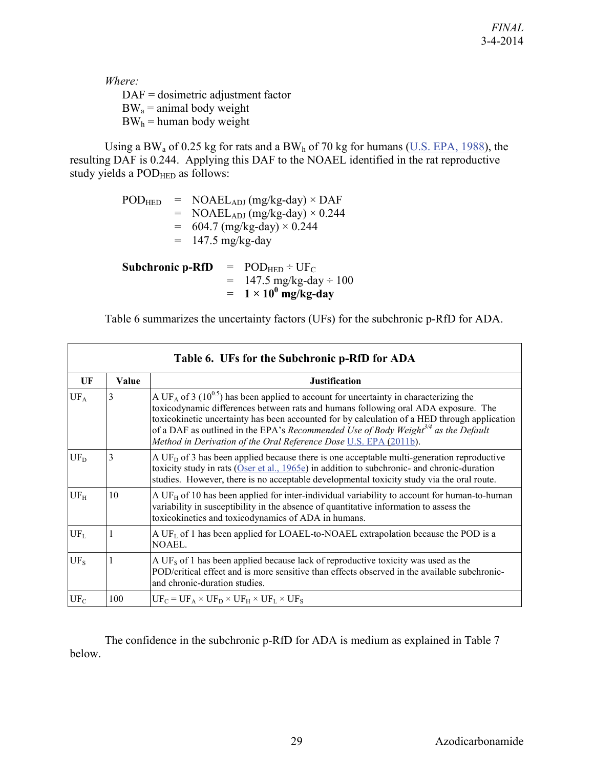*Where:* 

DAF = dosimetric adjustment factor  $BW_a =$  animal body weight

 $BW<sub>h</sub>$  = human body weight

Using a BW<sub>a</sub> of 0.25 kg for rats and a BW<sub>h</sub> of 70 kg for humans [\(U.S. EPA, 1988\)](http://hero.epa.gov/index.cfm?action=search.view&reference_id=64560), the resulting DAF is 0.244. Applying this DAF to the NOAEL identified in the rat reproductive study yields a POD<sub>HED</sub> as follows:

| <b>POD</b> HED    | $= \text{NOAEL}_{ADJ}$ (mg/kg-day) $\times$ DAF   |
|-------------------|---------------------------------------------------|
|                   | $= \text{NOAEL}_{ADJ}$ (mg/kg-day) $\times$ 0.244 |
|                   | $= 604.7$ (mg/kg-day) $\times 0.244$              |
|                   | $= 147.5$ mg/kg-day                               |
|                   |                                                   |
| Subehronie n. DfD | $=$ DOD <sub>rep</sub> $\pm$ HE <sub>a</sub>      |

**Subchronic p-RfD** =  $\text{POD}_{\text{HED}} \div \text{UF}_{\text{C}}$  $= 147.5 \text{ mg/kg-day} \div 100$  $= 1 \times 10^0$  mg/kg-day

Table 6 summarizes the uncertainty factors (UFs) for the subchronic p-RfD for ADA.

| Table 6. UFs for the Subchronic p-RfD for ADA |       |                                                                                                                                                                                                                                                                                                                                                                                                                                                                            |  |  |  |  |
|-----------------------------------------------|-------|----------------------------------------------------------------------------------------------------------------------------------------------------------------------------------------------------------------------------------------------------------------------------------------------------------------------------------------------------------------------------------------------------------------------------------------------------------------------------|--|--|--|--|
| UF                                            | Value | <b>Justification</b>                                                                                                                                                                                                                                                                                                                                                                                                                                                       |  |  |  |  |
| $UF_A$                                        | 3     | A UF <sub>A</sub> of 3 (10 <sup>0.5</sup> ) has been applied to account for uncertainty in characterizing the<br>toxicodynamic differences between rats and humans following oral ADA exposure. The<br>toxicokinetic uncertainty has been accounted for by calculation of a HED through application<br>of a DAF as outlined in the EPA's Recommended Use of Body Weight <sup>3/4</sup> as the Default<br>Method in Derivation of the Oral Reference Dose U.S. EPA (2011b). |  |  |  |  |
| $UF_D$                                        | 3     | A UF <sub>D</sub> of 3 has been applied because there is one acceptable multi-generation reproductive<br>toxicity study in rats (Oser et al., $1965e$ ) in addition to subchronic- and chronic-duration<br>studies. However, there is no acceptable developmental toxicity study via the oral route.                                                                                                                                                                       |  |  |  |  |
| $UF_H$                                        | 10    | A UF $_H$ of 10 has been applied for inter-individual variability to account for human-to-human<br>variability in susceptibility in the absence of quantitative information to assess the<br>toxicokinetics and toxicodynamics of ADA in humans.                                                                                                                                                                                                                           |  |  |  |  |
| $UF_L$                                        |       | A UF <sub>L</sub> of 1 has been applied for LOAEL-to-NOAEL extrapolation because the POD is a<br>NOAEL.                                                                                                                                                                                                                                                                                                                                                                    |  |  |  |  |
| $UF_S$                                        |       | A UF <sub>s</sub> of 1 has been applied because lack of reproductive toxicity was used as the<br>POD/critical effect and is more sensitive than effects observed in the available subchronic-<br>and chronic-duration studies.                                                                                                                                                                                                                                             |  |  |  |  |
| $UF_C$                                        | 100   | $UF_C = UF_A \times UF_D \times UF_H \times UF_L \times UF_S$                                                                                                                                                                                                                                                                                                                                                                                                              |  |  |  |  |

The confidence in the subchronic p-RfD for ADA is medium as explained in Table 7 below.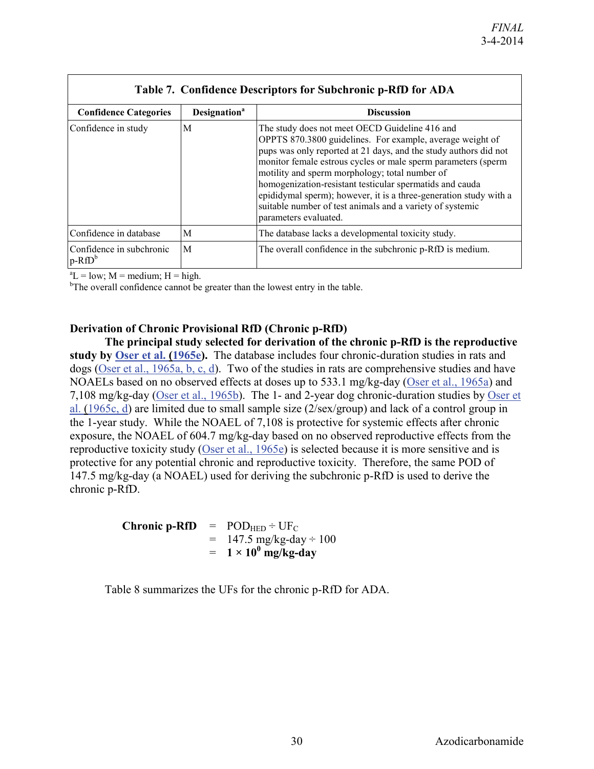| <b>Table 7. Configure Descriptors for Subcirrome p-KID for ADA</b> |                                 |                                                                                                                                                                                                                                                                                                                                                                                                                                                                                                                           |  |  |
|--------------------------------------------------------------------|---------------------------------|---------------------------------------------------------------------------------------------------------------------------------------------------------------------------------------------------------------------------------------------------------------------------------------------------------------------------------------------------------------------------------------------------------------------------------------------------------------------------------------------------------------------------|--|--|
| <b>Confidence Categories</b>                                       | <b>Designation</b> <sup>a</sup> | <b>Discussion</b>                                                                                                                                                                                                                                                                                                                                                                                                                                                                                                         |  |  |
| Confidence in study                                                | M                               | The study does not meet OECD Guideline 416 and<br>OPPTS 870.3800 guidelines. For example, average weight of<br>pups was only reported at 21 days, and the study authors did not<br>monitor female estrous cycles or male sperm parameters (sperm<br>motility and sperm morphology; total number of<br>homogenization-resistant testicular spermatids and cauda<br>epididymal sperm); however, it is a three-generation study with a<br>suitable number of test animals and a variety of systemic<br>parameters evaluated. |  |  |
| Confidence in database                                             | M                               | The database lacks a developmental toxicity study.                                                                                                                                                                                                                                                                                                                                                                                                                                                                        |  |  |
| Confidence in subchronic<br>$p-RfD^b$                              | M                               | The overall confidence in the subchronic p-RfD is medium.                                                                                                                                                                                                                                                                                                                                                                                                                                                                 |  |  |

#### **Table 7. Confidence Descriptors for Subchronic p-RfD for ADA**

 ${}^{a}L = low$ ; M = medium; H = high.

<sup>b</sup>The overall confidence cannot be greater than the lowest entry in the table.

#### <span id="page-33-0"></span>**Derivation of Chronic Provisional RfD (Chronic p-RfD)**

**The principal study selected for derivation of the chronic p-RfD is the reproductive study by [Oser et al. \(1965e\)](http://hero.epa.gov/index.cfm?action=search.view&reference_id=786166).** The database includes four chronic-duration studies in rats and dogs [\(Oser et al., 1965a, b, c, d\)](http://hero.epa.gov/index.cfm?action=search.view&reference_id=786166). Two of the studies in rats are comprehensive studies and have NOAELs based on no observed effects at doses up to 533.1 mg/kg-day [\(Oser et al., 1965a\)](http://hero.epa.gov/index.cfm?action=search.view&reference_id=786166) and 7,108 mg/kg-day [\(Oser et al., 1965b\)](http://hero.epa.gov/index.cfm?action=search.view&reference_id=786166). The 1- and 2-year dog chronic-duration studies by [Oser et](http://hero.epa.gov/index.cfm?action=search.view&reference_id=786166)  [al. \(1965c, d\)](http://hero.epa.gov/index.cfm?action=search.view&reference_id=786166) are limited due to small sample size (2/sex/group) and lack of a control group in the 1-year study. While the NOAEL of 7,108 is protective for systemic effects after chronic exposure, the NOAEL of 604.7 mg/kg-day based on no observed reproductive effects from the reproductive toxicity study [\(Oser et al., 1965e\)](http://hero.epa.gov/index.cfm?action=search.view&reference_id=786166) is selected because it is more sensitive and is protective for any potential chronic and reproductive toxicity. Therefore, the same POD of 147.5 mg/kg-day (a NOAEL) used for deriving the subchronic p-RfD is used to derive the chronic p-RfD.

> **Chronic p-RfD** =  $\text{POD}_{\text{HED}} \div \text{UF}_{\text{C}}$  $= 147.5$  mg/kg-day  $\div 100$  $= 1 \times 10^{0}$  mg/kg-day

Table 8 summarizes the UFs for the chronic p-RfD for ADA.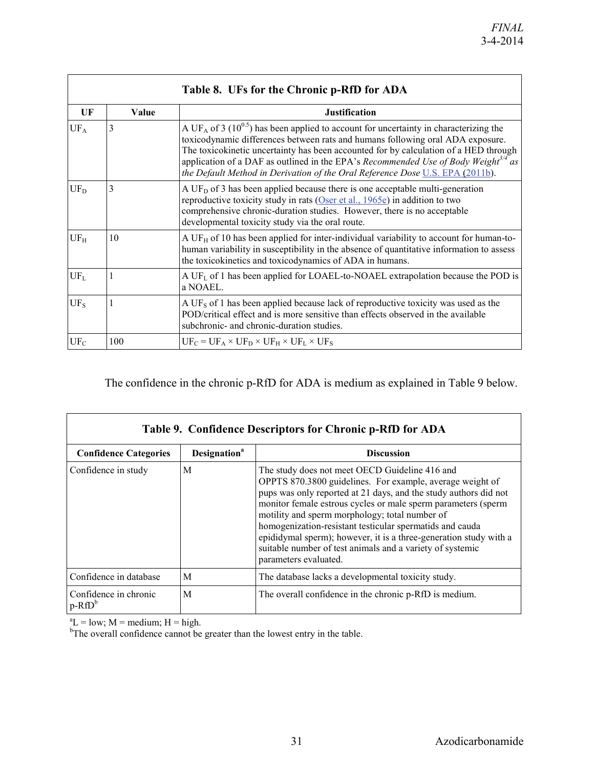| Table 8. UFs for the Chronic p-RfD for ADA |       |                                                                                                                                                                                                                                                                                                                                                                                                                                                                            |  |  |  |
|--------------------------------------------|-------|----------------------------------------------------------------------------------------------------------------------------------------------------------------------------------------------------------------------------------------------------------------------------------------------------------------------------------------------------------------------------------------------------------------------------------------------------------------------------|--|--|--|
| UF                                         | Value | <b>Justification</b>                                                                                                                                                                                                                                                                                                                                                                                                                                                       |  |  |  |
| $UF_A$                                     | 3     | A UF <sub>A</sub> of 3 (10 <sup>0.5</sup> ) has been applied to account for uncertainty in characterizing the<br>toxicodynamic differences between rats and humans following oral ADA exposure.<br>The toxicokinetic uncertainty has been accounted for by calculation of a HED through<br>application of a DAF as outlined in the EPA's Recommended Use of Body Weight <sup>3/4</sup> as<br>the Default Method in Derivation of the Oral Reference Dose U.S. EPA (2011b). |  |  |  |
| $UF_D$                                     | 3     | A UF <sub>D</sub> of 3 has been applied because there is one acceptable multi-generation<br>reproductive toxicity study in rats $(Oser et al., 1965e)$ in addition to two<br>comprehensive chronic-duration studies. However, there is no acceptable<br>developmental toxicity study via the oral route.                                                                                                                                                                   |  |  |  |
| $UF_H$                                     | 10    | A UF $_H$ of 10 has been applied for inter-individual variability to account for human-to-<br>human variability in susceptibility in the absence of quantitative information to assess<br>the toxicokinetics and toxicodynamics of ADA in humans.                                                                                                                                                                                                                          |  |  |  |
| $UF_L$                                     |       | A UF <sub>L</sub> of 1 has been applied for LOAEL-to-NOAEL extrapolation because the POD is<br>a NOAEL.                                                                                                                                                                                                                                                                                                                                                                    |  |  |  |
| $UF_S$                                     |       | A UF <sub>s</sub> of 1 has been applied because lack of reproductive toxicity was used as the<br>POD/critical effect and is more sensitive than effects observed in the available<br>subchronic- and chronic-duration studies.                                                                                                                                                                                                                                             |  |  |  |
| $UF_C$                                     | 100   | $UF_C = UF_A \times UF_D \times UF_H \times UF_L \times UF_S$                                                                                                                                                                                                                                                                                                                                                                                                              |  |  |  |

The confidence in the chronic p-RfD for ADA is medium as explained in Table 9 below.

| Table 9. Confidence Descriptors for Chronic p-RfD for ADA |                                 |                                                                                                                                                                                                                                                                                                                                                                                                                                                                                                                           |  |  |
|-----------------------------------------------------------|---------------------------------|---------------------------------------------------------------------------------------------------------------------------------------------------------------------------------------------------------------------------------------------------------------------------------------------------------------------------------------------------------------------------------------------------------------------------------------------------------------------------------------------------------------------------|--|--|
| <b>Confidence Categories</b>                              | <b>Designation</b> <sup>a</sup> | <b>Discussion</b>                                                                                                                                                                                                                                                                                                                                                                                                                                                                                                         |  |  |
| Confidence in study                                       | M                               | The study does not meet OECD Guideline 416 and<br>OPPTS 870.3800 guidelines. For example, average weight of<br>pups was only reported at 21 days, and the study authors did not<br>monitor female estrous cycles or male sperm parameters (sperm<br>motility and sperm morphology; total number of<br>homogenization-resistant testicular spermatids and cauda<br>epididymal sperm); however, it is a three-generation study with a<br>suitable number of test animals and a variety of systemic<br>parameters evaluated. |  |  |
| Confidence in database                                    | M                               | The database lacks a developmental toxicity study.                                                                                                                                                                                                                                                                                                                                                                                                                                                                        |  |  |
| Confidence in chronic<br>$p-RfD^b$                        | M                               | The overall confidence in the chronic p-RfD is medium.                                                                                                                                                                                                                                                                                                                                                                                                                                                                    |  |  |

 ${}^aL$  = low; M = medium; H = high.<br><sup>b</sup>The overall confidence cannot be greater than the lowest entry in the table.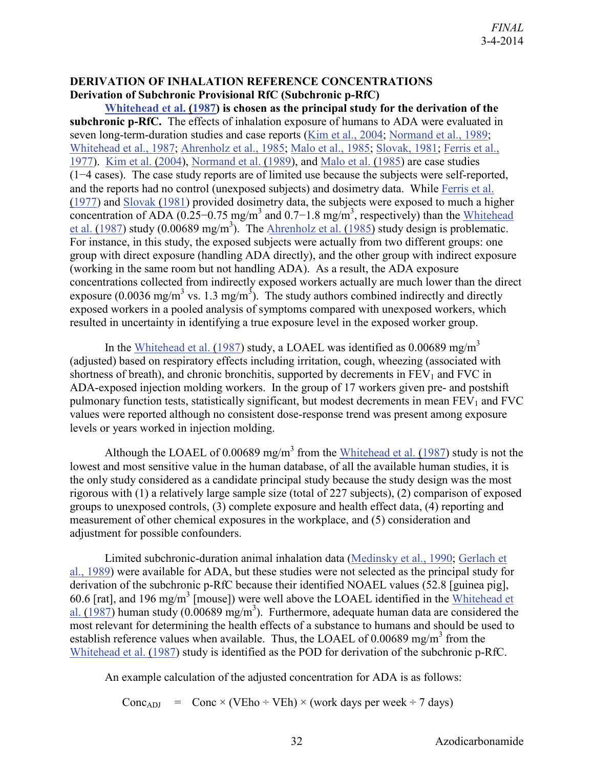#### <span id="page-35-1"></span><span id="page-35-0"></span>**DERIVATION OF INHALATION REFERENCE CONCENTRATIONS Derivation of Subchronic Provisional RfC (Subchronic p-RfC)**

**[Whitehead et al. \(1987\)](http://hero.epa.gov/index.cfm?action=search.view&reference_id=786276) is chosen as the principal study for the derivation of the subchronic p-RfC.** The effects of inhalation exposure of humans to ADA were evaluated in seven long-term-duration studies and case reports [\(Kim et al., 2004;](http://hero.epa.gov/index.cfm?action=search.view&reference_id=786164) [Normand et al., 1989;](http://hero.epa.gov/index.cfm?action=search.view&reference_id=786273) [Whitehead et al., 1987;](http://hero.epa.gov/index.cfm?action=search.view&reference_id=786276) [Ahrenholz et al., 1985;](http://hero.epa.gov/index.cfm?action=search.view&reference_id=786154) [Malo et al., 1985;](http://hero.epa.gov/index.cfm?action=search.view&reference_id=786275) [Slovak, 1981;](http://hero.epa.gov/index.cfm?action=search.view&reference_id=786274) [Ferris et al.,](http://hero.epa.gov/index.cfm?action=search.view&reference_id=786266)  [1977\)](http://hero.epa.gov/index.cfm?action=search.view&reference_id=786266). [Kim et al. \(2004\)](http://hero.epa.gov/index.cfm?action=search.view&reference_id=786164), [Normand et al. \(1989\)](http://hero.epa.gov/index.cfm?action=search.view&reference_id=786273), and [Malo et al. \(1985\)](http://hero.epa.gov/index.cfm?action=search.view&reference_id=786275) are case studies (1−4 cases). The case study reports are of limited use because the subjects were self-reported, and the reports had no control (unexposed subjects) and dosimetry data. While [Ferris et al.](http://hero.epa.gov/index.cfm?action=search.view&reference_id=786266)  [\(1977\)](http://hero.epa.gov/index.cfm?action=search.view&reference_id=786266) and [Slovak \(1981\)](http://hero.epa.gov/index.cfm?action=search.view&reference_id=786274) provided dosimetry data, the subjects were exposed to much a higher concentration of ADA (0.25–0.75 mg/m<sup>3</sup> and 0.7–1.8 mg/m<sup>3</sup>, respectively) than the Whitehead et al.  $(1987)$  study  $(0.00689 \text{ mg/m}^3)$ . The Ahrenholz et al.  $(1985)$  study design is problematic. For instance, in this study, the exposed subjects were actually from two different groups: one group with direct exposure (handling ADA directly), and the other group with indirect exposure (working in the same room but not handling ADA). As a result, the ADA exposure concentrations collected from indirectly exposed workers actually are much lower than the direct exposure (0.0036 mg/m<sup>3</sup> vs. 1.3 mg/m<sup>3</sup>). The study authors combined indirectly and directly exposed workers in a pooled analysis of symptoms compared with unexposed workers, which resulted in uncertainty in identifying a true exposure level in the exposed worker group.

In the [Whitehead et al. \(1987\)](http://hero.epa.gov/index.cfm?action=search.view&reference_id=786276) study, a LOAEL was identified as 0.00689 mg/m<sup>3</sup> (adjusted) based on respiratory effects including irritation, cough, wheezing (associated with shortness of breath), and chronic bronchitis, supported by decrements in  $FEV<sub>1</sub>$  and  $FVC$  in ADA-exposed injection molding workers. In the group of 17 workers given pre- and postshift pulmonary function tests, statistically significant, but modest decrements in mean  $FEV<sub>1</sub>$  and  $FVC$ values were reported although no consistent dose-response trend was present among exposure levels or years worked in injection molding.

Although the LOAEL of 0.00689 mg/m<sup>3</sup> from the [Whitehead et al. \(1987\)](http://hero.epa.gov/index.cfm?action=search.view&reference_id=786276) study is not the lowest and most sensitive value in the human database, of all the available human studies, it is the only study considered as a candidate principal study because the study design was the most rigorous with (1) a relatively large sample size (total of 227 subjects), (2) comparison of exposed groups to unexposed controls, (3) complete exposure and health effect data, (4) reporting and measurement of other chemical exposures in the workplace, and (5) consideration and adjustment for possible confounders.

Limited subchronic-duration animal inhalation data [\(Medinsky et al., 1990;](http://hero.epa.gov/index.cfm?action=search.view&reference_id=786271) [Gerlach et](http://hero.epa.gov/index.cfm?action=search.view&reference_id=786270)  [al., 1989\)](http://hero.epa.gov/index.cfm?action=search.view&reference_id=786270) were available for ADA, but these studies were not selected as the principal study for derivation of the subchronic p-RfC because their identified NOAEL values (52.8 [guinea pig], 60.6 [rat], and 196 mg/m<sup>3</sup> [mouse]) were well above the LOAEL identified in the Whitehead et al.  $(1987)$  human study  $(0.00689 \text{ mg/m}^3)$ . Furthermore, adequate human data are considered the most relevant for determining the health effects of a substance to humans and should be used to establish reference values when available. Thus, the LOAEL of  $0.00689 \text{ mg/m}^3$  from the [Whitehead et al. \(1987\)](http://hero.epa.gov/index.cfm?action=search.view&reference_id=786276) study is identified as the POD for derivation of the subchronic p-RfC.

An example calculation of the adjusted concentration for ADA is as follows:

Conc<sub>ADJ</sub> = Conc × (VEho ÷ VEh) × (work days per week ÷ 7 days)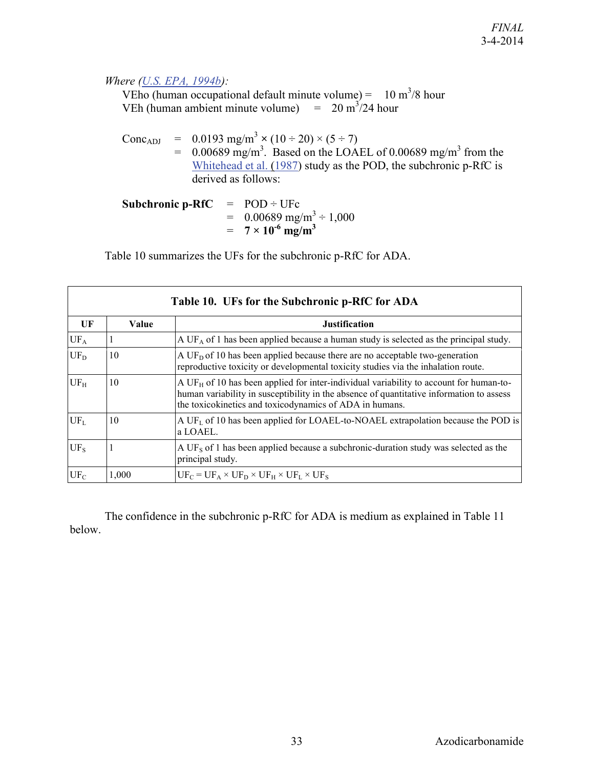#### *Where [\(U.S. EPA, 1994b\)](http://hero.epa.gov/index.cfm?action=search.view&reference_id=6488):*

VEho (human occupational default minute volume) =  $10 \text{ m}^3/8$  hour VEh (human ambient minute volume)  $= 20 \text{ m}^3/24 \text{ hour}$ 

Conc<sub>ADJ</sub> =  $0.0193$  mg/m<sup>3</sup>  $\times$  (10 ÷ 20)  $\times$  (5 ÷ 7)  $= 0.00689$  mg/m<sup>3</sup>. Based on the LOAEL of 0.00689 mg/m<sup>3</sup> from the [Whitehead et al. \(1987\)](http://hero.epa.gov/index.cfm?action=search.view&reference_id=786276) study as the POD, the subchronic p-RfC is derived as follows:

**Subchronic p-RfC**  $=$   $POD \div UFc$  $=$  0.00689 mg/m<sup>3</sup>  $\div$  1,000  $= 7 \times 10^{-6} \text{ mg/m}^3$ 

Table 10 summarizes the UFs for the subchronic p-RfC for ADA.

| Table 10. UFs for the Subchronic p-RfC for ADA |       |                                                                                                                                                                                                                                                   |  |  |  |
|------------------------------------------------|-------|---------------------------------------------------------------------------------------------------------------------------------------------------------------------------------------------------------------------------------------------------|--|--|--|
| UF                                             | Value | <b>Justification</b>                                                                                                                                                                                                                              |  |  |  |
| $UF_A$                                         |       | A UF <sub>A</sub> of 1 has been applied because a human study is selected as the principal study.                                                                                                                                                 |  |  |  |
| $UF_D$                                         | 10    | A UF <sub>D</sub> of 10 has been applied because there are no acceptable two-generation<br>reproductive toxicity or developmental toxicity studies via the inhalation route.                                                                      |  |  |  |
| UF <sub>H</sub>                                | 10    | A UF $_H$ of 10 has been applied for inter-individual variability to account for human-to-<br>human variability in susceptibility in the absence of quantitative information to assess<br>the toxicokinetics and toxicodynamics of ADA in humans. |  |  |  |
| $UF_L$                                         | 10    | A UF <sub>L</sub> of 10 has been applied for LOAEL-to-NOAEL extrapolation because the POD is<br>a LOAEL.                                                                                                                                          |  |  |  |
| UF <sub>s</sub>                                |       | A UF <sub>s</sub> of 1 has been applied because a subchronic-duration study was selected as the<br>principal study.                                                                                                                               |  |  |  |
| $UF_C$                                         | 1,000 | $UF_C = UF_A \times UF_D \times UF_H \times UF_L \times UF_S$                                                                                                                                                                                     |  |  |  |

The confidence in the subchronic p-RfC for ADA is medium as explained in Table 11 below.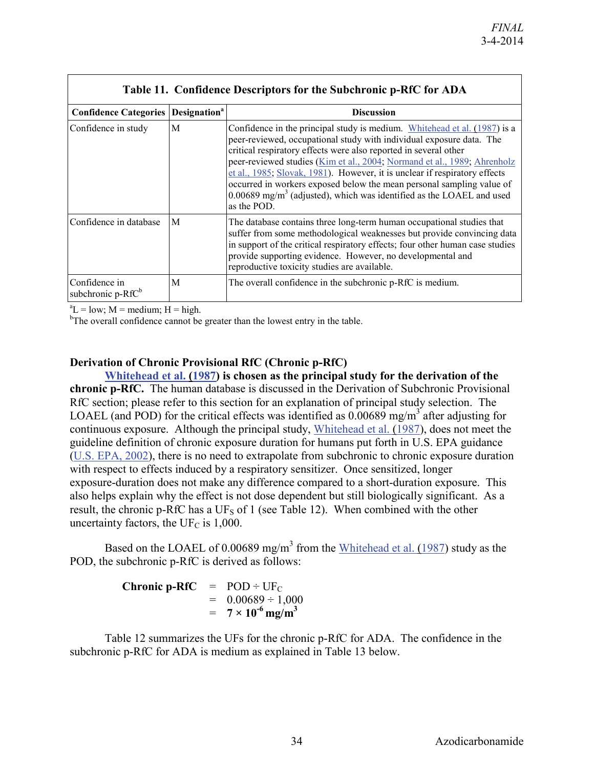| <b>Table 11. Confidence Descriptors for the Subchronic p-RIC for ADA</b> |   |                                                                                                                                                                                                                                                                                                                                                                                                                                                                                                                                                               |  |  |
|--------------------------------------------------------------------------|---|---------------------------------------------------------------------------------------------------------------------------------------------------------------------------------------------------------------------------------------------------------------------------------------------------------------------------------------------------------------------------------------------------------------------------------------------------------------------------------------------------------------------------------------------------------------|--|--|
| <b>Confidence Categories   Designation<sup>a</sup></b>                   |   | <b>Discussion</b>                                                                                                                                                                                                                                                                                                                                                                                                                                                                                                                                             |  |  |
| Confidence in study                                                      | M | Confidence in the principal study is medium. Whitehead et al. (1987) is a<br>peer-reviewed, occupational study with individual exposure data. The<br>critical respiratory effects were also reported in several other<br>peer-reviewed studies (Kim et al., 2004; Normand et al., 1989; Ahrenholz<br>et al., 1985; Slovak, 1981). However, it is unclear if respiratory effects<br>occurred in workers exposed below the mean personal sampling value of<br>$0.00689$ mg/m <sup>3</sup> (adjusted), which was identified as the LOAEL and used<br>as the POD. |  |  |
| Confidence in database                                                   | M | The database contains three long-term human occupational studies that<br>suffer from some methodological weaknesses but provide convincing data<br>in support of the critical respiratory effects; four other human case studies<br>provide supporting evidence. However, no developmental and<br>reproductive toxicity studies are available.                                                                                                                                                                                                                |  |  |
| Confidence in<br>subchronic p-RfC <sup>b</sup>                           | M | The overall confidence in the subchronic p-RfC is medium.                                                                                                                                                                                                                                                                                                                                                                                                                                                                                                     |  |  |

**Table 11. Confidence Descriptors for the Subchronic p-RfC for ADA**

 ${}^{a}L = low$ ; M = medium; H = high.

<sup>b</sup>The overall confidence cannot be greater than the lowest entry in the table.

#### <span id="page-37-0"></span>**Derivation of Chronic Provisional RfC (Chronic p-RfC)**

**[Whitehead et al. \(1987\)](http://hero.epa.gov/index.cfm?action=search.view&reference_id=786276) is chosen as the principal study for the derivation of the chronic p-RfC.** The human database is discussed in the Derivation of Subchronic Provisional RfC section; please refer to this section for an explanation of principal study selection. The LOAEL (and POD) for the critical effects was identified as  $0.00689$  mg/m<sup>3</sup> after adjusting for continuous exposure. Although the principal study, [Whitehead et al. \(1987\)](http://hero.epa.gov/index.cfm?action=search.view&reference_id=786276), does not meet the guideline definition of chronic exposure duration for humans put forth in U.S. EPA guidance [\(U.S. EPA, 2002\)](http://hero.epa.gov/index.cfm?action=search.view&reference_id=88824), there is no need to extrapolate from subchronic to chronic exposure duration with respect to effects induced by a respiratory sensitizer. Once sensitized, longer exposure-duration does not make any difference compared to a short-duration exposure. This also helps explain why the effect is not dose dependent but still biologically significant. As a result, the chronic p-RfC has a  $UF<sub>S</sub>$  of 1 (see Table 12). When combined with the other uncertainty factors, the UF<sub>C</sub> is 1,000.

Based on the LOAEL of 0.00689 mg/m<sup>3</sup> from the [Whitehead et al. \(1987\)](http://hero.epa.gov/index.cfm?action=search.view&reference_id=786276) study as the POD, the subchronic p-RfC is derived as follows:

> **Chronic p-RfC** =  $POD \div UF_C$  $= 0.00689 \div 1.000$  $= 7 \times 10^{-6}$  mg/m<sup>3</sup>

Table 12 summarizes the UFs for the chronic p-RfC for ADA. The confidence in the subchronic p-RfC for ADA is medium as explained in Table 13 below.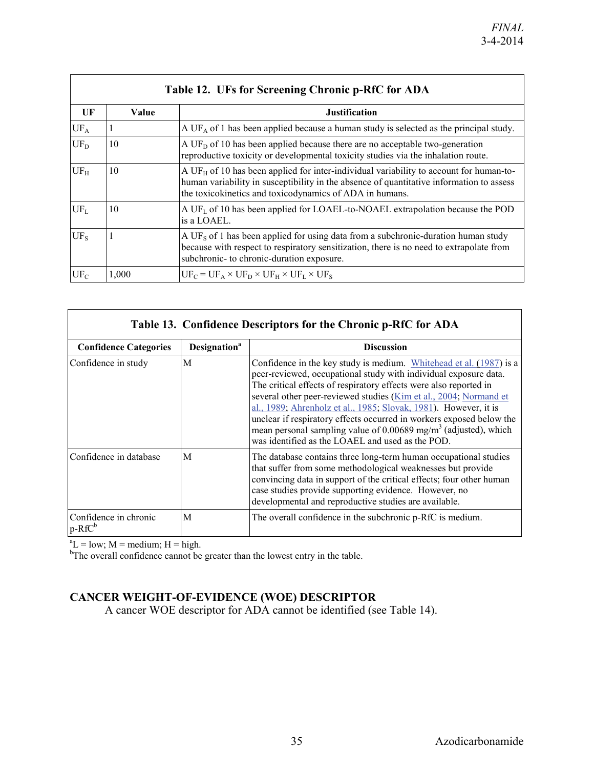| Table 12. UFs for Screening Chronic p-RfC for ADA |       |                                                                                                                                                                                                                                                           |  |  |  |  |
|---------------------------------------------------|-------|-----------------------------------------------------------------------------------------------------------------------------------------------------------------------------------------------------------------------------------------------------------|--|--|--|--|
| UF                                                | Value | <b>Justification</b>                                                                                                                                                                                                                                      |  |  |  |  |
| UF <sub>A</sub>                                   |       | A UF <sub>A</sub> of 1 has been applied because a human study is selected as the principal study.                                                                                                                                                         |  |  |  |  |
| $UF_D$                                            | 10    | A UF <sub>D</sub> of 10 has been applied because there are no acceptable two-generation<br>reproductive toxicity or developmental toxicity studies via the inhalation route.                                                                              |  |  |  |  |
| $UF_H$                                            | 10    | A UF <sub>H</sub> of 10 has been applied for inter-individual variability to account for human-to-<br>human variability in susceptibility in the absence of quantitative information to assess<br>the toxicokinetics and toxicodynamics of ADA in humans. |  |  |  |  |
| $UF_L$                                            | 10    | A UF <sub>L</sub> of 10 has been applied for LOAEL-to-NOAEL extrapolation because the POD<br>is a LOAEL.                                                                                                                                                  |  |  |  |  |
| $UF_S$                                            |       | A UF <sub>s</sub> of 1 has been applied for using data from a subchronic-duration human study<br>because with respect to respiratory sensitization, there is no need to extrapolate from<br>subchronic- to chronic-duration exposure.                     |  |  |  |  |
| $UF_C$                                            | 1.000 | $UF_C = UF_A \times UF_D \times UF_H \times UF_L \times UF_S$                                                                                                                                                                                             |  |  |  |  |

| Table 13. Confidence Descriptors for the Chronic p-RfC for ADA |                                 |                                                                                                                                                                                                                                                                                                                                                                                                                                                                                                                                                                  |  |  |
|----------------------------------------------------------------|---------------------------------|------------------------------------------------------------------------------------------------------------------------------------------------------------------------------------------------------------------------------------------------------------------------------------------------------------------------------------------------------------------------------------------------------------------------------------------------------------------------------------------------------------------------------------------------------------------|--|--|
| <b>Confidence Categories</b>                                   | <b>Designation</b> <sup>a</sup> | <b>Discussion</b>                                                                                                                                                                                                                                                                                                                                                                                                                                                                                                                                                |  |  |
| Confidence in study                                            | M                               | Confidence in the key study is medium. Whitehead et al. (1987) is a<br>peer-reviewed, occupational study with individual exposure data.<br>The critical effects of respiratory effects were also reported in<br>several other peer-reviewed studies (Kim et al., 2004; Normand et<br>al., 1989; Ahrenholz et al., 1985; Slovak, 1981). However, it is<br>unclear if respiratory effects occurred in workers exposed below the<br>mean personal sampling value of 0.00689 mg/m <sup>3</sup> (adjusted), which<br>was identified as the LOAEL and used as the POD. |  |  |
| Confidence in database                                         | M                               | The database contains three long-term human occupational studies<br>that suffer from some methodological weaknesses but provide<br>convincing data in support of the critical effects; four other human<br>case studies provide supporting evidence. However, no<br>developmental and reproductive studies are available.                                                                                                                                                                                                                                        |  |  |
| Confidence in chronic<br>$p-RfC^b$                             | M                               | The overall confidence in the subchronic p-RfC is medium.                                                                                                                                                                                                                                                                                                                                                                                                                                                                                                        |  |  |

 ${}^aL$  = low; M = medium; H = high.<br><sup>b</sup>The overall confidence cannot be greater than the lowest entry in the table.

## <span id="page-38-0"></span>**CANCER WEIGHT-OF-EVIDENCE (WOE) DESCRIPTOR**

A cancer WOE descriptor for ADA cannot be identified (see Table 14).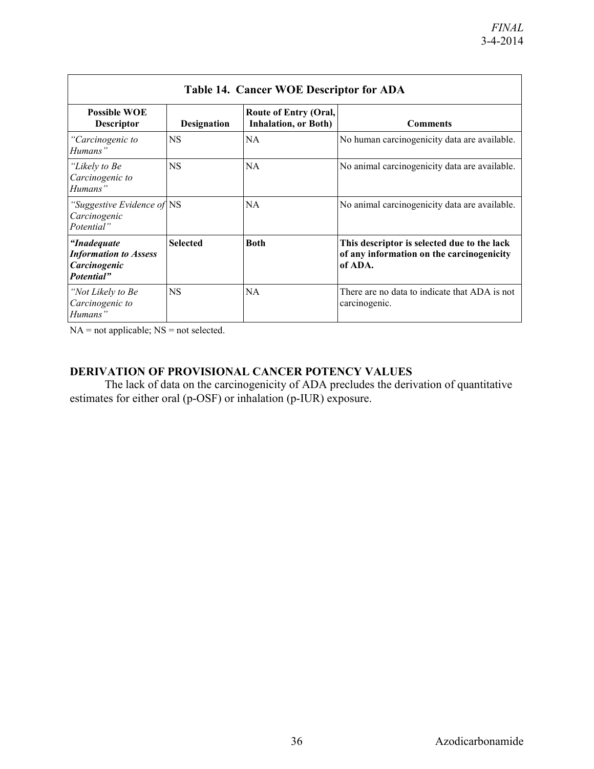| <b>Table 14. Cancer WOE Descriptor for ADA</b>                             |                    |                                                       |                                                                                                     |  |  |
|----------------------------------------------------------------------------|--------------------|-------------------------------------------------------|-----------------------------------------------------------------------------------------------------|--|--|
| <b>Possible WOE</b><br><b>Descriptor</b>                                   | <b>Designation</b> | Route of Entry (Oral,<br><b>Inhalation</b> , or Both) | <b>Comments</b>                                                                                     |  |  |
| "Carcinogenic to<br>Humans"                                                | <b>NS</b>          | <b>NA</b>                                             | No human carcinogenicity data are available.                                                        |  |  |
| "Likely to Be<br>Carcinogenic to<br>Humans"                                | <b>NS</b>          | <b>NA</b>                                             | No animal carcinogenicity data are available.                                                       |  |  |
| "Suggestive Evidence of NS<br>Carcinogenic<br>Potential"                   |                    | <b>NA</b>                                             | No animal carcinogenicity data are available.                                                       |  |  |
| "Inadequate"<br><b>Information to Assess</b><br>Carcinogenic<br>Potential" | <b>Selected</b>    | <b>Both</b>                                           | This descriptor is selected due to the lack<br>of any information on the carcinogenicity<br>of ADA. |  |  |
| "Not Likely to Be<br>Carcinogenic to<br>Humans"                            | <b>NS</b>          | <b>NA</b>                                             | There are no data to indicate that ADA is not<br>carcinogenic.                                      |  |  |

NA = not applicable; NS = not selected.

## <span id="page-39-0"></span>**DERIVATION OF PROVISIONAL CANCER POTENCY VALUES**

The lack of data on the carcinogenicity of ADA precludes the derivation of quantitative estimates for either oral (p-OSF) or inhalation (p-IUR) exposure.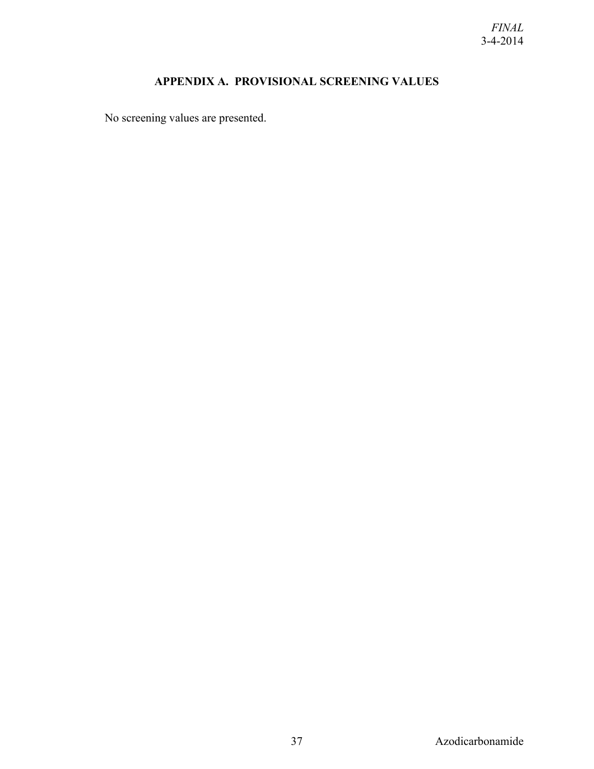## **APPENDIX A. PROVISIONAL SCREENING VALUES**

<span id="page-40-0"></span>No screening values are presented.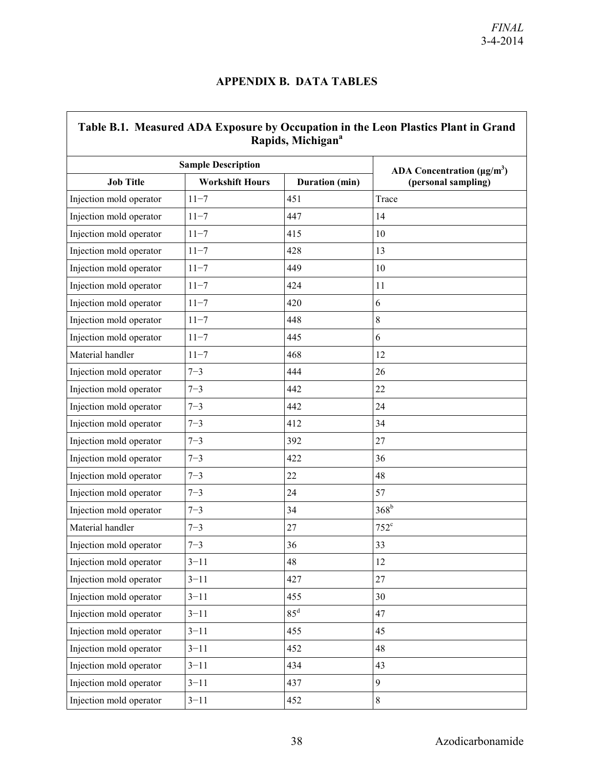## **APPENDIX B. DATA TABLES**

<span id="page-41-0"></span>

| Table B.1. Measured ADA Exposure by Occupation in the Leon Plastics Plant in Grand<br>Rapids, Michigan <sup>a</sup> |                                          |        |               |  |  |
|---------------------------------------------------------------------------------------------------------------------|------------------------------------------|--------|---------------|--|--|
|                                                                                                                     | <b>Sample Description</b>                |        |               |  |  |
| <b>Job Title</b>                                                                                                    | <b>Workshift Hours</b><br>Duration (min) |        |               |  |  |
| Injection mold operator                                                                                             | $11 - 7$                                 | 451    | Trace         |  |  |
| Injection mold operator                                                                                             | $11 - 7$                                 | 447    | 14            |  |  |
| Injection mold operator                                                                                             | $11 - 7$                                 | 415    | 10            |  |  |
| Injection mold operator                                                                                             | $11 - 7$                                 | 428    | 13            |  |  |
| Injection mold operator                                                                                             | $11 - 7$                                 | 449    | 10            |  |  |
| Injection mold operator                                                                                             | $11 - 7$                                 | 424    | 11            |  |  |
| Injection mold operator                                                                                             | $11 - 7$                                 | 420    | 6             |  |  |
| Injection mold operator                                                                                             | $11 - 7$                                 | 448    | $\,8\,$       |  |  |
| Injection mold operator                                                                                             | $11 - 7$                                 | 445    | 6             |  |  |
| Material handler                                                                                                    | $11 - 7$                                 | 468    | 12            |  |  |
| Injection mold operator                                                                                             | $7 - 3$                                  | 444    | 26            |  |  |
| Injection mold operator                                                                                             | $7 - 3$                                  | 442    | 22            |  |  |
| Injection mold operator                                                                                             | $7 - 3$                                  | 442    | 24            |  |  |
| Injection mold operator                                                                                             | $7 - 3$                                  | 412    | 34            |  |  |
| Injection mold operator                                                                                             | $7 - 3$                                  | 392    | 27            |  |  |
| Injection mold operator                                                                                             | $7 - 3$                                  | 422    | 36            |  |  |
| Injection mold operator                                                                                             | $7 - 3$                                  | 22     | 48            |  |  |
| Injection mold operator                                                                                             | $7 - 3$                                  | 24     | 57            |  |  |
| Injection mold operator                                                                                             | $7 - 3$                                  | 34     | $368^{\rm b}$ |  |  |
| Material handler                                                                                                    | $7 - 3$                                  | 27     | $752^{\circ}$ |  |  |
| Injection mold operator                                                                                             | $7 - 3$                                  | 36     | 33            |  |  |
| Injection mold operator                                                                                             | $3 - 11$                                 | 48     | 12            |  |  |
| Injection mold operator                                                                                             | $3 - 11$                                 | 427    | 27            |  |  |
| Injection mold operator                                                                                             | $3 - 11$                                 | 455    | 30            |  |  |
| Injection mold operator                                                                                             | $3 - 11$                                 | $85^d$ | 47            |  |  |
| Injection mold operator                                                                                             | $3 - 11$                                 | 455    | 45            |  |  |
| Injection mold operator                                                                                             | $3 - 11$                                 | 452    | 48            |  |  |
| Injection mold operator                                                                                             | $3 - 11$                                 | 434    | 43            |  |  |
| Injection mold operator                                                                                             | $3 - 11$                                 | 437    | 9             |  |  |
| Injection mold operator                                                                                             | $3 - 11$                                 | 452    | $8\,$         |  |  |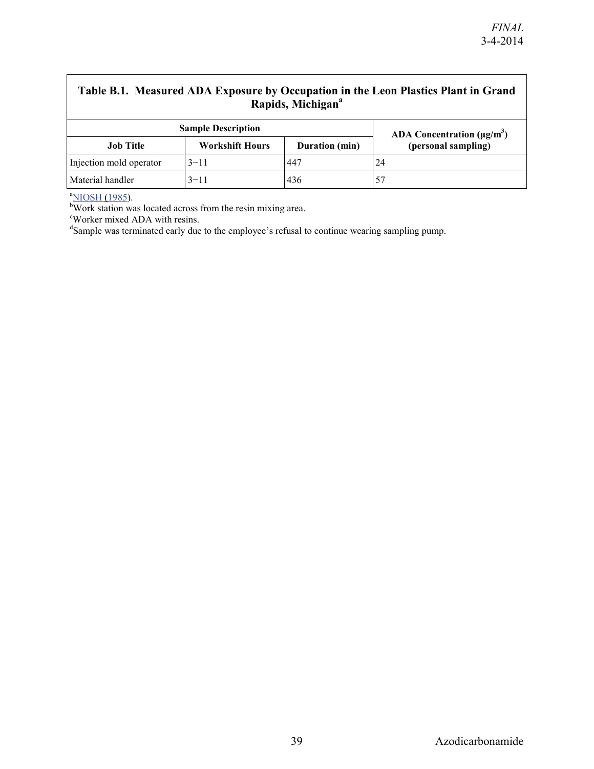# Table B.1. Measured ADA Exposure by Occupation in the Leon Plastics Plant in Grand **Rapids, Michigan<sup>a</sup>**

| <b>Sample Description</b> | ADA Concentration $(\mu g/m^3)$ |                |                     |
|---------------------------|---------------------------------|----------------|---------------------|
| Job Title                 | <b>Workshift Hours</b>          | Duration (min) | (personal sampling) |
| Injection mold operator   | $3 - 11$                        | 447            | 24                  |
| Material handler          | $3 - 11$                        | 436            |                     |

<sup>a</sup>NIOSH (1985).

bWork station was located across from the resin mixing area.

Worker mixed ADA with resins.

<sup>d</sup>Sample was terminated early due to the employee's refusal to continue wearing sampling pump.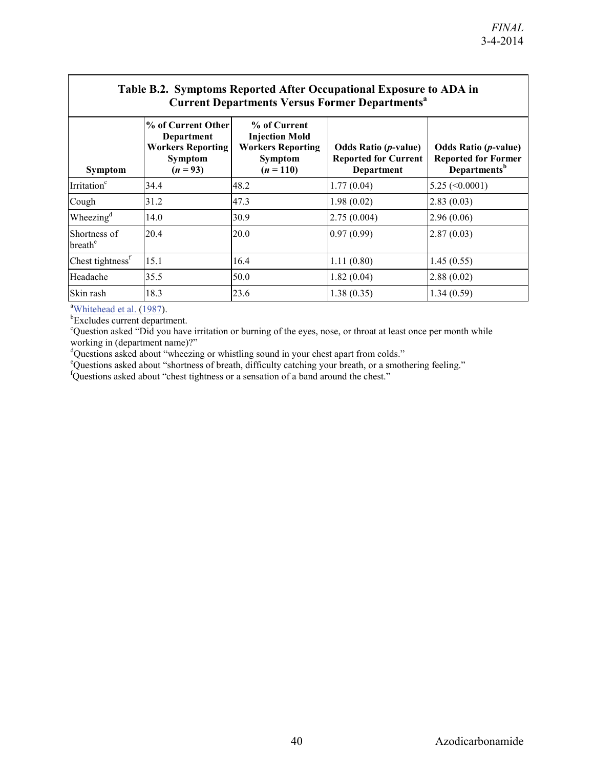| Table B.2. Symptoms Reported After Occupational Exposure to ADA in |  |
|--------------------------------------------------------------------|--|
| <b>Current Departments Versus Former Departments</b> <sup>a</sup>  |  |

| <b>Symptom</b>                      | % of Current Other<br>Department<br><b>Workers Reporting</b><br><b>Symptom</b><br>$(n = 93)$ | % of Current<br><b>Injection Mold</b><br><b>Workers Reporting</b><br>Symptom<br>$(n = 110)$ | <b>Odds Ratio (p-value)</b><br><b>Reported for Current</b><br>Department | <b>Odds Ratio (p-value)</b><br><b>Reported for Former</b><br>Departments <sup>b</sup> |  |  |
|-------------------------------------|----------------------------------------------------------------------------------------------|---------------------------------------------------------------------------------------------|--------------------------------------------------------------------------|---------------------------------------------------------------------------------------|--|--|
| Irritation <sup>c</sup>             | 34.4                                                                                         | 48.2                                                                                        | 1.77(0.04)                                                               | $5.25 \left( \leq 0.0001 \right)$                                                     |  |  |
| Cough                               | 31.2                                                                                         | 47.3                                                                                        | 1.98(0.02)                                                               | 2.83(0.03)                                                                            |  |  |
| Wheezing <sup>d</sup>               | 14.0                                                                                         | 30.9                                                                                        | 2.75(0.004)                                                              | 2.96(0.06)                                                                            |  |  |
| Shortness of<br>breath <sup>e</sup> | 20.4                                                                                         | 20.0                                                                                        | 0.97(0.99)                                                               | 2.87(0.03)                                                                            |  |  |
| Chest tightness <sup>f</sup>        | 15.1                                                                                         | 16.4                                                                                        | 1.11(0.80)                                                               | 1.45(0.55)                                                                            |  |  |
| Headache                            | 35.5                                                                                         | 50.0                                                                                        | 1.82(0.04)                                                               | 2.88(0.02)                                                                            |  |  |
| Skin rash                           | 18.3                                                                                         | 23.6                                                                                        | 1.38(0.35)                                                               | 1.34(0.59)                                                                            |  |  |

<sup>a</sup>Whitehead et al. (1987).

<sup>b</sup>Excludes current department.

Question asked "Did you have irritation or burning of the eyes, nose, or throat at least once per month while

working in (department name)?"<br><sup>d</sup>Questions asked about "wheezing or whistling sound in your chest apart from colds."<br>"Questions asked about "shortness of breath, difficulty catching your breath, or a smothering feeling."

fQuestions asked about "chest tightness or a sensation of a band around the chest."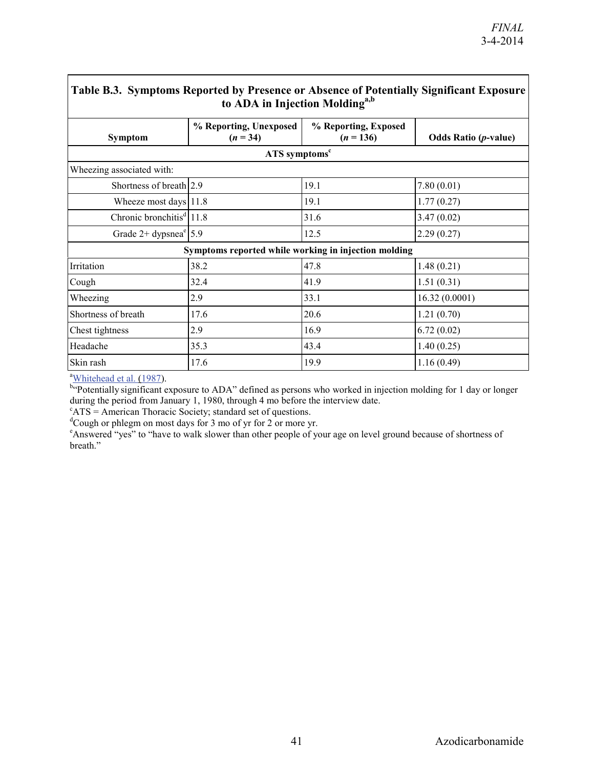| Table B.3. Symptoms Reported by Presence or Absence of Potentially Significant Exposure<br>to ADA in Injection Molding <sup>a,b</sup> |                                                      |                                     |                             |  |  |
|---------------------------------------------------------------------------------------------------------------------------------------|------------------------------------------------------|-------------------------------------|-----------------------------|--|--|
| Symptom                                                                                                                               | % Reporting, Unexposed<br>$(n = 34)$                 | % Reporting, Exposed<br>$(n = 136)$ | <b>Odds Ratio (p-value)</b> |  |  |
|                                                                                                                                       | ATS symptoms <sup>c</sup>                            |                                     |                             |  |  |
| Wheezing associated with:                                                                                                             |                                                      |                                     |                             |  |  |
| Shortness of breath 2.9                                                                                                               |                                                      | 19.1                                | 7.80(0.01)                  |  |  |
| Wheeze most days 11.8                                                                                                                 |                                                      | 19.1                                | 1.77(0.27)                  |  |  |
| Chronic bronchitis <sup>d</sup> 11.8                                                                                                  |                                                      | 31.6                                | 3.47(0.02)                  |  |  |
| Grade $2+$ dypsnea <sup>e</sup> 5.9                                                                                                   |                                                      | 12.5                                | 2.29(0.27)                  |  |  |
|                                                                                                                                       | Symptoms reported while working in injection molding |                                     |                             |  |  |
| Irritation                                                                                                                            | 38.2                                                 | 47.8                                | 1.48(0.21)                  |  |  |
| Cough                                                                                                                                 | 32.4                                                 | 41.9                                | 1.51(0.31)                  |  |  |
| Wheezing                                                                                                                              | 2.9                                                  | 33.1                                | 16.32(0.0001)               |  |  |
| Shortness of breath                                                                                                                   | 17.6                                                 | 20.6                                | 1.21(0.70)                  |  |  |
| Chest tightness                                                                                                                       | 2.9                                                  | 16.9                                | 6.72(0.02)                  |  |  |
| Headache                                                                                                                              | 35.3                                                 | 43.4                                | 1.40(0.25)                  |  |  |
| Skin rash                                                                                                                             | 17.6                                                 | 19.9                                | 1.16(0.49)                  |  |  |

# **Table B.3. Symptoms Reported by Presence or Absence of Potentially Significant Exposure**

<sup>a</sup>Whitehead et al. (1987).<br><sup>b</sup> Potentially significant exposure to ADA" defined as persons who worked in injection molding for 1 day or longer during the period from January 1, 1980, through 4 mo before the interview date.

 $\text{ATS}$  = American Thoracic Society; standard set of questions.

 $C$ ough or phlegm on most days for 3 mo of yr for 2 or more yr.

<sup>e</sup> Answered "yes" to "have to walk slower than other people of your age on level ground because of shortness of breath."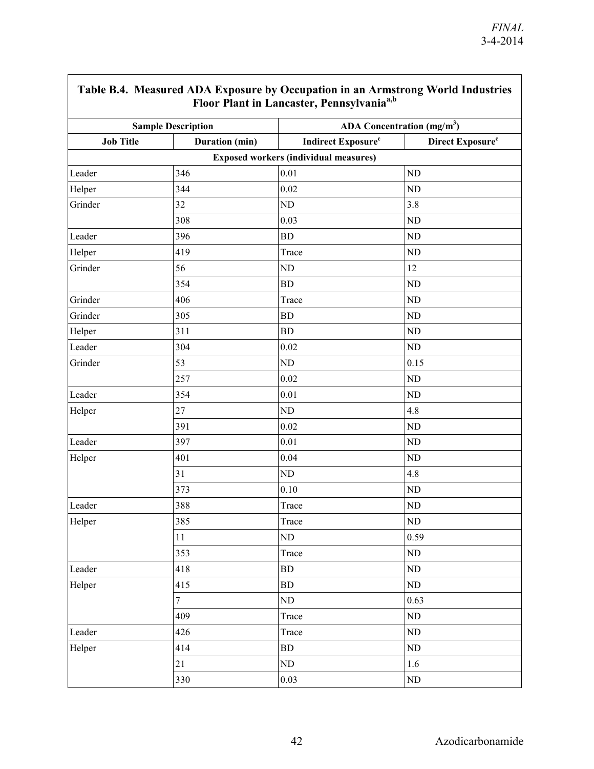| . <b>. .</b><br>Floor Plant in Lancaster, Pennsylvania <sup>a,b</sup> |                |                                              |                              |  |  |
|-----------------------------------------------------------------------|----------------|----------------------------------------------|------------------------------|--|--|
| <b>Sample Description</b>                                             |                | ADA Concentration $(mg/m3)$                  |                              |  |  |
| <b>Job Title</b>                                                      | Duration (min) | <b>Indirect Exposure</b> <sup>c</sup>        | Direct Exposure <sup>c</sup> |  |  |
|                                                                       |                | <b>Exposed workers (individual measures)</b> |                              |  |  |
| Leader                                                                | 346            | 0.01                                         | ND                           |  |  |
| Helper                                                                | 344            | 0.02                                         | ND                           |  |  |
| Grinder                                                               | 32             | $\rm ND$                                     | 3.8                          |  |  |
|                                                                       | 308            | 0.03                                         | $\rm ND$                     |  |  |
| Leader                                                                | 396            | BD                                           | $\rm ND$                     |  |  |
| Helper                                                                | 419            | Trace                                        | ND                           |  |  |
| Grinder                                                               | 56             | ND                                           | 12                           |  |  |
|                                                                       | 354            | BD                                           | ND                           |  |  |
| Grinder                                                               | 406            | Trace                                        | $\rm ND$                     |  |  |
| Grinder                                                               | 305            | ${\rm BD}$                                   | $\rm ND$                     |  |  |
| Helper                                                                | 311            | BD                                           | $\rm ND$                     |  |  |
| Leader                                                                | 304            | 0.02                                         | $\rm ND$                     |  |  |
| Grinder                                                               | 53             | $\rm ND$                                     | 0.15                         |  |  |
|                                                                       | 257            | 0.02                                         | ND                           |  |  |
| Leader                                                                | 354            | 0.01                                         | ND                           |  |  |
| Helper                                                                | 27             | $\rm ND$                                     | 4.8                          |  |  |
|                                                                       | 391            | 0.02                                         | ND                           |  |  |
| Leader                                                                | 397            | 0.01                                         | ND                           |  |  |
| Helper                                                                | 401            | 0.04                                         | $\rm ND$                     |  |  |
|                                                                       | 31             | $\rm ND$                                     | 4.8                          |  |  |
|                                                                       | 373            | 0.10                                         | ND                           |  |  |
| Leader                                                                | 388            | Trace                                        | ND                           |  |  |
| Helper                                                                | 385            | Trace                                        | $\rm ND$                     |  |  |
|                                                                       | 11             | ND                                           | 0.59                         |  |  |
|                                                                       | 353            | Trace                                        | $\rm ND$                     |  |  |
| Leader                                                                | 418            | BD                                           | $\rm ND$                     |  |  |
| Helper                                                                | 415            | ${\rm BD}$                                   | $\rm ND$                     |  |  |
|                                                                       | $\tau$         | $\rm ND$                                     | 0.63                         |  |  |
|                                                                       | 409            | Trace                                        | $\rm ND$                     |  |  |
| Leader                                                                | 426            | Trace                                        | $\rm ND$                     |  |  |
| Helper                                                                | 414            | ${\rm BD}$                                   | $\rm ND$                     |  |  |
|                                                                       | 21             | $\rm ND$                                     | 1.6                          |  |  |
|                                                                       | 330            | 0.03                                         | $\rm ND$                     |  |  |

# **Table B.4. Measured ADA Exposure by Occupation in an Armstrong World Industries**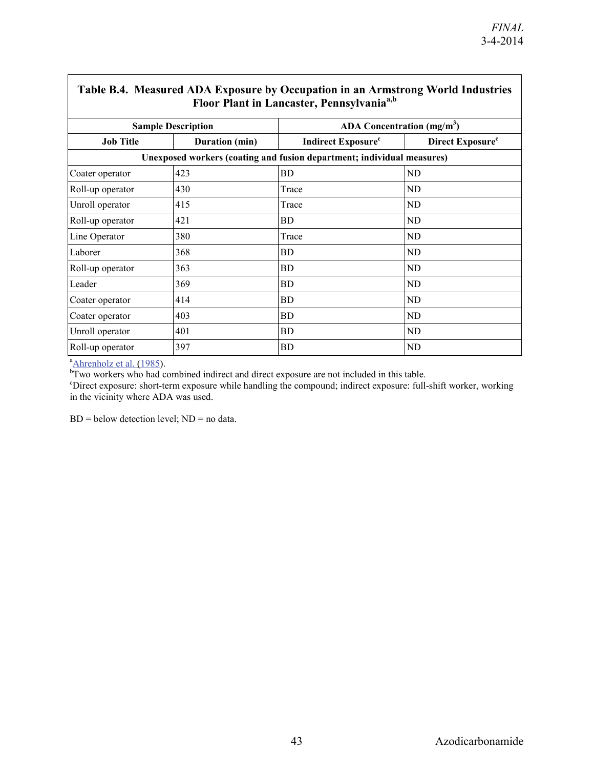| Table B.4. Measured ADA Exposure by Occupation in an Armstrong World Industries<br>Floor Plant in Lancaster, Pennsylvania <sup>a,b</sup> |                                                                        |                                       |                              |  |  |  |
|------------------------------------------------------------------------------------------------------------------------------------------|------------------------------------------------------------------------|---------------------------------------|------------------------------|--|--|--|
|                                                                                                                                          | <b>Sample Description</b>                                              |                                       | ADA Concentration $(mg/m3)$  |  |  |  |
| <b>Job Title</b>                                                                                                                         | Duration (min)                                                         | <b>Indirect Exposure</b> <sup>c</sup> | Direct Exposure <sup>c</sup> |  |  |  |
|                                                                                                                                          | Unexposed workers (coating and fusion department; individual measures) |                                       |                              |  |  |  |
| Coater operator                                                                                                                          | 423                                                                    | BD                                    | ND                           |  |  |  |
| Roll-up operator                                                                                                                         | 430                                                                    | Trace                                 | ND                           |  |  |  |
| Unroll operator                                                                                                                          | 415                                                                    | Trace                                 | ND                           |  |  |  |
| Roll-up operator                                                                                                                         | 421                                                                    | BD                                    | ND                           |  |  |  |
| Line Operator                                                                                                                            | 380                                                                    | Trace                                 | ND                           |  |  |  |
| Laborer                                                                                                                                  | 368                                                                    | BD                                    | ND                           |  |  |  |
| Roll-up operator                                                                                                                         | 363                                                                    | <b>BD</b>                             | ND                           |  |  |  |
| Leader                                                                                                                                   | 369                                                                    | BD                                    | ND                           |  |  |  |
| Coater operator                                                                                                                          | 414                                                                    | BD                                    | ND                           |  |  |  |
| Coater operator                                                                                                                          | 403                                                                    | BD                                    | ND                           |  |  |  |
| Unroll operator                                                                                                                          | 401                                                                    | BD                                    | ND                           |  |  |  |
| Roll-up operator                                                                                                                         | 397                                                                    | <b>BD</b>                             | ND                           |  |  |  |

## **Table B.4. Measured ADA Exposure by Occupation in an Armstrong**   $\mathbf{W}$  III  $\mathbf{I}$

<sup>a</sup> Ahrenholz et al. (1985).<br><sup>b</sup> Two workers who had combined indirect and direct exposure are not included in this table.

c Direct exposure: short-term exposure while handling the compound; indirect exposure: full-shift worker, working in the vicinity where ADA was used.

 $BD =$  below detection level;  $ND =$  no data.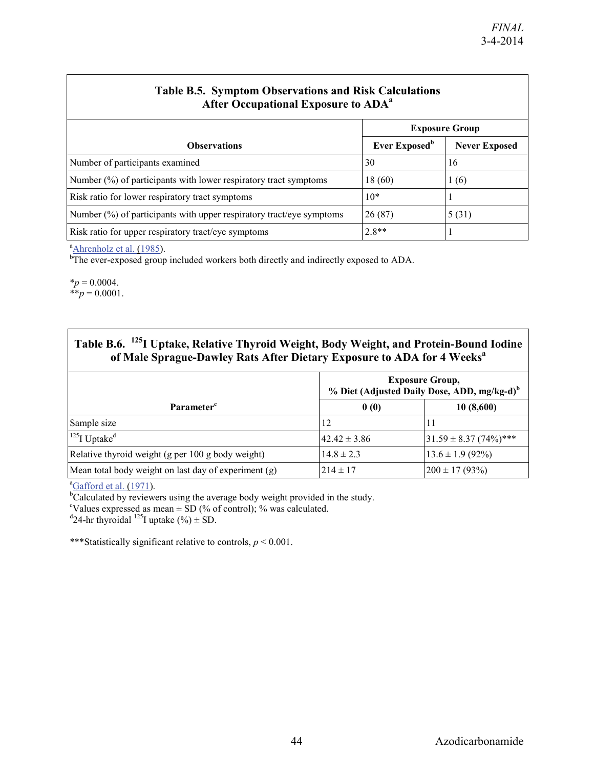| <b>Table B.S. Symptom Observations and Risk Calculations</b><br><b>After Occupational Exposure to ADA<sup>a</sup></b> |                           |                      |  |  |
|-----------------------------------------------------------------------------------------------------------------------|---------------------------|----------------------|--|--|
|                                                                                                                       | <b>Exposure Group</b>     |                      |  |  |
| <b>Observations</b>                                                                                                   | Ever Exposed <sup>b</sup> | <b>Never Exposed</b> |  |  |
| Number of participants examined                                                                                       | 30                        | 16                   |  |  |
| Number $(\%)$ of participants with lower respiratory tract symptoms                                                   | 18(60)                    | 1(6)                 |  |  |
| Risk ratio for lower respiratory tract symptoms                                                                       | $10*$                     |                      |  |  |
| Number $(\%)$ of participants with upper respiratory tract/eye symptoms                                               | 26(87)                    | 5(31)                |  |  |
| Risk ratio for upper respiratory tract/eye symptoms                                                                   | $2.8**$                   |                      |  |  |

## **Table B.5. Symptom Observations and Risk Calculations**

<sup>a</sup>Ahrenholz et al. (1985).

<sup>b</sup>The ever-exposed group included workers both directly and indirectly exposed to ADA.

 $*_{p} = 0.0004$ .  $*$ *\*p* = 0.0001.

# **Table B.6. 125I Uptake, Relative Thyroid Weight, Body Weight, and Protein-Bound Iodine a of Male Sprague-Dawley Rats After Dietary Exposure to ADA for 4 Weeks**

|                                                      | <b>Exposure Group,</b><br>% Diet (Adjusted Daily Dose, ADD, mg/kg-d) <sup>b</sup> |                             |  |
|------------------------------------------------------|-----------------------------------------------------------------------------------|-----------------------------|--|
| Parameter <sup>c</sup>                               | 0(0)                                                                              | 10(8,600)                   |  |
| Sample size                                          | 12                                                                                |                             |  |
| $^{125}$ I Uptake <sup>d</sup>                       | $42.42 \pm 3.86$                                                                  | $31.59 \pm 8.37 (74\%)$ *** |  |
| Relative thyroid weight (g per 100 g body weight)    | $14.8 \pm 2.3$                                                                    | $13.6 \pm 1.9$ (92%)        |  |
| Mean total body weight on last day of experiment (g) | $214 \pm 17$                                                                      | $200 \pm 17 (93\%)$         |  |

<sup>a</sup>Gafford et al. (1971).

<sup>b</sup>Calculated by reviewers using the average body weight provided in the study.<br><sup>e</sup>Velues expressed as mean  $\pm$  SD (% of control); % was calculated.

<sup>c</sup>Values expressed as mean  $\pm$  SD (% of control); % was calculated.<br><sup>d</sup>24-hr thyroidal <sup>125</sup>I uptake (%)  $\pm$  SD.

\*\*\*Statistically significant relative to controls, *p* < 0.001.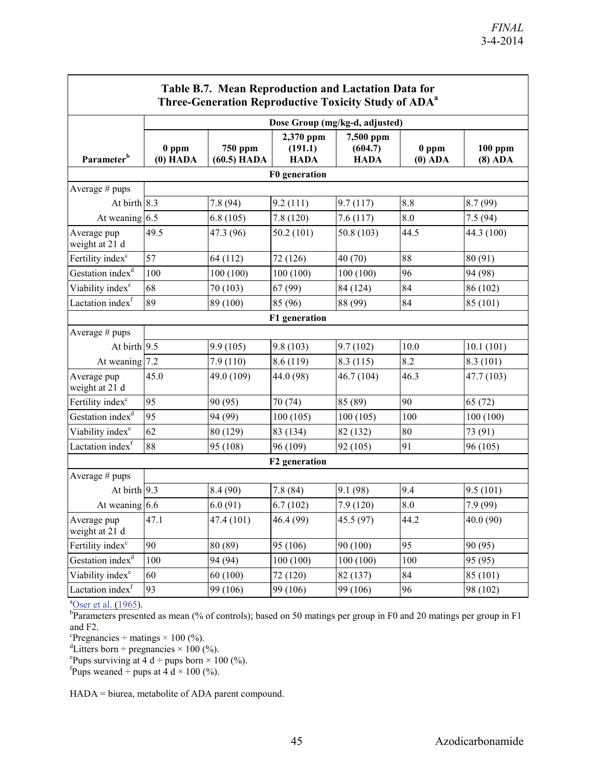٦

| Table B.7. Mean Reproduction and Lactation Data for<br>Three-Generation Reproductive Toxicity Study of ADA <sup>a</sup> |                                |                          |                                     |                                     |                      |                        |
|-------------------------------------------------------------------------------------------------------------------------|--------------------------------|--------------------------|-------------------------------------|-------------------------------------|----------------------|------------------------|
|                                                                                                                         | Dose Group (mg/kg-d, adjusted) |                          |                                     |                                     |                      |                        |
| Parameter <sup>b</sup>                                                                                                  | $0$ ppm<br>$(0)$ HADA          | 750 ppm<br>$(60.5)$ HADA | 2,370 ppm<br>(191.1)<br><b>HADA</b> | 7,500 ppm<br>(604.7)<br><b>HADA</b> | $0$ ppm<br>$(0)$ ADA | $100$ ppm<br>$(8)$ ADA |
|                                                                                                                         |                                |                          | F0 generation                       |                                     |                      |                        |
| Average # pups                                                                                                          |                                |                          |                                     |                                     |                      |                        |
| At birth $8.3$                                                                                                          |                                | 7.8(94)                  | 9.2(111)                            | 9.7(117)                            | 8.8                  | 8.7(99)                |
| At weaning 6.5                                                                                                          |                                | 6.8(105)                 | 7.8(120)                            | 7.6(117)                            | 8.0                  | 7.5(94)                |
| Average pup<br>weight at 21 d                                                                                           | 49.5                           | 47.3 (96)                | 50.2(101)                           | 50.8 (103)                          | 44.5                 | 44.3 (100)             |
| Fertility index <sup>c</sup>                                                                                            | 57                             | 64 (112)                 | 72 (126)                            | 40 (70)                             | 88                   | 80 (91)                |
| Gestation index <sup>d</sup>                                                                                            | 100                            | 100(100)                 | 100(100)                            | 100(100)                            | 96                   | 94 (98)                |
| Viability index <sup>e</sup>                                                                                            | 68                             | 70 (103)                 | 67 (99)                             | 84 (124)                            | 84                   | 86 (102)               |
| Lactation index <sup>f</sup>                                                                                            | 89                             | 89 (100)                 | 85 (96)                             | 88 (99)                             | 84                   | 85 (101)               |
|                                                                                                                         |                                |                          | F1 generation                       |                                     |                      |                        |
| Average # pups                                                                                                          |                                |                          |                                     |                                     |                      |                        |
| At birth $9.5$                                                                                                          |                                | 9.9(105)                 | 9.8(103)                            | 9.7(102)                            | 10.0                 | 10.1(101)              |
| At weaning 7.2                                                                                                          |                                | 7.9(110)                 | 8.6 (119)                           | 8.3(115)                            | 8.2                  | 8.3(101)               |
| Average pup<br>weight at 21 d                                                                                           | 45.0                           | 49.0 (109)               | 44.0 (98)                           | 46.7 (104)                          | 46.3                 | 47.7 (103)             |
| Fertility index <sup>c</sup>                                                                                            | 95                             | 90 (95)                  | 70 (74)                             | 85 (89)                             | 90                   | 65(72)                 |
| Gestation index <sup>d</sup>                                                                                            | 95                             | 94 (99)                  | 100(105)                            | 100(105)                            | 100                  | 100(100)               |
| Viability index <sup>e</sup>                                                                                            | 62                             | 80 (129)                 | 83 (134)                            | 82 (132)                            | 80                   | 73 (91)                |
| Lactation index <sup>f</sup>                                                                                            | 88                             | 95 (108)                 | 96 (109)                            | 92 (105)                            | 91                   | 96 (105)               |
| F2 generation                                                                                                           |                                |                          |                                     |                                     |                      |                        |
| Average # pups                                                                                                          |                                |                          |                                     |                                     |                      |                        |
| At birth $9.3$                                                                                                          |                                | 8.4(90)                  | 7.8(84)                             | 9.1(98)                             | 9.4                  | 9.5(101)               |
| At weaning $6.6$                                                                                                        |                                | 6.0(91)                  | 6.7(102)                            | 7.9(120)                            | 8.0                  | 7.9 (99)               |
| Average pup<br>weight at 21 d                                                                                           | 47.1                           | 47.4 (101)               | 46.4 (99)                           | 45.5 (97)                           | 44.2                 | 40.0 (90)              |
| Fertility index <sup>c</sup>                                                                                            | 90                             | 80 (89)                  | 95 (106)                            | 90 (100)                            | 95                   | 90 (95)                |
| Gestation index <sup>d</sup>                                                                                            | 100                            | 94 (94)                  | 100(100)                            | 100(100)                            | 100                  | 95 (95)                |
| Viability index <sup>e</sup>                                                                                            | 60                             | 60(100)                  | 72 (120)                            | 82 (137)                            | 84                   | 85 (101)               |
| Lactation index <sup>f</sup>                                                                                            | 93                             | 99 (106)                 | 99 (106)                            | 99 (106)                            | 96                   | 98 (102)               |

<sup>a</sup>Oser et al. (1965).

<sup>b</sup>Parameters presented as mean (% of controls); based on 50 matings per group in F0 and 20 matings per group in F1 and  $F2$ .

 ${}^{\circ}$ Pregnancies ÷ matings × 100 (%).

<sup>d</sup>Litters born ÷ pregnancies × 100 (%).

Pups surviving at 4 d ÷ pups born  $\times$  100 (%).<br>found we wanted ÷ pups at 4 d  $\times$  100 (%).

Pups weaned  $\div$  pups at 4 d  $\times$  100 (%).

HADA = biurea, metabolite of ADA parent compound.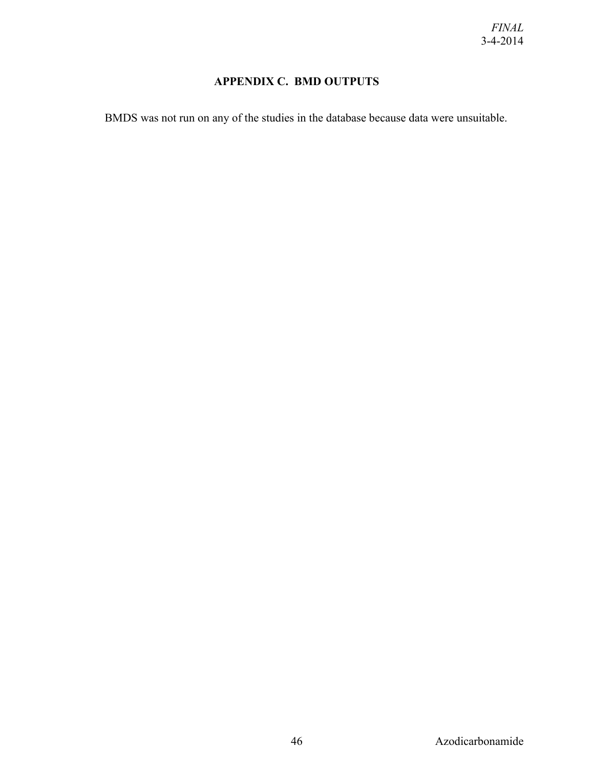## **APPENDIX C. BMD OUTPUTS**

<span id="page-49-0"></span>BMDS was not run on any of the studies in the database because data were unsuitable.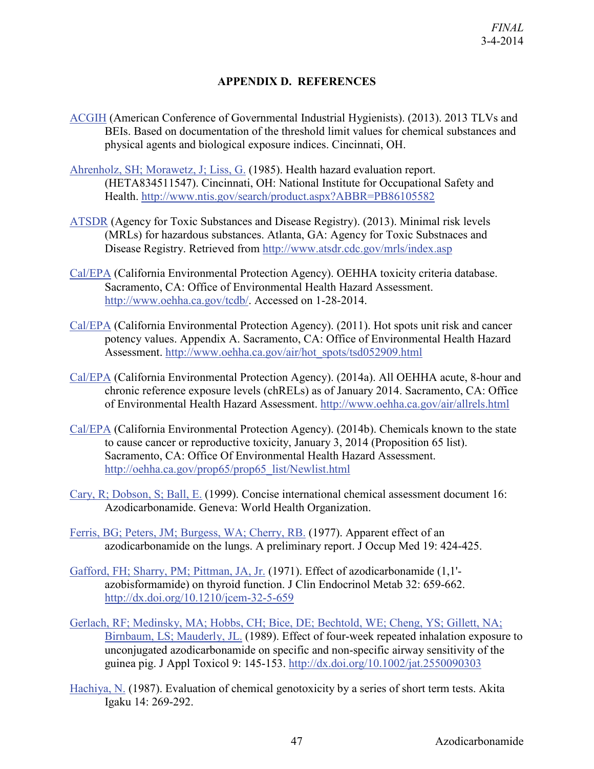#### **APPENDIX D. REFERENCES**

- <span id="page-50-0"></span>[ACGIH](http://hero.epa.gov/index.cfm?action=search.view&reference_id=1798797) (American Conference of Governmental Industrial Hygienists). (2013). 2013 TLVs and BEIs. Based on documentation of the threshold limit values for chemical substances and physical agents and biological exposure indices. Cincinnati, OH.
- [Ahrenholz, SH; Morawetz, J; Liss, G.](http://hero.epa.gov/index.cfm?action=search.view&reference_id=786154) (1985). Health hazard evaluation report. (HETA834511547). Cincinnati, OH: National Institute for Occupational Safety and Health.<http://www.ntis.gov/search/product.aspx?ABBR=PB86105582>
- [ATSDR](http://hero.epa.gov/index.cfm?action=search.view&reference_id=1798743) (Agency for Toxic Substances and Disease Registry). (2013). Minimal risk levels (MRLs) for hazardous substances. Atlanta, GA: Agency for Toxic Substnaces and Disease Registry. Retrieved from<http://www.atsdr.cdc.gov/mrls/index.asp>
- [Cal/EPA](http://hero.epa.gov/index.cfm?action=search.view&reference_id=783987) (California Environmental Protection Agency). OEHHA toxicity criteria database. Sacramento, CA: Office of Environmental Health Hazard Assessment. [http://www.oehha.ca.gov/tcdb/.](http://www.oehha.ca.gov/tcdb/) Accessed on 1-28-2014.
- [Cal/EPA](http://hero.epa.gov/index.cfm?action=search.view&reference_id=2215636) (California Environmental Protection Agency). (2011). Hot spots unit risk and cancer potency values. Appendix A. Sacramento, CA: Office of Environmental Health Hazard Assessment. [http://www.oehha.ca.gov/air/hot\\_spots/tsd052909.html](http://www.oehha.ca.gov/air/hot_spots/tsd052909.html)
- [Cal/EPA](http://hero.epa.gov/index.cfm?action=search.view&reference_id=2224357) (California Environmental Protection Agency). (2014a). All OEHHA acute, 8-hour and chronic reference exposure levels (chRELs) as of January 2014. Sacramento, CA: Office of Environmental Health Hazard Assessment.<http://www.oehha.ca.gov/air/allrels.html>
- [Cal/EPA](http://hero.epa.gov/index.cfm?action=search.view&reference_id=2224356) (California Environmental Protection Agency). (2014b). Chemicals known to the state to cause cancer or reproductive toxicity, January 3, 2014 (Proposition 65 list). Sacramento, CA: Office Of Environmental Health Hazard Assessment. [http://oehha.ca.gov/prop65/prop65\\_list/Newlist.html](http://oehha.ca.gov/prop65/prop65_list/Newlist.html)
- [Cary, R; Dobson, S; Ball, E.](http://hero.epa.gov/index.cfm?action=search.view&reference_id=786169) (1999). Concise international chemical assessment document 16: Azodicarbonamide. Geneva: World Health Organization.
- [Ferris, BG; Peters, JM; Burgess, WA; Cherry, RB.](http://hero.epa.gov/index.cfm?action=search.view&reference_id=786266) (1977). Apparent effect of an azodicarbonamide on the lungs. A preliminary report. J Occup Med 19: 424-425.
- [Gafford, FH; Sharry, PM; Pittman, JA, Jr.](http://hero.epa.gov/index.cfm?action=search.view&reference_id=786163) (1971). Effect of azodicarbonamide (1,1' azobisformamide) on thyroid function. J Clin Endocrinol Metab 32: 659-662. <http://dx.doi.org/10.1210/jcem-32-5-659>
- [Gerlach, RF; Medinsky, MA; Hobbs, CH; Bice, DE; Bechtold, WE; Cheng, YS; Gillett, NA;](http://hero.epa.gov/index.cfm?action=search.view&reference_id=786270)  [Birnbaum, LS; Mauderly, JL.](http://hero.epa.gov/index.cfm?action=search.view&reference_id=786270) (1989). Effect of four-week repeated inhalation exposure to unconjugated azodicarbonamide on specific and non-specific airway sensitivity of the guinea pig. J Appl Toxicol 9: 145-153.<http://dx.doi.org/10.1002/jat.2550090303>
- [Hachiya, N.](http://hero.epa.gov/index.cfm?action=search.view&reference_id=1576915) (1987). Evaluation of chemical genotoxicity by a series of short term tests. Akita Igaku 14: 269-292.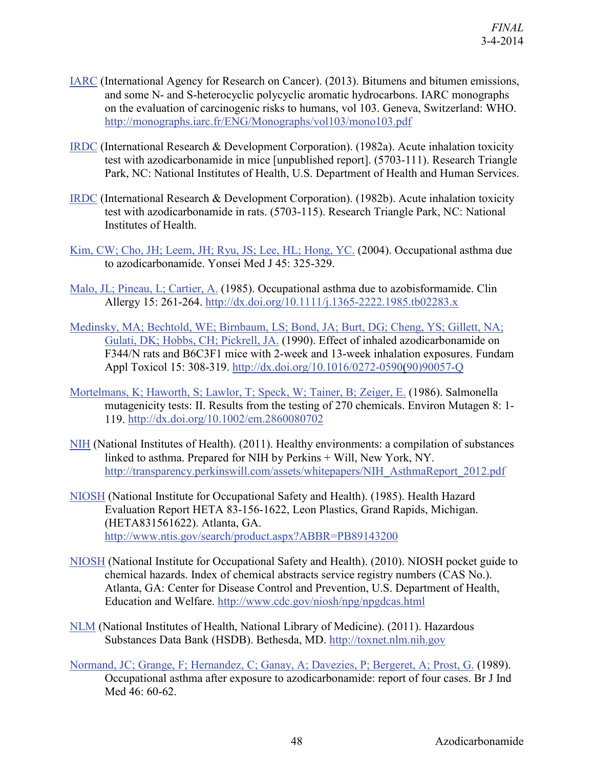- [IARC](http://hero.epa.gov/index.cfm?action=search.view&reference_id=1770074) (International Agency for Research on Cancer). (2013). Bitumens and bitumen emissions, and some N- and S-heterocyclic polycyclic aromatic hydrocarbons. IARC monographs on the evaluation of carcinogenic risks to humans, vol 103. Geneva, Switzerland: WHO. <http://monographs.iarc.fr/ENG/Monographs/vol103/mono103.pdf>
- [IRDC](http://hero.epa.gov/index.cfm?action=search.view&reference_id=807171) (International Research & Development Corporation). (1982a). Acute inhalation toxicity test with azodicarbonamide in mice [unpublished report]. (5703-111). Research Triangle Park, NC: National Institutes of Health, U.S. Department of Health and Human Services.
- [IRDC](http://hero.epa.gov/index.cfm?action=search.view&reference_id=807167) (International Research & Development Corporation). (1982b). Acute inhalation toxicity test with azodicarbonamide in rats. (5703-115). Research Triangle Park, NC: National Institutes of Health.
- [Kim, CW; Cho, JH; Leem, JH; Ryu, JS; Lee, HL; Hong, YC.](http://hero.epa.gov/index.cfm?action=search.view&reference_id=786164) (2004). Occupational asthma due to azodicarbonamide. Yonsei Med J 45: 325-329.
- [Malo, JL; Pineau, L; Cartier, A.](http://hero.epa.gov/index.cfm?action=search.view&reference_id=786275) (1985). Occupational asthma due to azobisformamide. Clin Allergy 15: 261-264.<http://dx.doi.org/10.1111/j.1365-2222.1985.tb02283.x>
- [Medinsky, MA; Bechtold, WE; Birnbaum, LS; Bond, JA; Burt, DG; Cheng, YS; Gillett, NA;](http://hero.epa.gov/index.cfm?action=search.view&reference_id=786271)  [Gulati, DK; Hobbs, CH; Pickrell, JA.](http://hero.epa.gov/index.cfm?action=search.view&reference_id=786271) (1990). Effect of inhaled azodicarbonamide on F344/N rats and B6C3F1 mice with 2-week and 13-week inhalation exposures. Fundam Appl Toxicol 15: 308-319. [http://dx.doi.org/10.1016/0272-0590\(90\)90057-Q](http://dx.doi.org/10.1016/0272-0590(90)90057-Q)
- [Mortelmans, K; Haworth, S; Lawlor, T; Speck, W; Tainer, B; Zeiger, E.](http://hero.epa.gov/index.cfm?action=search.view&reference_id=7315) (1986). Salmonella mutagenicity tests: II. Results from the testing of 270 chemicals. Environ Mutagen 8: 1- 119.<http://dx.doi.org/10.1002/em.2860080702>
- [NIH](http://hero.epa.gov/index.cfm?action=search.view&reference_id=1577212) (National Institutes of Health). (2011). Healthy environments: a compilation of substances linked to asthma. Prepared for NIH by Perkins + Will, New York, NY. [http://transparency.perkinswill.com/assets/whitepapers/NIH\\_AsthmaReport\\_2012.pdf](http://transparency.perkinswill.com/assets/whitepapers/NIH_AsthmaReport_2012.pdf)
- [NIOSH](http://hero.epa.gov/index.cfm?action=search.view&reference_id=786537) (National Institute for Occupational Safety and Health). (1985). Health Hazard Evaluation Report HETA 83-156-1622, Leon Plastics, Grand Rapids, Michigan. (HETA831561622). Atlanta, GA. <http://www.ntis.gov/search/product.aspx?ABBR=PB89143200>
- [NIOSH](http://hero.epa.gov/index.cfm?action=search.view&reference_id=1788713) (National Institute for Occupational Safety and Health). (2010). NIOSH pocket guide to chemical hazards. Index of chemical abstracts service registry numbers (CAS No.). Atlanta, GA: Center for Disease Control and Prevention, U.S. Department of Health, Education and Welfare.<http://www.cdc.gov/niosh/npg/npgdcas.html>
- [NLM](http://hero.epa.gov/index.cfm?action=search.view&reference_id=783990) (National Institutes of Health, National Library of Medicine). (2011). Hazardous Substances Data Bank (HSDB). Bethesda, MD. [http://toxnet.nlm.nih.gov](http://toxnet.nlm.nih.gov/)
- [Normand, JC; Grange, F; Hernandez, C; Ganay, A; Davezies, P; Bergeret, A; Prost, G.](http://hero.epa.gov/index.cfm?action=search.view&reference_id=786273) (1989). Occupational asthma after exposure to azodicarbonamide: report of four cases. Br J Ind Med 46: 60-62.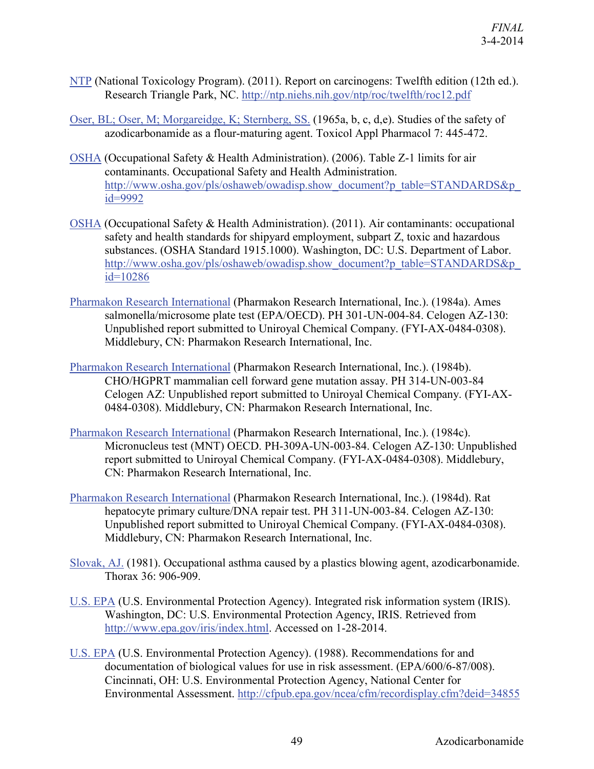- [NTP](http://hero.epa.gov/index.cfm?action=search.view&reference_id=737606) (National Toxicology Program). (2011). Report on carcinogens: Twelfth edition (12th ed.). Research Triangle Park, NC.<http://ntp.niehs.nih.gov/ntp/roc/twelfth/roc12.pdf>
- [Oser, BL; Oser, M; Morgareidge, K; Sternberg, SS.](http://hero.epa.gov/index.cfm?action=search.view&reference_id=786166) (1965a, b, c, d,e). Studies of the safety of azodicarbonamide as a flour-maturing agent. Toxicol Appl Pharmacol 7: 445-472.
- [OSHA](http://hero.epa.gov/index.cfm?action=search.view&reference_id=670067) (Occupational Safety & Health Administration). (2006). Table Z-1 limits for air contaminants. Occupational Safety and Health Administration. [http://www.osha.gov/pls/oshaweb/owadisp.show\\_document?p\\_table=STANDARDS&p\\_](http://www.osha.gov/pls/oshaweb/owadisp.show_document?p_table=STANDARDS&p_id=9992) [id=9992](http://www.osha.gov/pls/oshaweb/owadisp.show_document?p_table=STANDARDS&p_id=9992)
- [OSHA](http://hero.epa.gov/index.cfm?action=search.view&reference_id=1798501) (Occupational Safety & Health Administration). (2011). Air contaminants: occupational safety and health standards for shipyard employment, subpart Z, toxic and hazardous substances. (OSHA Standard 1915.1000). Washington, DC: U.S. Department of Labor. [http://www.osha.gov/pls/oshaweb/owadisp.show\\_document?p\\_table=STANDARDS&p\\_](http://www.osha.gov/pls/oshaweb/owadisp.show_document?p_table=STANDARDS&p_id=10286)  $id=10286$
- [Pharmakon Research International](http://hero.epa.gov/index.cfm?action=search.view&reference_id=999182) (Pharmakon Research International, Inc.). (1984a). Ames salmonella/microsome plate test (EPA/OECD). PH 301-UN-004-84. Celogen AZ-130: Unpublished report submitted to Uniroyal Chemical Company. (FYI-AX-0484-0308). Middlebury, CN: Pharmakon Research International, Inc.
- [Pharmakon Research International](http://hero.epa.gov/index.cfm?action=search.view&reference_id=999194) (Pharmakon Research International, Inc.). (1984b). CHO/HGPRT mammalian cell forward gene mutation assay. PH 314-UN-003-84 Celogen AZ: Unpublished report submitted to Uniroyal Chemical Company. (FYI-AX-0484-0308). Middlebury, CN: Pharmakon Research International, Inc.
- [Pharmakon Research International](http://hero.epa.gov/index.cfm?action=search.view&reference_id=999204) (Pharmakon Research International, Inc.). (1984c). Micronucleus test (MNT) OECD. PH-309A-UN-003-84. Celogen AZ-130: Unpublished report submitted to Uniroyal Chemical Company. (FYI-AX-0484-0308). Middlebury, CN: Pharmakon Research International, Inc.
- [Pharmakon Research International](http://hero.epa.gov/index.cfm?action=search.view&reference_id=999197) (Pharmakon Research International, Inc.). (1984d). Rat hepatocyte primary culture/DNA repair test. PH 311-UN-003-84. Celogen AZ-130: Unpublished report submitted to Uniroyal Chemical Company. (FYI-AX-0484-0308). Middlebury, CN: Pharmakon Research International, Inc.
- [Slovak, AJ.](http://hero.epa.gov/index.cfm?action=search.view&reference_id=786274) (1981). Occupational asthma caused by a plastics blowing agent, azodicarbonamide. Thorax 36: 906-909.
- [U.S. EPA](http://hero.epa.gov/index.cfm?action=search.view&reference_id=192196) (U.S. Environmental Protection Agency). Integrated risk information system (IRIS). Washington, DC: U.S. Environmental Protection Agency, IRIS. Retrieved from [http://www.epa.gov/iris/index.html.](http://www.epa.gov/iris/index.html) Accessed on 1-28-2014.
- [U.S. EPA](http://hero.epa.gov/index.cfm?action=search.view&reference_id=64560) (U.S. Environmental Protection Agency). (1988). Recommendations for and documentation of biological values for use in risk assessment. (EPA/600/6-87/008). Cincinnati, OH: U.S. Environmental Protection Agency, National Center for Environmental Assessment.<http://cfpub.epa.gov/ncea/cfm/recordisplay.cfm?deid=34855>